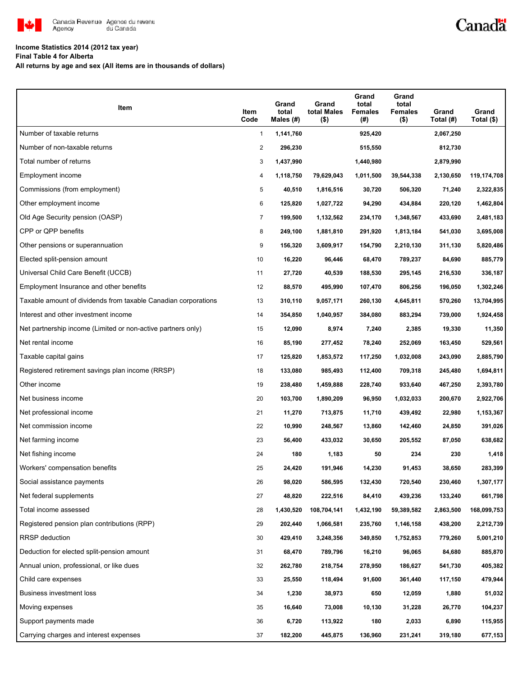

## Canadä

#### **Income Statistics 2014 (2012 tax year)**

**Final Table 4 for Alberta**

**All returns by age and sex (All items are in thousands of dollars)**

| Item                                                           | Item<br>Code   | Grand<br>total<br>Males $(\#)$ | Grand<br>total Males<br>$($ \$) | Grand<br>total<br><b>Females</b><br>(#) | Grand<br>total<br><b>Females</b><br>$($ \$) | Grand<br>Total (#) | Grand<br>Total (\$) |
|----------------------------------------------------------------|----------------|--------------------------------|---------------------------------|-----------------------------------------|---------------------------------------------|--------------------|---------------------|
| Number of taxable returns                                      | $\mathbf{1}$   | 1,141,760                      |                                 | 925,420                                 |                                             | 2,067,250          |                     |
| Number of non-taxable returns                                  | $\overline{c}$ | 296,230                        |                                 | 515,550                                 |                                             | 812,730            |                     |
| Total number of returns                                        | 3              | 1,437,990                      |                                 | 1,440,980                               |                                             | 2,879,990          |                     |
| Employment income                                              | 4              | 1,118,750                      | 79,629,043                      | 1,011,500                               | 39,544,338                                  | 2,130,650          | 119,174,708         |
| Commissions (from employment)                                  | 5              | 40,510                         | 1,816,516                       | 30,720                                  | 506,320                                     | 71,240             | 2,322,835           |
| Other employment income                                        | 6              | 125,820                        | 1,027,722                       | 94,290                                  | 434,884                                     | 220,120            | 1,462,804           |
| Old Age Security pension (OASP)                                | $\overline{7}$ | 199,500                        | 1,132,562                       | 234,170                                 | 1,348,567                                   | 433,690            | 2,481,183           |
| CPP or QPP benefits                                            | 8              | 249,100                        | 1,881,810                       | 291,920                                 | 1,813,184                                   | 541,030            | 3,695,008           |
| Other pensions or superannuation                               | 9              | 156,320                        | 3,609,917                       | 154,790                                 | 2,210,130                                   | 311,130            | 5,820,486           |
| Elected split-pension amount                                   | 10             | 16,220                         | 96,446                          | 68,470                                  | 789,237                                     | 84,690             | 885,779             |
| Universal Child Care Benefit (UCCB)                            | 11             | 27,720                         | 40,539                          | 188,530                                 | 295,145                                     | 216,530            | 336,187             |
| Employment Insurance and other benefits                        | 12             | 88,570                         | 495,990                         | 107,470                                 | 806,256                                     | 196,050            | 1,302,246           |
| Taxable amount of dividends from taxable Canadian corporations | 13             | 310,110                        | 9,057,171                       | 260,130                                 | 4,645,811                                   | 570,260            | 13,704,995          |
| Interest and other investment income                           | 14             | 354,850                        | 1,040,957                       | 384,080                                 | 883,294                                     | 739,000            | 1,924,458           |
| Net partnership income (Limited or non-active partners only)   | 15             | 12,090                         | 8,974                           | 7,240                                   | 2,385                                       | 19,330             | 11,350              |
| Net rental income                                              | 16             | 85,190                         | 277,452                         | 78,240                                  | 252,069                                     | 163,450            | 529,561             |
| Taxable capital gains                                          | 17             | 125,820                        | 1,853,572                       | 117,250                                 | 1,032,008                                   | 243,090            | 2,885,790           |
| Registered retirement savings plan income (RRSP)               | 18             | 133,080                        | 985,493                         | 112,400                                 | 709,318                                     | 245,480            | 1,694,811           |
| Other income                                                   | 19             | 238,480                        | 1,459,888                       | 228,740                                 | 933,640                                     | 467,250            | 2,393,780           |
| Net business income                                            | 20             | 103,700                        | 1,890,209                       | 96,950                                  | 1,032,033                                   | 200,670            | 2,922,706           |
| Net professional income                                        | 21             | 11,270                         | 713,875                         | 11,710                                  | 439,492                                     | 22,980             | 1,153,367           |
| Net commission income                                          | 22             | 10,990                         | 248,567                         | 13,860                                  | 142,460                                     | 24,850             | 391,026             |
| Net farming income                                             | 23             | 56,400                         | 433,032                         | 30,650                                  | 205,552                                     | 87,050             | 638,682             |
| Net fishing income                                             | 24             | 180                            | 1,183                           | 50                                      | 234                                         | 230                | 1,418               |
| Workers' compensation benefits                                 | 25             | 24,420                         | 191,946                         | 14,230                                  | 91,453                                      | 38,650             | 283,399             |
| Social assistance payments                                     | 26             | 98,020                         | 586,595                         | 132,430                                 | 720,540                                     | 230,460            | 1,307,177           |
| Net federal supplements                                        | 27             | 48,820                         | 222,516                         | 84,410                                  | 439,236                                     | 133,240            | 661,798             |
| Total income assessed                                          | 28             | 1,430,520                      | 108,704,141                     | 1,432,190                               | 59,389,582                                  | 2,863,500          | 168,099,753         |
| Registered pension plan contributions (RPP)                    | 29             | 202,440                        | 1,066,581                       | 235,760                                 | 1,146,158                                   | 438,200            | 2,212,739           |
| <b>RRSP</b> deduction                                          | 30             | 429,410                        | 3,248,356                       | 349,850                                 | 1,752,853                                   | 779,260            | 5,001,210           |
| Deduction for elected split-pension amount                     | 31             | 68,470                         | 789,796                         | 16,210                                  | 96,065                                      | 84,680             | 885,870             |
| Annual union, professional, or like dues                       | 32             | 262,780                        | 218,754                         | 278,950                                 | 186,627                                     | 541,730            | 405,382             |
| Child care expenses                                            | 33             | 25,550                         | 118,494                         | 91,600                                  | 361,440                                     | 117,150            | 479,944             |
| <b>Business investment loss</b>                                | 34             | 1,230                          | 38,973                          | 650                                     | 12,059                                      | 1,880              | 51,032              |
| Moving expenses                                                | 35             | 16,640                         | 73,008                          | 10,130                                  | 31,228                                      | 26,770             | 104,237             |
| Support payments made                                          | 36             | 6,720                          | 113,922                         | 180                                     | 2,033                                       | 6,890              | 115,955             |
| Carrying charges and interest expenses                         | 37             | 182,200                        | 445,875                         | 136,960                                 | 231,241                                     | 319,180            | 677,153             |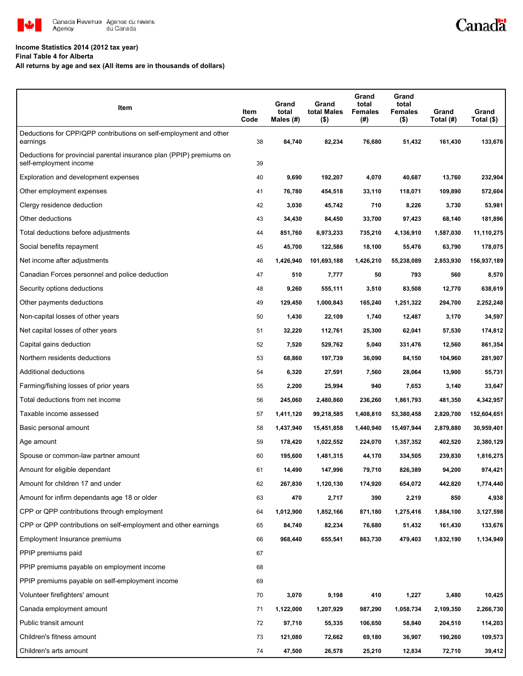

#### **Income Statistics 2014 (2012 tax year)**

**Final Table 4 for Alberta**

**All returns by age and sex (All items are in thousands of dollars)**

| Item                                                                                           | Item<br>Code | Grand<br>total<br>Males (#) | Grand<br>total Males<br>$($ \$) | Grand<br>total<br>Females<br>(#) | Grand<br>total<br>Females<br>$($ \$) | Grand<br>Total (#) | Grand<br>Total (\$) |
|------------------------------------------------------------------------------------------------|--------------|-----------------------------|---------------------------------|----------------------------------|--------------------------------------|--------------------|---------------------|
| Deductions for CPP/QPP contributions on self-employment and other<br>earnings                  | 38           | 84,740                      | 82,234                          | 76,680                           | 51,432                               | 161,430            | 133,676             |
| Deductions for provincial parental insurance plan (PPIP) premiums on<br>self-employment income | 39           |                             |                                 |                                  |                                      |                    |                     |
| Exploration and development expenses                                                           | 40           | 9,690                       | 192,207                         | 4,070                            | 40,687                               | 13,760             | 232,904             |
| Other employment expenses                                                                      | 41           | 76,780                      | 454,518                         | 33,110                           | 118,071                              | 109,890            | 572,604             |
| Clergy residence deduction                                                                     | 42           | 3,030                       | 45,742                          | 710                              | 8,226                                | 3,730              | 53,981              |
| Other deductions                                                                               | 43           | 34,430                      | 84,450                          | 33,700                           | 97,423                               | 68,140             | 181,896             |
| Total deductions before adjustments                                                            | 44           | 851,760                     | 6,973,233                       | 735,210                          | 4,136,910                            | 1,587,030          | 11,110,275          |
| Social benefits repayment                                                                      | 45           | 45,700                      | 122,586                         | 18,100                           | 55,476                               | 63,790             | 178,075             |
| Net income after adjustments                                                                   | 46           | 1,426,940                   | 101,693,188                     | 1,426,210                        | 55,238,089                           | 2,853,930          | 156,937,189         |
| Canadian Forces personnel and police deduction                                                 | 47           | 510                         | 7,777                           | 50                               | 793                                  | 560                | 8,570               |
| Security options deductions                                                                    | 48           | 9,260                       | 555,111                         | 3,510                            | 83,508                               | 12,770             | 638,619             |
| Other payments deductions                                                                      | 49           | 129,450                     | 1,000,843                       | 165,240                          | 1,251,322                            | 294,700            | 2,252,248           |
| Non-capital losses of other years                                                              | 50           | 1,430                       | 22,109                          | 1,740                            | 12,487                               | 3,170              | 34,597              |
| Net capital losses of other years                                                              | 51           | 32,220                      | 112,761                         | 25,300                           | 62,041                               | 57,530             | 174,812             |
| Capital gains deduction                                                                        | 52           | 7,520                       | 529,762                         | 5,040                            | 331,476                              | 12,560             | 861,354             |
| Northern residents deductions                                                                  | 53           | 68,860                      | 197,739                         | 36,090                           | 84,150                               | 104,960            | 281,907             |
| Additional deductions                                                                          | 54           | 6,320                       | 27,591                          | 7,560                            | 28,064                               | 13,900             | 55,731              |
| Farming/fishing losses of prior years                                                          | 55           | 2,200                       | 25,994                          | 940                              | 7,653                                | 3,140              | 33,647              |
| Total deductions from net income                                                               | 56           | 245,060                     | 2,480,860                       | 236,260                          | 1,861,793                            | 481,350            | 4,342,957           |
| Taxable income assessed                                                                        | 57           | 1,411,120                   | 99,218,585                      | 1,408,810                        | 53,380,458                           | 2,820,700          | 152,604,651         |
| Basic personal amount                                                                          | 58           | 1,437,940                   | 15,451,858                      | 1,440,940                        | 15,497,944                           | 2,879,880          | 30,959,401          |
| Age amount                                                                                     | 59           | 178,420                     | 1,022,552                       | 224,070                          | 1,357,352                            | 402,520            | 2,380,129           |
| Spouse or common-law partner amount                                                            | 60           | 195,600                     | 1,481,315                       | 44,170                           | 334,505                              | 239,830            | 1,816,275           |
| Amount for eligible dependant                                                                  | 61           | 14,490                      | 147,996                         | 79,710                           | 826,389                              | 94,200             | 974,421             |
| Amount for children 17 and under                                                               | 62           | 267,830                     | 1,120,130                       | 174,920                          | 654,072                              | 442,820            | 1,774,440           |
| Amount for infirm dependants age 18 or older                                                   | 63           | 470                         | 2,717                           | 390                              | 2,219                                | 850                | 4,938               |
| CPP or QPP contributions through employment                                                    | 64           | 1,012,900                   | 1,852,166                       | 871,180                          | 1,275,416                            | 1,884,100          | 3,127,598           |
| CPP or QPP contributions on self-employment and other earnings                                 | 65           | 84,740                      | 82,234                          | 76,680                           | 51,432                               | 161,430            | 133,676             |
| Employment Insurance premiums                                                                  | 66           | 968,440                     | 655,541                         | 863,730                          | 479,403                              | 1,832,190          | 1,134,949           |
| PPIP premiums paid                                                                             | 67           |                             |                                 |                                  |                                      |                    |                     |
| PPIP premiums payable on employment income                                                     | 68           |                             |                                 |                                  |                                      |                    |                     |
| PPIP premiums payable on self-employment income                                                | 69           |                             |                                 |                                  |                                      |                    |                     |
| Volunteer firefighters' amount                                                                 | 70           | 3,070                       | 9,198                           | 410                              | 1,227                                | 3,480              | 10,425              |
| Canada employment amount                                                                       | 71           | 1,122,000                   | 1,207,929                       | 987,290                          | 1,058,734                            | 2,109,350          | 2,266,730           |
| Public transit amount                                                                          | 72           | 97,710                      | 55,335                          | 106,650                          | 58,840                               | 204,510            | 114,203             |
| Children's fitness amount                                                                      | 73           | 121,080                     | 72,662                          | 69,180                           | 36,907                               | 190,260            | 109,573             |
| Children's arts amount                                                                         | 74           | 47,500                      | 26,578                          | 25,210                           | 12,834                               | 72,710             | 39,412              |

Canadä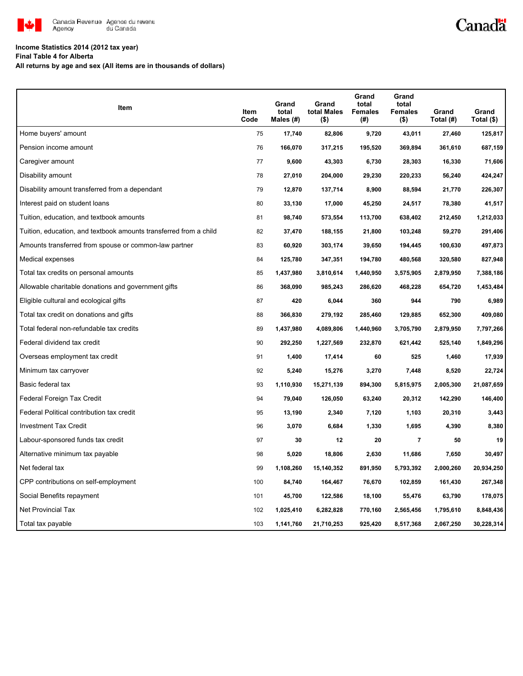

# Canadä

### **Income Statistics 2014 (2012 tax year)**

**Final Table 4 for Alberta**

**All returns by age and sex (All items are in thousands of dollars)**

| <b>Item</b>                                                       | Item<br>Code | Grand<br>total<br>Males (#) | Grand<br>total Males<br>(\$) | Grand<br>total<br><b>Females</b><br>(#) | Grand<br>total<br><b>Females</b><br>(\$) | Grand<br>Total (#) | Grand<br>Total (\$) |
|-------------------------------------------------------------------|--------------|-----------------------------|------------------------------|-----------------------------------------|------------------------------------------|--------------------|---------------------|
| Home buyers' amount                                               | 75           | 17,740                      | 82,806                       | 9,720                                   | 43,011                                   | 27,460             | 125,817             |
| Pension income amount                                             | 76           | 166,070                     | 317,215                      | 195,520                                 | 369,894                                  | 361,610            | 687,159             |
| Caregiver amount                                                  | 77           | 9,600                       | 43,303                       | 6,730                                   | 28,303                                   | 16,330             | 71,606              |
| Disability amount                                                 | 78           | 27,010                      | 204,000                      | 29,230                                  | 220,233                                  | 56,240             | 424,247             |
| Disability amount transferred from a dependant                    | 79           | 12,870                      | 137,714                      | 8,900                                   | 88,594                                   | 21,770             | 226,307             |
| Interest paid on student loans                                    | 80           | 33,130                      | 17,000                       | 45,250                                  | 24,517                                   | 78,380             | 41,517              |
| Tuition, education, and textbook amounts                          | 81           | 98,740                      | 573,554                      | 113,700                                 | 638,402                                  | 212,450            | 1,212,033           |
| Tuition, education, and textbook amounts transferred from a child | 82           | 37,470                      | 188,155                      | 21,800                                  | 103,248                                  | 59,270             | 291,406             |
| Amounts transferred from spouse or common-law partner             | 83           | 60,920                      | 303,174                      | 39,650                                  | 194,445                                  | 100,630            | 497,873             |
| Medical expenses                                                  | 84           | 125,780                     | 347,351                      | 194,780                                 | 480,568                                  | 320,580            | 827,948             |
| Total tax credits on personal amounts                             | 85           | 1,437,980                   | 3,810,614                    | 1,440,950                               | 3,575,905                                | 2,879,950          | 7,388,186           |
| Allowable charitable donations and government gifts               | 86           | 368,090                     | 985,243                      | 286,620                                 | 468,228                                  | 654,720            | 1,453,484           |
| Eligible cultural and ecological gifts                            | 87           | 420                         | 6,044                        | 360                                     | 944                                      | 790                | 6,989               |
| Total tax credit on donations and gifts                           | 88           | 366,830                     | 279,192                      | 285,460                                 | 129,885                                  | 652,300            | 409,080             |
| Total federal non-refundable tax credits                          | 89           | 1,437,980                   | 4,089,806                    | 1,440,960                               | 3,705,790                                | 2,879,950          | 7,797,266           |
| Federal dividend tax credit                                       | 90           | 292,250                     | 1,227,569                    | 232,870                                 | 621,442                                  | 525,140            | 1,849,296           |
| Overseas employment tax credit                                    | 91           | 1,400                       | 17,414                       | 60                                      | 525                                      | 1,460              | 17,939              |
| Minimum tax carryover                                             | 92           | 5,240                       | 15,276                       | 3,270                                   | 7,448                                    | 8,520              | 22,724              |
| Basic federal tax                                                 | 93           | 1,110,930                   | 15,271,139                   | 894,300                                 | 5,815,975                                | 2,005,300          | 21,087,659          |
| Federal Foreign Tax Credit                                        | 94           | 79,040                      | 126,050                      | 63,240                                  | 20,312                                   | 142,290            | 146,400             |
| Federal Political contribution tax credit                         | 95           | 13,190                      | 2,340                        | 7,120                                   | 1,103                                    | 20,310             | 3,443               |
| <b>Investment Tax Credit</b>                                      | 96           | 3,070                       | 6,684                        | 1,330                                   | 1,695                                    | 4,390              | 8,380               |
| Labour-sponsored funds tax credit                                 | 97           | 30                          | 12                           | 20                                      | $\overline{7}$                           | 50                 | 19                  |
| Alternative minimum tax payable                                   | 98           | 5,020                       | 18,806                       | 2,630                                   | 11,686                                   | 7,650              | 30,497              |
| Net federal tax                                                   | 99           | 1,108,260                   | 15,140,352                   | 891,950                                 | 5,793,392                                | 2,000,260          | 20,934,250          |
| CPP contributions on self-employment                              | 100          | 84,740                      | 164,467                      | 76,670                                  | 102,859                                  | 161,430            | 267,348             |
| Social Benefits repayment                                         | 101          | 45,700                      | 122,586                      | 18,100                                  | 55,476                                   | 63,790             | 178,075             |
| <b>Net Provincial Tax</b>                                         | 102          | 1,025,410                   | 6,282,828                    | 770,160                                 | 2,565,456                                | 1,795,610          | 8,848,436           |
| Total tax payable                                                 | 103          | 1,141,760                   | 21,710,253                   | 925,420                                 | 8,517,368                                | 2,067,250          | 30,228,314          |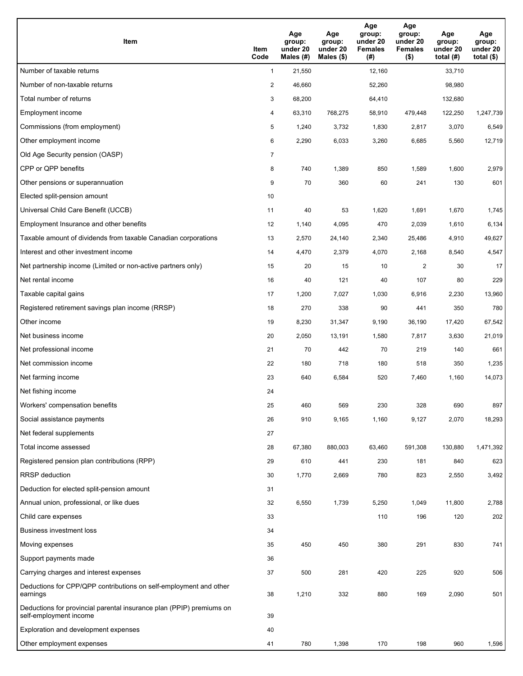| Item                                                                                           | Item<br>Code   | Age<br>group:<br>under 20<br>Males (#) | Age<br>group:<br>under 20<br>Males (\$) | Age<br>group:<br>under 20<br><b>Females</b><br>(#) | Age<br>group:<br>under 20<br><b>Females</b><br>$($ \$) | Age<br>group:<br>under 20<br>total $(H)$ | Age<br>group:<br>under 20<br>total $($)$ |
|------------------------------------------------------------------------------------------------|----------------|----------------------------------------|-----------------------------------------|----------------------------------------------------|--------------------------------------------------------|------------------------------------------|------------------------------------------|
| Number of taxable returns                                                                      | $\mathbf{1}$   | 21,550                                 |                                         | 12,160                                             |                                                        | 33,710                                   |                                          |
| Number of non-taxable returns                                                                  | $\overline{2}$ | 46,660                                 |                                         | 52,260                                             |                                                        | 98,980                                   |                                          |
| Total number of returns                                                                        | 3              | 68,200                                 |                                         | 64,410                                             |                                                        | 132,680                                  |                                          |
| <b>Employment income</b>                                                                       | 4              | 63,310                                 | 768,275                                 | 58,910                                             | 479,448                                                | 122,250                                  | 1,247,739                                |
| Commissions (from employment)                                                                  | 5              | 1,240                                  | 3,732                                   | 1,830                                              | 2,817                                                  | 3,070                                    | 6,549                                    |
| Other employment income                                                                        | 6              | 2,290                                  | 6,033                                   | 3,260                                              | 6,685                                                  | 5,560                                    | 12,719                                   |
| Old Age Security pension (OASP)                                                                | $\overline{7}$ |                                        |                                         |                                                    |                                                        |                                          |                                          |
| CPP or QPP benefits                                                                            | 8              | 740                                    | 1,389                                   | 850                                                | 1,589                                                  | 1,600                                    | 2,979                                    |
| Other pensions or superannuation                                                               | 9              | 70                                     | 360                                     | 60                                                 | 241                                                    | 130                                      | 601                                      |
| Elected split-pension amount                                                                   | 10             |                                        |                                         |                                                    |                                                        |                                          |                                          |
| Universal Child Care Benefit (UCCB)                                                            | 11             | 40                                     | 53                                      | 1,620                                              | 1,691                                                  | 1,670                                    | 1,745                                    |
| Employment Insurance and other benefits                                                        | 12             | 1,140                                  | 4,095                                   | 470                                                | 2,039                                                  | 1,610                                    | 6,134                                    |
| Taxable amount of dividends from taxable Canadian corporations                                 | 13             | 2,570                                  | 24,140                                  | 2,340                                              | 25,486                                                 | 4,910                                    | 49,627                                   |
| Interest and other investment income                                                           | 14             | 4,470                                  | 2,379                                   | 4,070                                              | 2,168                                                  | 8,540                                    | 4,547                                    |
| Net partnership income (Limited or non-active partners only)                                   | 15             | 20                                     | 15                                      | 10                                                 | $\overline{2}$                                         | 30                                       | 17                                       |
| Net rental income                                                                              | 16             | 40                                     | 121                                     | 40                                                 | 107                                                    | 80                                       | 229                                      |
| Taxable capital gains                                                                          | 17             | 1,200                                  | 7,027                                   | 1,030                                              | 6,916                                                  | 2,230                                    | 13,960                                   |
| Registered retirement savings plan income (RRSP)                                               | 18             | 270                                    | 338                                     | 90                                                 | 441                                                    | 350                                      | 780                                      |
| Other income                                                                                   | 19             | 8,230                                  | 31,347                                  | 9,190                                              | 36,190                                                 | 17,420                                   | 67,542                                   |
| Net business income                                                                            | 20             | 2,050                                  | 13,191                                  | 1,580                                              | 7,817                                                  | 3,630                                    | 21,019                                   |
| Net professional income                                                                        | 21             | 70                                     | 442                                     | 70                                                 | 219                                                    | 140                                      | 661                                      |
| Net commission income                                                                          | 22             | 180                                    | 718                                     | 180                                                | 518                                                    | 350                                      | 1,235                                    |
| Net farming income                                                                             | 23             | 640                                    | 6,584                                   | 520                                                | 7,460                                                  | 1,160                                    | 14,073                                   |
| Net fishing income                                                                             | 24             |                                        |                                         |                                                    |                                                        |                                          |                                          |
| Workers' compensation benefits                                                                 | 25             | 460                                    | 569                                     | 230                                                | 328                                                    | 690                                      | 897                                      |
| Social assistance payments                                                                     | 26             | 910                                    | 9,165                                   | 1,160                                              | 9,127                                                  | 2,070                                    | 18,293                                   |
| Net federal supplements                                                                        | 27             |                                        |                                         |                                                    |                                                        |                                          |                                          |
| Total income assessed                                                                          | 28             | 67,380                                 | 880,003                                 | 63,460                                             | 591,308                                                | 130,880                                  | 1,471,392                                |
| Registered pension plan contributions (RPP)                                                    | 29             | 610                                    | 441                                     | 230                                                | 181                                                    | 840                                      | 623                                      |
| RRSP deduction                                                                                 | 30             | 1,770                                  | 2,669                                   | 780                                                | 823                                                    | 2,550                                    | 3,492                                    |
| Deduction for elected split-pension amount                                                     | 31             |                                        |                                         |                                                    |                                                        |                                          |                                          |
| Annual union, professional, or like dues                                                       | 32             | 6,550                                  | 1,739                                   | 5,250                                              | 1,049                                                  | 11,800                                   | 2,788                                    |
| Child care expenses                                                                            | 33             |                                        |                                         | 110                                                | 196                                                    | 120                                      | 202                                      |
| Business investment loss                                                                       | 34             |                                        |                                         |                                                    |                                                        |                                          |                                          |
| Moving expenses                                                                                | 35             | 450                                    | 450                                     | 380                                                | 291                                                    | 830                                      | 741                                      |
| Support payments made                                                                          | 36             |                                        |                                         |                                                    |                                                        |                                          |                                          |
| Carrying charges and interest expenses                                                         | 37             | 500                                    | 281                                     | 420                                                | 225                                                    | 920                                      | 506                                      |
| Deductions for CPP/QPP contributions on self-employment and other<br>earnings                  | 38             | 1,210                                  | 332                                     | 880                                                | 169                                                    | 2,090                                    | 501                                      |
| Deductions for provincial parental insurance plan (PPIP) premiums on<br>self-employment income | 39             |                                        |                                         |                                                    |                                                        |                                          |                                          |
| Exploration and development expenses                                                           | 40             |                                        |                                         |                                                    |                                                        |                                          |                                          |
| Other employment expenses                                                                      | 41             | 780                                    | 1,398                                   | 170                                                | 198                                                    | 960                                      | 1,596                                    |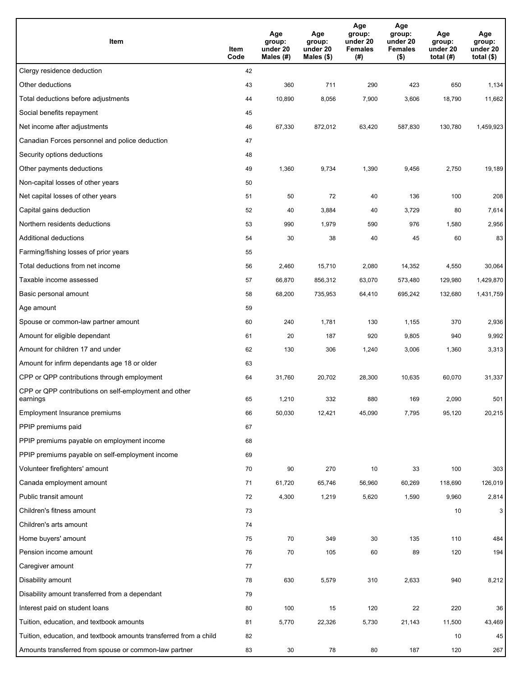| Item                                                              | Item<br>Code | Age<br>group:<br>under 20<br>Males (#) | Age<br>group:<br>under 20<br>Males (\$) | Age<br>group:<br>under 20<br><b>Females</b><br>(#) | Age<br>group:<br>under 20<br><b>Females</b><br>$($ \$) | Age<br>group:<br>under 20<br>total $(H)$ | Age<br>group:<br>under 20<br>total $($)$ |
|-------------------------------------------------------------------|--------------|----------------------------------------|-----------------------------------------|----------------------------------------------------|--------------------------------------------------------|------------------------------------------|------------------------------------------|
| Clergy residence deduction                                        | 42           |                                        |                                         |                                                    |                                                        |                                          |                                          |
| Other deductions                                                  | 43           | 360                                    | 711                                     | 290                                                | 423                                                    | 650                                      | 1,134                                    |
| Total deductions before adjustments                               | 44           | 10,890                                 | 8,056                                   | 7,900                                              | 3,606                                                  | 18,790                                   | 11,662                                   |
| Social benefits repayment                                         | 45           |                                        |                                         |                                                    |                                                        |                                          |                                          |
| Net income after adjustments                                      | 46           | 67,330                                 | 872,012                                 | 63,420                                             | 587,830                                                | 130,780                                  | 1,459,923                                |
| Canadian Forces personnel and police deduction                    | 47           |                                        |                                         |                                                    |                                                        |                                          |                                          |
| Security options deductions                                       | 48           |                                        |                                         |                                                    |                                                        |                                          |                                          |
| Other payments deductions                                         | 49           | 1,360                                  | 9,734                                   | 1,390                                              | 9,456                                                  | 2,750                                    | 19,189                                   |
| Non-capital losses of other years                                 | 50           |                                        |                                         |                                                    |                                                        |                                          |                                          |
| Net capital losses of other years                                 | 51           | 50                                     | 72                                      | 40                                                 | 136                                                    | 100                                      | 208                                      |
| Capital gains deduction                                           | 52           | 40                                     | 3,884                                   | 40                                                 | 3,729                                                  | 80                                       | 7,614                                    |
| Northern residents deductions                                     | 53           | 990                                    | 1,979                                   | 590                                                | 976                                                    | 1,580                                    | 2,956                                    |
| Additional deductions                                             | 54           | 30                                     | 38                                      | 40                                                 | 45                                                     | 60                                       | 83                                       |
| Farming/fishing losses of prior years                             | 55           |                                        |                                         |                                                    |                                                        |                                          |                                          |
| Total deductions from net income                                  | 56           | 2,460                                  | 15,710                                  | 2,080                                              | 14,352                                                 | 4,550                                    | 30,064                                   |
| Taxable income assessed                                           | 57           | 66,870                                 | 856,312                                 | 63,070                                             | 573,480                                                | 129,980                                  | 1,429,870                                |
| Basic personal amount                                             | 58           | 68,200                                 | 735,953                                 | 64,410                                             | 695,242                                                | 132,680                                  | 1,431,759                                |
| Age amount                                                        | 59           |                                        |                                         |                                                    |                                                        |                                          |                                          |
| Spouse or common-law partner amount                               | 60           | 240                                    | 1,781                                   | 130                                                | 1,155                                                  | 370                                      | 2,936                                    |
| Amount for eligible dependant                                     | 61           | 20                                     | 187                                     | 920                                                | 9,805                                                  | 940                                      | 9,992                                    |
| Amount for children 17 and under                                  | 62           | 130                                    | 306                                     | 1,240                                              | 3,006                                                  | 1,360                                    | 3,313                                    |
| Amount for infirm dependants age 18 or older                      | 63           |                                        |                                         |                                                    |                                                        |                                          |                                          |
| CPP or QPP contributions through employment                       | 64           | 31,760                                 | 20,702                                  | 28,300                                             | 10,635                                                 | 60,070                                   | 31,337                                   |
| CPP or QPP contributions on self-employment and other<br>earnings | 65           | 1,210                                  | 332                                     | 880                                                | 169                                                    | 2,090                                    | 501                                      |
| Employment Insurance premiums                                     | 66           | 50,030                                 | 12,421                                  | 45,090                                             | 7,795                                                  | 95,120                                   | 20,215                                   |
| PPIP premiums paid                                                | 67           |                                        |                                         |                                                    |                                                        |                                          |                                          |
| PPIP premiums payable on employment income                        | 68           |                                        |                                         |                                                    |                                                        |                                          |                                          |
| PPIP premiums payable on self-employment income                   | 69           |                                        |                                         |                                                    |                                                        |                                          |                                          |
| Volunteer firefighters' amount                                    | 70           | 90                                     | 270                                     | 10                                                 | 33                                                     | 100                                      | 303                                      |
| Canada employment amount                                          | 71           | 61,720                                 | 65,746                                  | 56,960                                             | 60,269                                                 | 118,690                                  | 126,019                                  |
| Public transit amount                                             | 72           | 4,300                                  | 1,219                                   | 5,620                                              | 1,590                                                  | 9,960                                    | 2,814                                    |
| Children's fitness amount                                         | 73           |                                        |                                         |                                                    |                                                        | 10                                       | 3                                        |
| Children's arts amount                                            | 74           |                                        |                                         |                                                    |                                                        |                                          |                                          |
| Home buyers' amount                                               | 75           | 70                                     | 349                                     | 30                                                 | 135                                                    | 110                                      | 484                                      |
| Pension income amount                                             | 76           | 70                                     | 105                                     | 60                                                 | 89                                                     | 120                                      | 194                                      |
| Caregiver amount                                                  | 77           |                                        |                                         |                                                    |                                                        |                                          |                                          |
| Disability amount                                                 | 78           | 630                                    | 5,579                                   | 310                                                | 2,633                                                  | 940                                      | 8,212                                    |
| Disability amount transferred from a dependant                    | 79           |                                        |                                         |                                                    |                                                        |                                          |                                          |
| Interest paid on student loans                                    | 80           | 100                                    | 15                                      | 120                                                | 22                                                     | 220                                      | 36                                       |
| Tuition, education, and textbook amounts                          | 81           | 5,770                                  | 22,326                                  | 5,730                                              | 21,143                                                 | 11,500                                   | 43,469                                   |
| Tuition, education, and textbook amounts transferred from a child | 82           |                                        |                                         |                                                    |                                                        | 10                                       | 45                                       |
| Amounts transferred from spouse or common-law partner             | 83           | 30                                     | 78                                      | 80                                                 | 187                                                    | 120                                      | 267                                      |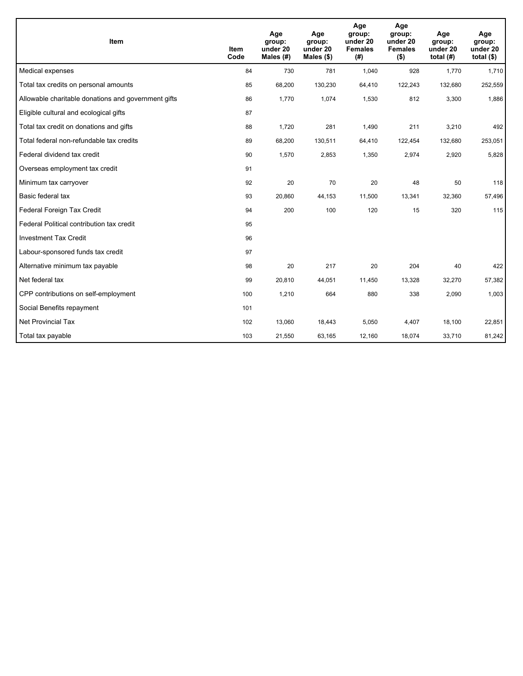| Item                                                | <b>Item</b><br>Code | Age<br>group:<br>under 20<br>Males (#) | Age<br>group:<br>under 20<br>Males $(\$)$ | Age<br>group:<br>under 20<br><b>Females</b><br>(# ) | Age<br>group:<br>under 20<br><b>Females</b><br>$($ \$) | Age<br>group:<br>under 20<br>total $(H)$ | Age<br>group:<br>under 20<br>total $($)$ |
|-----------------------------------------------------|---------------------|----------------------------------------|-------------------------------------------|-----------------------------------------------------|--------------------------------------------------------|------------------------------------------|------------------------------------------|
| Medical expenses                                    | 84                  | 730                                    | 781                                       | 1,040                                               | 928                                                    | 1,770                                    | 1,710                                    |
| Total tax credits on personal amounts               | 85                  | 68,200                                 | 130,230                                   | 64,410                                              | 122,243                                                | 132,680                                  | 252,559                                  |
| Allowable charitable donations and government gifts | 86                  | 1,770                                  | 1,074                                     | 1,530                                               | 812                                                    | 3,300                                    | 1,886                                    |
| Eligible cultural and ecological gifts              | 87                  |                                        |                                           |                                                     |                                                        |                                          |                                          |
| Total tax credit on donations and gifts             | 88                  | 1,720                                  | 281                                       | 1,490                                               | 211                                                    | 3,210                                    | 492                                      |
| Total federal non-refundable tax credits            | 89                  | 68,200                                 | 130,511                                   | 64,410                                              | 122,454                                                | 132,680                                  | 253,051                                  |
| Federal dividend tax credit                         | 90                  | 1,570                                  | 2,853                                     | 1,350                                               | 2,974                                                  | 2,920                                    | 5,828                                    |
| Overseas employment tax credit                      | 91                  |                                        |                                           |                                                     |                                                        |                                          |                                          |
| Minimum tax carryover                               | 92                  | 20                                     | 70                                        | 20                                                  | 48                                                     | 50                                       | 118                                      |
| Basic federal tax                                   | 93                  | 20,860                                 | 44,153                                    | 11,500                                              | 13,341                                                 | 32,360                                   | 57,496                                   |
| Federal Foreign Tax Credit                          | 94                  | 200                                    | 100                                       | 120                                                 | 15                                                     | 320                                      | 115                                      |
| Federal Political contribution tax credit           | 95                  |                                        |                                           |                                                     |                                                        |                                          |                                          |
| <b>Investment Tax Credit</b>                        | 96                  |                                        |                                           |                                                     |                                                        |                                          |                                          |
| Labour-sponsored funds tax credit                   | 97                  |                                        |                                           |                                                     |                                                        |                                          |                                          |
| Alternative minimum tax payable                     | 98                  | 20                                     | 217                                       | 20                                                  | 204                                                    | 40                                       | 422                                      |
| Net federal tax                                     | 99                  | 20,810                                 | 44,051                                    | 11,450                                              | 13,328                                                 | 32,270                                   | 57,382                                   |
| CPP contributions on self-employment                | 100                 | 1,210                                  | 664                                       | 880                                                 | 338                                                    | 2,090                                    | 1,003                                    |
| Social Benefits repayment                           | 101                 |                                        |                                           |                                                     |                                                        |                                          |                                          |
| Net Provincial Tax                                  | 102                 | 13,060                                 | 18,443                                    | 5,050                                               | 4,407                                                  | 18,100                                   | 22,851                                   |
| Total tax payable                                   | 103                 | 21,550                                 | 63,165                                    | 12,160                                              | 18,074                                                 | 33,710                                   | 81,242                                   |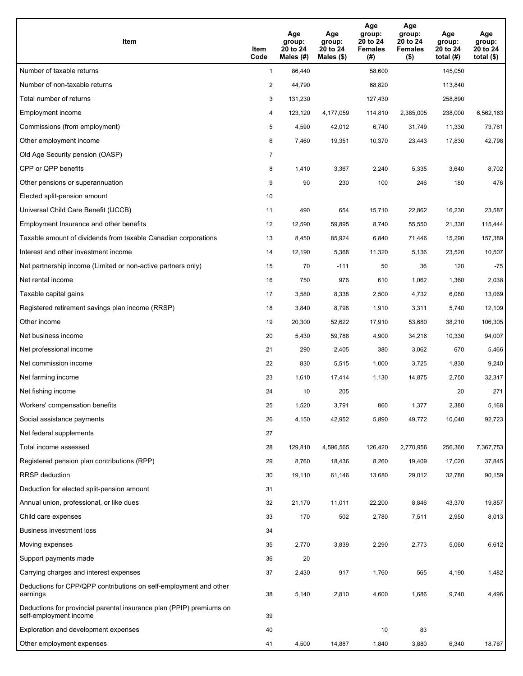| Item                                                                                           | Item<br>Code | Age<br>group:<br>20 to 24<br>Males (#) | Age<br>group:<br>20 to 24<br>Males $(\$)$ | Age<br>group:<br>20 to 24<br><b>Females</b><br>(#) | Age<br>group:<br>20 to 24<br><b>Females</b><br>$($ \$) | Age<br>group:<br>20 to 24<br>total $(H)$ | Age<br>group:<br>20 to 24<br>total $($ |
|------------------------------------------------------------------------------------------------|--------------|----------------------------------------|-------------------------------------------|----------------------------------------------------|--------------------------------------------------------|------------------------------------------|----------------------------------------|
| Number of taxable returns                                                                      | $\mathbf{1}$ | 86,440                                 |                                           | 58,600                                             |                                                        | 145,050                                  |                                        |
| Number of non-taxable returns                                                                  | 2            | 44,790                                 |                                           | 68,820                                             |                                                        | 113,840                                  |                                        |
| Total number of returns                                                                        | 3            | 131,230                                |                                           | 127,430                                            |                                                        | 258,890                                  |                                        |
| Employment income                                                                              | 4            | 123.120                                | 4,177,059                                 | 114,810                                            | 2,385,005                                              | 238,000                                  | 6,562,163                              |
| Commissions (from employment)                                                                  | 5            | 4,590                                  | 42,012                                    | 6,740                                              | 31,749                                                 | 11,330                                   | 73,761                                 |
| Other employment income                                                                        | 6            | 7,460                                  | 19,351                                    | 10,370                                             | 23,443                                                 | 17,830                                   | 42,798                                 |
| Old Age Security pension (OASP)                                                                | 7            |                                        |                                           |                                                    |                                                        |                                          |                                        |
| CPP or QPP benefits                                                                            | 8            | 1,410                                  | 3,367                                     | 2,240                                              | 5,335                                                  | 3,640                                    | 8,702                                  |
| Other pensions or superannuation                                                               | 9            | 90                                     | 230                                       | 100                                                | 246                                                    | 180                                      | 476                                    |
| Elected split-pension amount                                                                   | 10           |                                        |                                           |                                                    |                                                        |                                          |                                        |
| Universal Child Care Benefit (UCCB)                                                            | 11           | 490                                    | 654                                       | 15,710                                             | 22,862                                                 | 16.230                                   | 23,587                                 |
| Employment Insurance and other benefits                                                        | 12           | 12,590                                 | 59,895                                    | 8,740                                              | 55,550                                                 | 21,330                                   | 115,444                                |
| Taxable amount of dividends from taxable Canadian corporations                                 | 13           | 8,450                                  | 85,924                                    | 6,840                                              | 71,446                                                 | 15,290                                   | 157,389                                |
| Interest and other investment income                                                           | 14           | 12,190                                 | 5,368                                     | 11,320                                             | 5,136                                                  | 23,520                                   | 10,507                                 |
| Net partnership income (Limited or non-active partners only)                                   | 15           | 70                                     | $-111$                                    | 50                                                 | 36                                                     | 120                                      | $-75$                                  |
| Net rental income                                                                              | 16           | 750                                    | 976                                       | 610                                                | 1,062                                                  | 1,360                                    | 2,038                                  |
| Taxable capital gains                                                                          | 17           | 3,580                                  | 8,338                                     | 2,500                                              | 4,732                                                  | 6,080                                    | 13,069                                 |
| Registered retirement savings plan income (RRSP)                                               | 18           | 3,840                                  | 8,798                                     | 1,910                                              | 3,311                                                  | 5,740                                    | 12,109                                 |
| Other income                                                                                   | 19           | 20,300                                 | 52,622                                    | 17,910                                             | 53,680                                                 | 38,210                                   | 106,305                                |
| Net business income                                                                            | 20           | 5,430                                  | 59,788                                    | 4,900                                              | 34,216                                                 | 10,330                                   | 94,007                                 |
| Net professional income                                                                        | 21           | 290                                    | 2,405                                     | 380                                                | 3,062                                                  | 670                                      | 5,466                                  |
| Net commission income                                                                          | 22           | 830                                    | 5,515                                     | 1,000                                              | 3,725                                                  | 1,830                                    | 9,240                                  |
| Net farming income                                                                             | 23           | 1,610                                  | 17,414                                    | 1,130                                              | 14,875                                                 | 2,750                                    | 32,317                                 |
| Net fishing income                                                                             | 24           | 10                                     | 205                                       |                                                    |                                                        | 20                                       | 271                                    |
| Workers' compensation benefits                                                                 | 25           | 1,520                                  | 3,791                                     | 860                                                | 1,377                                                  | 2,380                                    | 5,168                                  |
| Social assistance payments                                                                     | 26           | 4,150                                  | 42,952                                    | 5,890                                              | 49,772                                                 | 10,040                                   | 92,723                                 |
| Net federal supplements                                                                        | 27           |                                        |                                           |                                                    |                                                        |                                          |                                        |
| Total income assessed                                                                          | 28           | 129,810                                | 4,596,565                                 | 126,420                                            | 2,770,956                                              | 256,360                                  | 7,367,753                              |
| Registered pension plan contributions (RPP)                                                    | 29           | 8,760                                  | 18,436                                    | 8,260                                              | 19,409                                                 | 17,020                                   | 37,845                                 |
| RRSP deduction                                                                                 | 30           | 19,110                                 | 61,146                                    | 13,680                                             | 29,012                                                 | 32,780                                   | 90,159                                 |
| Deduction for elected split-pension amount                                                     | 31           |                                        |                                           |                                                    |                                                        |                                          |                                        |
| Annual union, professional, or like dues                                                       | 32           | 21,170                                 | 11,011                                    | 22,200                                             | 8,846                                                  | 43,370                                   | 19,857                                 |
| Child care expenses                                                                            | 33           | 170                                    | 502                                       | 2,780                                              | 7,511                                                  | 2,950                                    | 8,013                                  |
| Business investment loss                                                                       | 34           |                                        |                                           |                                                    |                                                        |                                          |                                        |
| Moving expenses                                                                                | 35           | 2,770                                  | 3,839                                     | 2,290                                              | 2,773                                                  | 5,060                                    | 6,612                                  |
| Support payments made                                                                          | 36           | 20                                     |                                           |                                                    |                                                        |                                          |                                        |
| Carrying charges and interest expenses                                                         | 37           | 2,430                                  | 917                                       | 1,760                                              | 565                                                    | 4,190                                    | 1,482                                  |
| Deductions for CPP/QPP contributions on self-employment and other<br>earnings                  | 38           | 5,140                                  | 2,810                                     | 4,600                                              | 1,686                                                  | 9,740                                    | 4,496                                  |
| Deductions for provincial parental insurance plan (PPIP) premiums on<br>self-employment income | 39           |                                        |                                           |                                                    |                                                        |                                          |                                        |
| Exploration and development expenses                                                           | 40           |                                        |                                           | 10                                                 | 83                                                     |                                          |                                        |
| Other employment expenses                                                                      | 41           | 4,500                                  | 14,887                                    | 1,840                                              | 3,880                                                  | 6,340                                    | 18,767                                 |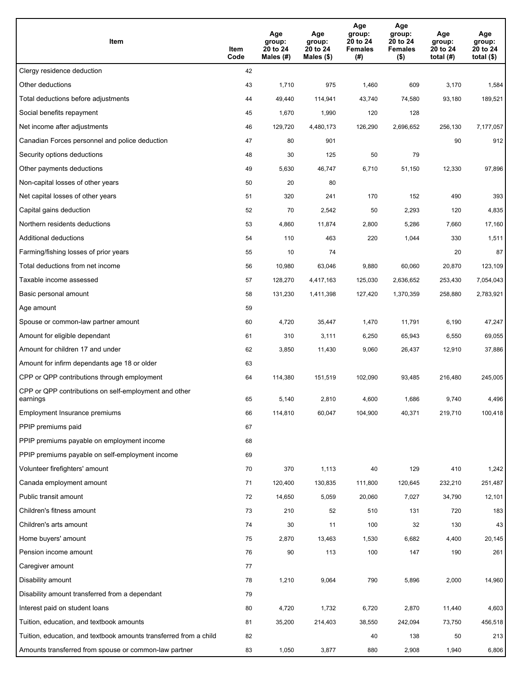| Item                                                              | Item<br>Code | Age<br>group:<br>20 to 24<br>Males (#) | Age<br>group:<br>20 to 24<br>Males (\$) | Age<br>group:<br>20 to 24<br><b>Females</b><br>(#) | Age<br>group:<br>20 to 24<br><b>Females</b><br>$($ \$) | Age<br>group:<br>20 to 24<br>total $(#)$ | Age<br>group:<br>20 to 24<br>total $($)$ |
|-------------------------------------------------------------------|--------------|----------------------------------------|-----------------------------------------|----------------------------------------------------|--------------------------------------------------------|------------------------------------------|------------------------------------------|
| Clergy residence deduction                                        | 42           |                                        |                                         |                                                    |                                                        |                                          |                                          |
| Other deductions                                                  | 43           | 1,710                                  | 975                                     | 1,460                                              | 609                                                    | 3,170                                    | 1,584                                    |
| Total deductions before adjustments                               | 44           | 49,440                                 | 114,941                                 | 43,740                                             | 74,580                                                 | 93,180                                   | 189,521                                  |
| Social benefits repayment                                         | 45           | 1,670                                  | 1,990                                   | 120                                                | 128                                                    |                                          |                                          |
| Net income after adjustments                                      | 46           | 129,720                                | 4,480,173                               | 126,290                                            | 2,696,652                                              | 256,130                                  | 7,177,057                                |
| Canadian Forces personnel and police deduction                    | 47           | 80                                     | 901                                     |                                                    |                                                        | 90                                       | 912                                      |
| Security options deductions                                       | 48           | 30                                     | 125                                     | 50                                                 | 79                                                     |                                          |                                          |
| Other payments deductions                                         | 49           | 5,630                                  | 46,747                                  | 6,710                                              | 51,150                                                 | 12,330                                   | 97,896                                   |
| Non-capital losses of other years                                 | 50           | 20                                     | 80                                      |                                                    |                                                        |                                          |                                          |
| Net capital losses of other years                                 | 51           | 320                                    | 241                                     | 170                                                | 152                                                    | 490                                      | 393                                      |
| Capital gains deduction                                           | 52           | 70                                     | 2,542                                   | 50                                                 | 2,293                                                  | 120                                      | 4,835                                    |
| Northern residents deductions                                     | 53           | 4,860                                  | 11,874                                  | 2,800                                              | 5,286                                                  | 7,660                                    | 17,160                                   |
| Additional deductions                                             | 54           | 110                                    | 463                                     | 220                                                | 1,044                                                  | 330                                      | 1,511                                    |
| Farming/fishing losses of prior years                             | 55           | 10                                     | 74                                      |                                                    |                                                        | 20                                       | 87                                       |
| Total deductions from net income                                  | 56           | 10,980                                 | 63,046                                  | 9,880                                              | 60,060                                                 | 20,870                                   | 123,109                                  |
| Taxable income assessed                                           | 57           | 128,270                                | 4,417,163                               | 125,030                                            | 2,636,652                                              | 253,430                                  | 7,054,043                                |
| Basic personal amount                                             | 58           | 131,230                                | 1,411,398                               | 127,420                                            | 1,370,359                                              | 258,880                                  | 2,783,921                                |
| Age amount                                                        | 59           |                                        |                                         |                                                    |                                                        |                                          |                                          |
| Spouse or common-law partner amount                               | 60           | 4,720                                  | 35,447                                  | 1,470                                              | 11,791                                                 | 6,190                                    | 47,247                                   |
| Amount for eligible dependant                                     | 61           | 310                                    | 3,111                                   | 6,250                                              | 65,943                                                 | 6,550                                    | 69,055                                   |
| Amount for children 17 and under                                  | 62           | 3,850                                  | 11,430                                  | 9,060                                              | 26,437                                                 | 12,910                                   | 37,886                                   |
| Amount for infirm dependants age 18 or older                      | 63           |                                        |                                         |                                                    |                                                        |                                          |                                          |
| CPP or QPP contributions through employment                       | 64           | 114,380                                | 151,519                                 | 102,090                                            | 93,485                                                 | 216,480                                  | 245,005                                  |
| CPP or QPP contributions on self-employment and other<br>earnings | 65           | 5,140                                  | 2,810                                   | 4,600                                              | 1,686                                                  | 9,740                                    | 4,496                                    |
| Employment Insurance premiums                                     | 66           | 114,810                                | 60,047                                  | 104,900                                            | 40,371                                                 | 219,710                                  | 100,418                                  |
| PPIP premiums paid                                                | 67           |                                        |                                         |                                                    |                                                        |                                          |                                          |
| PPIP premiums payable on employment income                        | 68           |                                        |                                         |                                                    |                                                        |                                          |                                          |
| PPIP premiums payable on self-employment income                   | 69           |                                        |                                         |                                                    |                                                        |                                          |                                          |
| Volunteer firefighters' amount                                    | 70           | 370                                    | 1,113                                   | 40                                                 | 129                                                    | 410                                      | 1,242                                    |
| Canada employment amount                                          | 71           | 120,400                                | 130,835                                 | 111,800                                            | 120,645                                                | 232,210                                  | 251,487                                  |
| Public transit amount                                             | 72           | 14,650                                 | 5,059                                   | 20,060                                             | 7,027                                                  | 34,790                                   | 12,101                                   |
| Children's fitness amount                                         | 73           | 210                                    | 52                                      | 510                                                | 131                                                    | 720                                      | 183                                      |
| Children's arts amount                                            | 74           | 30                                     | 11                                      | 100                                                | 32                                                     | 130                                      | 43                                       |
| Home buyers' amount                                               | 75           | 2,870                                  | 13,463                                  | 1,530                                              | 6,682                                                  | 4,400                                    | 20,145                                   |
| Pension income amount                                             | 76           | 90                                     | 113                                     | 100                                                | 147                                                    | 190                                      | 261                                      |
| Caregiver amount                                                  | 77           |                                        |                                         |                                                    |                                                        |                                          |                                          |
| Disability amount                                                 | 78           | 1,210                                  | 9,064                                   | 790                                                | 5,896                                                  | 2,000                                    | 14,960                                   |
| Disability amount transferred from a dependant                    | 79           |                                        |                                         |                                                    |                                                        |                                          |                                          |
| Interest paid on student loans                                    | 80           | 4,720                                  | 1,732                                   | 6,720                                              | 2,870                                                  | 11,440                                   | 4,603                                    |
| Tuition, education, and textbook amounts                          | 81           | 35,200                                 | 214,403                                 | 38,550                                             | 242,094                                                | 73,750                                   | 456,518                                  |
| Tuition, education, and textbook amounts transferred from a child | 82           |                                        |                                         | 40                                                 | 138                                                    | 50                                       | 213                                      |
| Amounts transferred from spouse or common-law partner             | 83           | 1,050                                  | 3,877                                   | 880                                                | 2,908                                                  | 1,940                                    | 6,806                                    |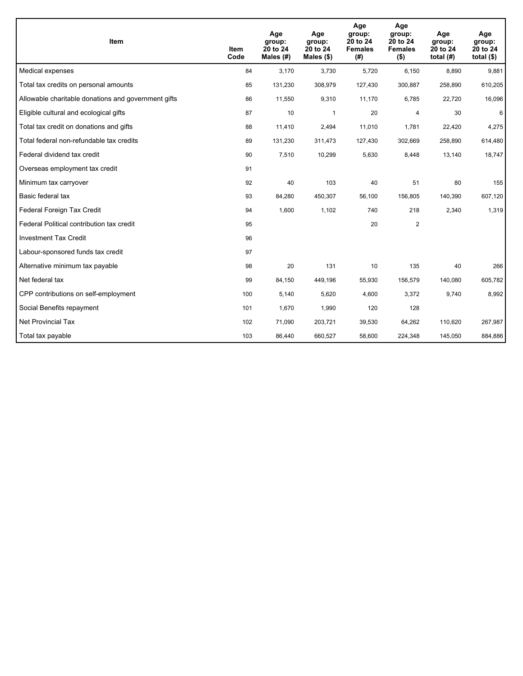| <b>Item</b>                                         | <b>Item</b><br>Code | Age<br>group:<br>20 to 24<br>Males (#) | Age<br>group:<br>20 to 24<br>Males $(\$)$ | Age<br>group:<br>20 to 24<br><b>Females</b><br>(#) | Age<br>group:<br>20 to 24<br><b>Females</b><br>$($ \$) | Age<br>group:<br>20 to 24<br>total $(H)$ | Age<br>group:<br>20 to 24<br>total $($)$ |
|-----------------------------------------------------|---------------------|----------------------------------------|-------------------------------------------|----------------------------------------------------|--------------------------------------------------------|------------------------------------------|------------------------------------------|
| Medical expenses                                    | 84                  | 3,170                                  | 3,730                                     | 5,720                                              | 6,150                                                  | 8,890                                    | 9,881                                    |
| Total tax credits on personal amounts               | 85                  | 131,230                                | 308,979                                   | 127,430                                            | 300,887                                                | 258,890                                  | 610,205                                  |
| Allowable charitable donations and government gifts | 86                  | 11,550                                 | 9,310                                     | 11,170                                             | 6,785                                                  | 22,720                                   | 16,096                                   |
| Eligible cultural and ecological gifts              | 87                  | 10                                     | $\mathbf{1}$                              | 20                                                 | $\overline{4}$                                         | 30                                       | 6                                        |
| Total tax credit on donations and gifts             | 88                  | 11,410                                 | 2,494                                     | 11,010                                             | 1,781                                                  | 22,420                                   | 4,275                                    |
| Total federal non-refundable tax credits            | 89                  | 131,230                                | 311,473                                   | 127,430                                            | 302,669                                                | 258,890                                  | 614,480                                  |
| Federal dividend tax credit                         | 90                  | 7,510                                  | 10,299                                    | 5,630                                              | 8,448                                                  | 13,140                                   | 18,747                                   |
| Overseas employment tax credit                      | 91                  |                                        |                                           |                                                    |                                                        |                                          |                                          |
| Minimum tax carryover                               | 92                  | 40                                     | 103                                       | 40                                                 | 51                                                     | 80                                       | 155                                      |
| Basic federal tax                                   | 93                  | 84,280                                 | 450,307                                   | 56,100                                             | 156,805                                                | 140,390                                  | 607,120                                  |
| Federal Foreign Tax Credit                          | 94                  | 1,600                                  | 1,102                                     | 740                                                | 218                                                    | 2,340                                    | 1,319                                    |
| Federal Political contribution tax credit           | 95                  |                                        |                                           | 20                                                 | $\overline{2}$                                         |                                          |                                          |
| <b>Investment Tax Credit</b>                        | 96                  |                                        |                                           |                                                    |                                                        |                                          |                                          |
| Labour-sponsored funds tax credit                   | 97                  |                                        |                                           |                                                    |                                                        |                                          |                                          |
| Alternative minimum tax payable                     | 98                  | 20                                     | 131                                       | 10                                                 | 135                                                    | 40                                       | 266                                      |
| Net federal tax                                     | 99                  | 84,150                                 | 449,196                                   | 55,930                                             | 156,579                                                | 140,080                                  | 605,782                                  |
| CPP contributions on self-employment                | 100                 | 5,140                                  | 5,620                                     | 4,600                                              | 3,372                                                  | 9,740                                    | 8,992                                    |
| Social Benefits repayment                           | 101                 | 1,670                                  | 1,990                                     | 120                                                | 128                                                    |                                          |                                          |
| Net Provincial Tax                                  | 102                 | 71,090                                 | 203,721                                   | 39,530                                             | 64,262                                                 | 110,620                                  | 267,987                                  |
| Total tax payable                                   | 103                 | 86,440                                 | 660,527                                   | 58,600                                             | 224,348                                                | 145,050                                  | 884,886                                  |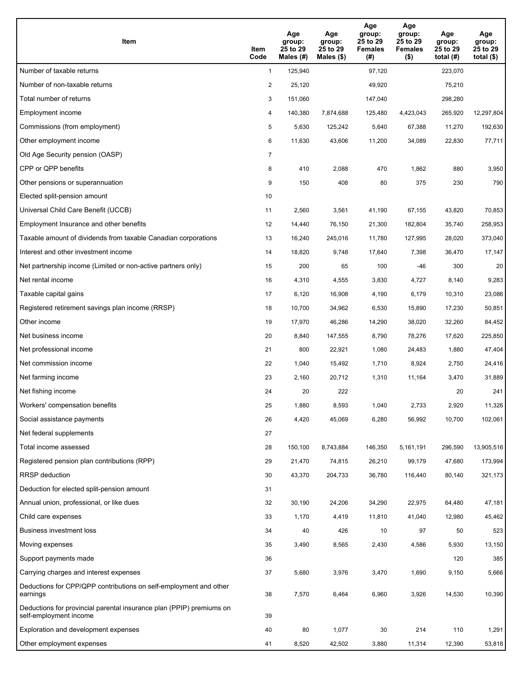| <b>Item</b>                                                                                    | Item<br>Code   | Age<br>group:<br>25 to 29<br>Males $(H)$ | Age<br>group:<br>25 to 29<br>Males (\$) | Age<br>group:<br>25 to 29<br><b>Females</b><br>(#) | Age<br>group:<br>25 to 29<br><b>Females</b><br>$($ \$) | Age<br>group:<br>25 to 29<br>total $(H)$ | Age<br>group:<br>25 to 29<br>total $($)$ |
|------------------------------------------------------------------------------------------------|----------------|------------------------------------------|-----------------------------------------|----------------------------------------------------|--------------------------------------------------------|------------------------------------------|------------------------------------------|
| Number of taxable returns                                                                      | $\mathbf{1}$   | 125,940                                  |                                         | 97,120                                             |                                                        | 223,070                                  |                                          |
| Number of non-taxable returns                                                                  | $\overline{2}$ | 25,120                                   |                                         | 49,920                                             |                                                        | 75,210                                   |                                          |
| Total number of returns                                                                        | 3              | 151,060                                  |                                         | 147,040                                            |                                                        | 298,280                                  |                                          |
| Employment income                                                                              | 4              | 140,380                                  | 7,874,688                               | 125,480                                            | 4,423,043                                              | 265,920                                  | 12,297,804                               |
| Commissions (from employment)                                                                  | 5              | 5,630                                    | 125,242                                 | 5,640                                              | 67,388                                                 | 11,270                                   | 192,630                                  |
| Other employment income                                                                        | 6              | 11,630                                   | 43,606                                  | 11,200                                             | 34,089                                                 | 22,830                                   | 77,711                                   |
| Old Age Security pension (OASP)                                                                | $\overline{7}$ |                                          |                                         |                                                    |                                                        |                                          |                                          |
| CPP or QPP benefits                                                                            | 8              | 410                                      | 2,088                                   | 470                                                | 1,862                                                  | 880                                      | 3,950                                    |
| Other pensions or superannuation                                                               | 9              | 150                                      | 408                                     | 80                                                 | 375                                                    | 230                                      | 790                                      |
| Elected split-pension amount                                                                   | 10             |                                          |                                         |                                                    |                                                        |                                          |                                          |
| Universal Child Care Benefit (UCCB)                                                            | 11             | 2,560                                    | 3,561                                   | 41,190                                             | 67,155                                                 | 43,820                                   | 70,853                                   |
| Employment Insurance and other benefits                                                        | 12             | 14,440                                   | 76,150                                  | 21,300                                             | 182,804                                                | 35,740                                   | 258,953                                  |
| Taxable amount of dividends from taxable Canadian corporations                                 | 13             | 16,240                                   | 245,016                                 | 11,780                                             | 127,995                                                | 28,020                                   | 373,040                                  |
| Interest and other investment income                                                           | 14             | 18,820                                   | 9,748                                   | 17,640                                             | 7,398                                                  | 36,470                                   | 17,147                                   |
| Net partnership income (Limited or non-active partners only)                                   | 15             | 200                                      | 65                                      | 100                                                | -46                                                    | 300                                      | 20                                       |
| Net rental income                                                                              | 16             | 4,310                                    | 4,555                                   | 3,830                                              | 4,727                                                  | 8,140                                    | 9,283                                    |
| Taxable capital gains                                                                          | 17             | 6,120                                    | 16,908                                  | 4,190                                              | 6,179                                                  | 10,310                                   | 23,086                                   |
| Registered retirement savings plan income (RRSP)                                               | 18             | 10,700                                   | 34,962                                  | 6,530                                              | 15,890                                                 | 17,230                                   | 50,851                                   |
| Other income                                                                                   | 19             | 17,970                                   | 46,286                                  | 14,290                                             | 38,020                                                 | 32,260                                   | 84,452                                   |
| Net business income                                                                            | 20             | 8,840                                    | 147,555                                 | 8,790                                              | 78,276                                                 | 17,620                                   | 225,850                                  |
| Net professional income                                                                        | 21             | 800                                      | 22,921                                  | 1,080                                              | 24,483                                                 | 1,880                                    | 47,404                                   |
| Net commission income                                                                          | 22             | 1,040                                    | 15,492                                  | 1,710                                              | 8,924                                                  | 2,750                                    | 24,416                                   |
| Net farming income                                                                             | 23             | 2,160                                    | 20,712                                  | 1,310                                              | 11,164                                                 | 3,470                                    | 31,889                                   |
| Net fishing income                                                                             | 24             | 20                                       | 222                                     |                                                    |                                                        | 20                                       | 241                                      |
| Workers' compensation benefits                                                                 | 25             | 1,880                                    | 8,593                                   | 1,040                                              | 2,733                                                  | 2,920                                    | 11,326                                   |
| Social assistance payments                                                                     | 26             | 4,420                                    | 45,069                                  | 6,280                                              | 56,992                                                 | 10,700                                   | 102,061                                  |
| Net federal supplements                                                                        | 27             |                                          |                                         |                                                    |                                                        |                                          |                                          |
| Total income assessed                                                                          | 28             | 150,100                                  | 8,743,884                               | 146,350                                            | 5,161,191                                              | 296,590                                  | 13,905,516                               |
| Registered pension plan contributions (RPP)                                                    | 29             | 21,470                                   | 74,815                                  | 26,210                                             | 99,179                                                 | 47,680                                   | 173,994                                  |
| RRSP deduction                                                                                 | 30             | 43,370                                   | 204,733                                 | 36,780                                             | 116,440                                                | 80,140                                   | 321,173                                  |
| Deduction for elected split-pension amount                                                     | 31             |                                          |                                         |                                                    |                                                        |                                          |                                          |
| Annual union, professional, or like dues                                                       | 32             | 30,190                                   | 24,206                                  | 34,290                                             | 22,975                                                 | 64,480                                   | 47,181                                   |
| Child care expenses                                                                            | 33             | 1,170                                    | 4,419                                   | 11,810                                             | 41,040                                                 | 12,980                                   | 45,462                                   |
| Business investment loss                                                                       | 34             | 40                                       | 426                                     | 10                                                 | 97                                                     | 50                                       | 523                                      |
| Moving expenses                                                                                | 35             | 3,490                                    | 8,565                                   | 2,430                                              | 4,586                                                  | 5,930                                    | 13,150                                   |
| Support payments made                                                                          | 36             |                                          |                                         |                                                    |                                                        | 120                                      | 385                                      |
| Carrying charges and interest expenses                                                         | 37             | 5,680                                    | 3,976                                   | 3,470                                              | 1,690                                                  | 9,150                                    | 5,666                                    |
| Deductions for CPP/QPP contributions on self-employment and other<br>earnings                  | 38             | 7,570                                    | 6,464                                   | 6,960                                              | 3,926                                                  | 14,530                                   | 10,390                                   |
| Deductions for provincial parental insurance plan (PPIP) premiums on<br>self-employment income | 39             |                                          |                                         |                                                    |                                                        |                                          |                                          |
| Exploration and development expenses                                                           | 40             | 80                                       | 1,077                                   | 30                                                 | 214                                                    | 110                                      | 1,291                                    |
| Other employment expenses                                                                      | 41             | 8,520                                    | 42,502                                  | 3,880                                              | 11,314                                                 | 12,390                                   | 53,818                                   |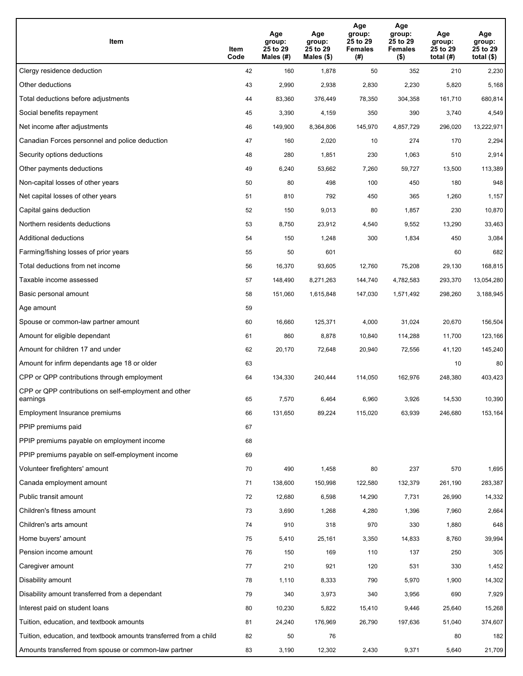| Item                                                              | Item<br>Code | Age<br>group:<br>25 to 29<br>Males (#) | Age<br>group:<br>25 to 29<br>Males (\$) | Age<br>group:<br>25 to 29<br><b>Females</b><br>(#) | Age<br>group:<br>25 to 29<br>Females<br>$($ \$) | Age<br>group:<br>25 to 29<br>total $(H)$ | Age<br>group:<br>25 to 29<br>total $($)$ |
|-------------------------------------------------------------------|--------------|----------------------------------------|-----------------------------------------|----------------------------------------------------|-------------------------------------------------|------------------------------------------|------------------------------------------|
| Clergy residence deduction                                        | 42           | 160                                    | 1,878                                   | 50                                                 | 352                                             | 210                                      | 2,230                                    |
| Other deductions                                                  | 43           | 2,990                                  | 2,938                                   | 2,830                                              | 2,230                                           | 5,820                                    | 5,168                                    |
| Total deductions before adjustments                               | 44           | 83,360                                 | 376,449                                 | 78,350                                             | 304,358                                         | 161,710                                  | 680,814                                  |
| Social benefits repayment                                         | 45           | 3,390                                  | 4,159                                   | 350                                                | 390                                             | 3,740                                    | 4,549                                    |
| Net income after adjustments                                      | 46           | 149,900                                | 8,364,806                               | 145,970                                            | 4,857,729                                       | 296,020                                  | 13,222,971                               |
| Canadian Forces personnel and police deduction                    | 47           | 160                                    | 2,020                                   | 10                                                 | 274                                             | 170                                      | 2,294                                    |
| Security options deductions                                       | 48           | 280                                    | 1,851                                   | 230                                                | 1,063                                           | 510                                      | 2,914                                    |
| Other payments deductions                                         | 49           | 6,240                                  | 53,662                                  | 7,260                                              | 59,727                                          | 13,500                                   | 113,389                                  |
| Non-capital losses of other years                                 | 50           | 80                                     | 498                                     | 100                                                | 450                                             | 180                                      | 948                                      |
| Net capital losses of other years                                 | 51           | 810                                    | 792                                     | 450                                                | 365                                             | 1,260                                    | 1,157                                    |
| Capital gains deduction                                           | 52           | 150                                    | 9,013                                   | 80                                                 | 1,857                                           | 230                                      | 10,870                                   |
| Northern residents deductions                                     | 53           | 8,750                                  | 23,912                                  | 4,540                                              | 9,552                                           | 13,290                                   | 33,463                                   |
| Additional deductions                                             | 54           | 150                                    | 1,248                                   | 300                                                | 1,834                                           | 450                                      | 3,084                                    |
| Farming/fishing losses of prior years                             | 55           | 50                                     | 601                                     |                                                    |                                                 | 60                                       | 682                                      |
| Total deductions from net income                                  | 56           | 16,370                                 | 93,605                                  | 12,760                                             | 75,208                                          | 29,130                                   | 168,815                                  |
| Taxable income assessed                                           | 57           | 148,490                                | 8,271,263                               | 144,740                                            | 4,782,583                                       | 293,370                                  | 13,054,280                               |
| Basic personal amount                                             | 58           | 151,060                                | 1,615,848                               | 147,030                                            | 1,571,492                                       | 298,260                                  | 3,188,945                                |
| Age amount                                                        | 59           |                                        |                                         |                                                    |                                                 |                                          |                                          |
| Spouse or common-law partner amount                               | 60           | 16,660                                 | 125,371                                 | 4,000                                              | 31,024                                          | 20,670                                   | 156,504                                  |
| Amount for eligible dependant                                     | 61           | 860                                    | 8,878                                   | 10,840                                             | 114,288                                         | 11,700                                   | 123,166                                  |
| Amount for children 17 and under                                  | 62           | 20,170                                 | 72,648                                  | 20,940                                             | 72,556                                          | 41,120                                   | 145,240                                  |
| Amount for infirm dependants age 18 or older                      | 63           |                                        |                                         |                                                    |                                                 | 10                                       | 80                                       |
| CPP or QPP contributions through employment                       | 64           | 134,330                                | 240,444                                 | 114,050                                            | 162,976                                         | 248,380                                  | 403,423                                  |
| CPP or QPP contributions on self-employment and other<br>earnings | 65           | 7,570                                  | 6,464                                   | 6,960                                              | 3,926                                           | 14,530                                   | 10,390                                   |
| Employment Insurance premiums                                     | 66           | 131,650                                | 89,224                                  | 115,020                                            | 63,939                                          | 246,680                                  | 153,164                                  |
| PPIP premiums paid                                                | 67           |                                        |                                         |                                                    |                                                 |                                          |                                          |
| PPIP premiums payable on employment income                        | 68           |                                        |                                         |                                                    |                                                 |                                          |                                          |
| PPIP premiums payable on self-employment income                   | 69           |                                        |                                         |                                                    |                                                 |                                          |                                          |
| Volunteer firefighters' amount                                    | 70           | 490                                    | 1,458                                   | 80                                                 | 237                                             | 570                                      | 1,695                                    |
| Canada employment amount                                          | 71           | 138,600                                | 150,998                                 | 122,580                                            | 132,379                                         | 261,190                                  | 283,387                                  |
| Public transit amount                                             | 72           | 12,680                                 | 6,598                                   | 14,290                                             | 7,731                                           | 26,990                                   | 14,332                                   |
| Children's fitness amount                                         | 73           | 3,690                                  | 1,268                                   | 4,280                                              | 1,396                                           | 7,960                                    | 2,664                                    |
| Children's arts amount                                            | 74           | 910                                    | 318                                     | 970                                                | 330                                             | 1,880                                    | 648                                      |
| Home buyers' amount                                               | 75           | 5,410                                  | 25,161                                  | 3,350                                              | 14,833                                          | 8,760                                    | 39,994                                   |
| Pension income amount                                             | 76           | 150                                    | 169                                     | 110                                                | 137                                             | 250                                      | 305                                      |
| Caregiver amount                                                  | 77           | 210                                    | 921                                     | 120                                                | 531                                             | 330                                      | 1,452                                    |
| Disability amount                                                 | 78           | 1,110                                  | 8,333                                   | 790                                                | 5,970                                           | 1,900                                    | 14,302                                   |
| Disability amount transferred from a dependant                    | 79           | 340                                    | 3,973                                   | 340                                                | 3,956                                           | 690                                      | 7,929                                    |
| Interest paid on student loans                                    | 80           | 10,230                                 | 5,822                                   | 15,410                                             | 9,446                                           | 25,640                                   | 15,268                                   |
| Tuition, education, and textbook amounts                          | 81           | 24,240                                 | 176,969                                 | 26,790                                             | 197,636                                         | 51,040                                   | 374,607                                  |
| Tuition, education, and textbook amounts transferred from a child | 82           | 50                                     | 76                                      |                                                    |                                                 | 80                                       | 182                                      |
| Amounts transferred from spouse or common-law partner             | 83           | 3,190                                  | 12,302                                  | 2,430                                              | 9,371                                           | 5,640                                    | 21,709                                   |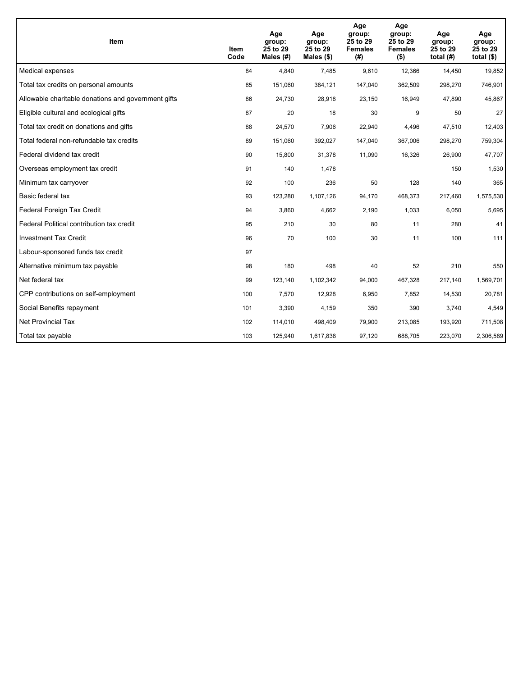| <b>Item</b>                                         | Item<br>Code | Age<br>group:<br>25 to 29<br>Males (#) | Age<br>group:<br>25 to 29<br>Males $(\$)$ | Age<br>group:<br>25 to 29<br><b>Females</b><br>(#) | Age<br>group:<br>25 to 29<br><b>Females</b><br>$($ \$) | Age<br>group:<br>25 to 29<br>total $(H)$ | Age<br>group:<br>25 to 29<br>total $($)$ |
|-----------------------------------------------------|--------------|----------------------------------------|-------------------------------------------|----------------------------------------------------|--------------------------------------------------------|------------------------------------------|------------------------------------------|
| Medical expenses                                    | 84           | 4,840                                  | 7,485                                     | 9,610                                              | 12,366                                                 | 14,450                                   | 19,852                                   |
| Total tax credits on personal amounts               | 85           | 151,060                                | 384,121                                   | 147,040                                            | 362,509                                                | 298,270                                  | 746,901                                  |
| Allowable charitable donations and government gifts | 86           | 24,730                                 | 28,918                                    | 23,150                                             | 16,949                                                 | 47,890                                   | 45,867                                   |
| Eligible cultural and ecological gifts              | 87           | 20                                     | 18                                        | 30                                                 | 9                                                      | 50                                       | 27                                       |
| Total tax credit on donations and gifts             | 88           | 24,570                                 | 7,906                                     | 22,940                                             | 4,496                                                  | 47,510                                   | 12,403                                   |
| Total federal non-refundable tax credits            | 89           | 151,060                                | 392,027                                   | 147,040                                            | 367,006                                                | 298,270                                  | 759,304                                  |
| Federal dividend tax credit                         | 90           | 15,800                                 | 31,378                                    | 11,090                                             | 16,326                                                 | 26,900                                   | 47,707                                   |
| Overseas employment tax credit                      | 91           | 140                                    | 1,478                                     |                                                    |                                                        | 150                                      | 1,530                                    |
| Minimum tax carryover                               | 92           | 100                                    | 236                                       | 50                                                 | 128                                                    | 140                                      | 365                                      |
| Basic federal tax                                   | 93           | 123,280                                | 1,107,126                                 | 94,170                                             | 468,373                                                | 217,460                                  | 1,575,530                                |
| Federal Foreign Tax Credit                          | 94           | 3,860                                  | 4,662                                     | 2,190                                              | 1,033                                                  | 6,050                                    | 5,695                                    |
| Federal Political contribution tax credit           | 95           | 210                                    | 30                                        | 80                                                 | 11                                                     | 280                                      | 41                                       |
| <b>Investment Tax Credit</b>                        | 96           | 70                                     | 100                                       | 30                                                 | 11                                                     | 100                                      | 111                                      |
| Labour-sponsored funds tax credit                   | 97           |                                        |                                           |                                                    |                                                        |                                          |                                          |
| Alternative minimum tax payable                     | 98           | 180                                    | 498                                       | 40                                                 | 52                                                     | 210                                      | 550                                      |
| Net federal tax                                     | 99           | 123,140                                | 1,102,342                                 | 94,000                                             | 467,328                                                | 217,140                                  | 1,569,701                                |
| CPP contributions on self-employment                | 100          | 7,570                                  | 12,928                                    | 6,950                                              | 7,852                                                  | 14,530                                   | 20,781                                   |
| Social Benefits repayment                           | 101          | 3,390                                  | 4,159                                     | 350                                                | 390                                                    | 3,740                                    | 4,549                                    |
| <b>Net Provincial Tax</b>                           | 102          | 114,010                                | 498,409                                   | 79,900                                             | 213,085                                                | 193,920                                  | 711,508                                  |
| Total tax payable                                   | 103          | 125,940                                | 1,617,838                                 | 97,120                                             | 688,705                                                | 223,070                                  | 2,306,589                                |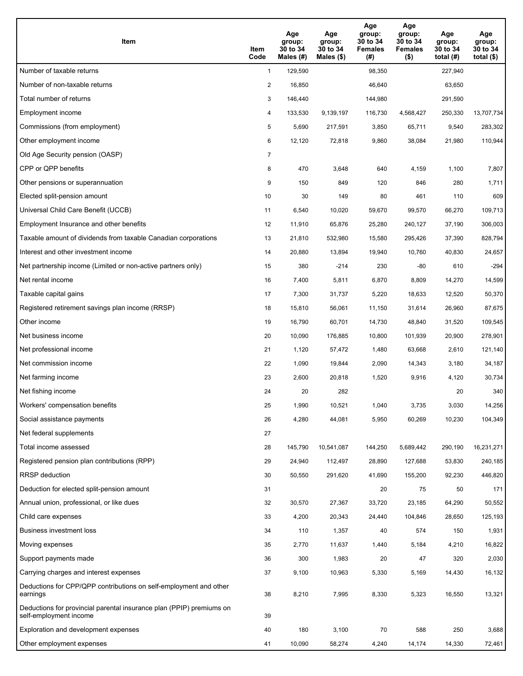| Item                                                                                           | Item<br>Code   | Age<br>group:<br>30 to 34<br>Males (#) | Age<br>group:<br>30 to 34<br>Males $(\$)$ | Age<br>group:<br>30 to 34<br><b>Females</b><br>(#) | Age<br>group:<br>30 to 34<br><b>Females</b><br>$($ \$) | Age<br>group:<br>30 to 34<br>total $(H)$ | Age<br>group:<br>30 to 34<br>total $($)$ |
|------------------------------------------------------------------------------------------------|----------------|----------------------------------------|-------------------------------------------|----------------------------------------------------|--------------------------------------------------------|------------------------------------------|------------------------------------------|
| Number of taxable returns                                                                      | $\mathbf{1}$   | 129,590                                |                                           | 98,350                                             |                                                        | 227,940                                  |                                          |
| Number of non-taxable returns                                                                  | $\overline{2}$ | 16,850                                 |                                           | 46,640                                             |                                                        | 63,650                                   |                                          |
| Total number of returns                                                                        | 3              | 146,440                                |                                           | 144,980                                            |                                                        | 291,590                                  |                                          |
| Employment income                                                                              | 4              | 133,530                                | 9,139,197                                 | 116,730                                            | 4,568,427                                              | 250,330                                  | 13,707,734                               |
| Commissions (from employment)                                                                  | 5              | 5,690                                  | 217,591                                   | 3,850                                              | 65,711                                                 | 9,540                                    | 283,302                                  |
| Other employment income                                                                        | 6              | 12,120                                 | 72,818                                    | 9,860                                              | 38,084                                                 | 21,980                                   | 110,944                                  |
| Old Age Security pension (OASP)                                                                | $\overline{7}$ |                                        |                                           |                                                    |                                                        |                                          |                                          |
| CPP or QPP benefits                                                                            | 8              | 470                                    | 3,648                                     | 640                                                | 4,159                                                  | 1,100                                    | 7,807                                    |
| Other pensions or superannuation                                                               | 9              | 150                                    | 849                                       | 120                                                | 846                                                    | 280                                      | 1,711                                    |
| Elected split-pension amount                                                                   | 10             | 30                                     | 149                                       | 80                                                 | 461                                                    | 110                                      | 609                                      |
| Universal Child Care Benefit (UCCB)                                                            | 11             | 6,540                                  | 10,020                                    | 59,670                                             | 99,570                                                 | 66,270                                   | 109,713                                  |
| Employment Insurance and other benefits                                                        | 12             | 11,910                                 | 65,876                                    | 25,280                                             | 240,127                                                | 37,190                                   | 306,003                                  |
| Taxable amount of dividends from taxable Canadian corporations                                 | 13             | 21,810                                 | 532,980                                   | 15,580                                             | 295,426                                                | 37,390                                   | 828,794                                  |
| Interest and other investment income                                                           | 14             | 20,880                                 | 13,894                                    | 19,940                                             | 10,760                                                 | 40,830                                   | 24,657                                   |
| Net partnership income (Limited or non-active partners only)                                   | 15             | 380                                    | $-214$                                    | 230                                                | $-80$                                                  | 610                                      | $-294$                                   |
| Net rental income                                                                              | 16             | 7,400                                  | 5,811                                     | 6,870                                              | 8,809                                                  | 14,270                                   | 14,599                                   |
| Taxable capital gains                                                                          | 17             | 7,300                                  | 31,737                                    | 5,220                                              | 18,633                                                 | 12,520                                   | 50,370                                   |
| Registered retirement savings plan income (RRSP)                                               | 18             | 15,810                                 | 56,061                                    | 11,150                                             | 31,614                                                 | 26,960                                   | 87,675                                   |
| Other income                                                                                   | 19             | 16,790                                 | 60,701                                    | 14,730                                             | 48,840                                                 | 31,520                                   | 109,545                                  |
| Net business income                                                                            | 20             | 10,090                                 | 176,885                                   | 10,800                                             | 101,939                                                | 20,900                                   | 278,901                                  |
| Net professional income                                                                        | 21             | 1,120                                  | 57,472                                    | 1,480                                              | 63,668                                                 | 2,610                                    | 121,140                                  |
| Net commission income                                                                          | 22             | 1,090                                  | 19,844                                    | 2,090                                              | 14,343                                                 | 3,180                                    | 34,187                                   |
| Net farming income                                                                             | 23             | 2,600                                  | 20,818                                    | 1,520                                              | 9,916                                                  | 4,120                                    | 30,734                                   |
| Net fishing income                                                                             | 24             | 20                                     | 282                                       |                                                    |                                                        | 20                                       | 340                                      |
| Workers' compensation benefits                                                                 | 25             | 1,990                                  | 10,521                                    | 1,040                                              | 3,735                                                  | 3,030                                    | 14,256                                   |
| Social assistance payments                                                                     | 26             | 4,280                                  | 44,081                                    | 5,950                                              | 60,269                                                 | 10,230                                   | 104,349                                  |
| Net federal supplements                                                                        | 27             |                                        |                                           |                                                    |                                                        |                                          |                                          |
| Total income assessed                                                                          | 28             | 145,790                                | 10,541,087                                | 144,250                                            | 5,689,442                                              | 290,190                                  | 16,231,271                               |
| Registered pension plan contributions (RPP)                                                    | 29             | 24,940                                 | 112,497                                   | 28,890                                             | 127,688                                                | 53,830                                   | 240,185                                  |
| RRSP deduction                                                                                 | 30             | 50,550                                 | 291,620                                   | 41,690                                             | 155,200                                                | 92,230                                   | 446,820                                  |
| Deduction for elected split-pension amount                                                     | 31             |                                        |                                           | 20                                                 | 75                                                     | 50                                       | 171                                      |
| Annual union, professional, or like dues                                                       | 32             | 30,570                                 | 27,367                                    | 33,720                                             | 23,185                                                 | 64,290                                   | 50,552                                   |
| Child care expenses                                                                            | 33             | 4,200                                  | 20,343                                    | 24,440                                             | 104,846                                                | 28,650                                   | 125,193                                  |
| Business investment loss                                                                       | 34             | 110                                    | 1,357                                     | 40                                                 | 574                                                    | 150                                      | 1,931                                    |
| Moving expenses                                                                                | 35             | 2,770                                  | 11,637                                    | 1,440                                              | 5,184                                                  | 4,210                                    | 16,822                                   |
| Support payments made                                                                          | 36             | 300                                    | 1,983                                     | 20                                                 | 47                                                     | 320                                      | 2,030                                    |
| Carrying charges and interest expenses                                                         | 37             | 9,100                                  | 10,963                                    | 5,330                                              | 5,169                                                  | 14,430                                   | 16,132                                   |
| Deductions for CPP/QPP contributions on self-employment and other<br>earnings                  | 38             | 8,210                                  | 7,995                                     | 8,330                                              | 5,323                                                  | 16,550                                   | 13,321                                   |
| Deductions for provincial parental insurance plan (PPIP) premiums on<br>self-employment income | 39             |                                        |                                           |                                                    |                                                        |                                          |                                          |
| Exploration and development expenses                                                           | 40             | 180                                    | 3,100                                     | 70                                                 | 588                                                    | 250                                      | 3,688                                    |
| Other employment expenses                                                                      | 41             | 10,090                                 | 58,274                                    | 4,240                                              | 14,174                                                 | 14,330                                   | 72,461                                   |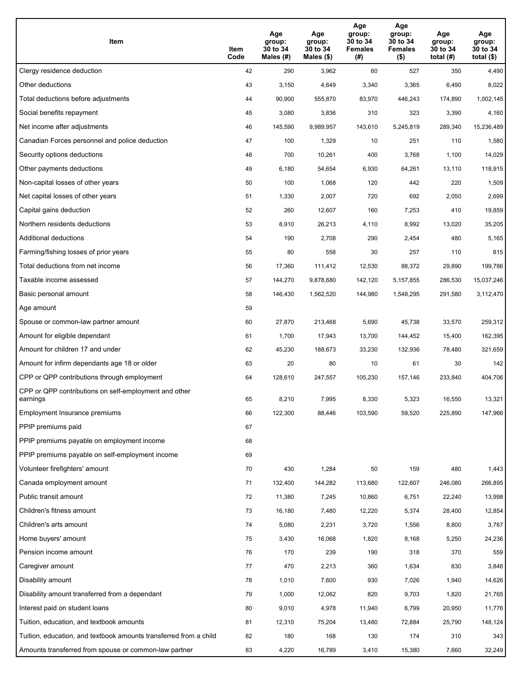| Item                                                              | Item<br>Code | Age<br>group:<br>30 to 34<br>Males (#) | Age<br>group:<br>30 to 34<br>Males (\$) | Age<br>group:<br>30 to 34<br><b>Females</b><br>(# ) | Age<br>group:<br>30 to 34<br><b>Females</b><br>$($ \$) | Age<br>group:<br>30 to 34<br>total $(H)$ | Age<br>group:<br>30 to 34<br>total $($)$ |
|-------------------------------------------------------------------|--------------|----------------------------------------|-----------------------------------------|-----------------------------------------------------|--------------------------------------------------------|------------------------------------------|------------------------------------------|
| Clergy residence deduction                                        | 42           | 290                                    | 3,962                                   | 60                                                  | 527                                                    | 350                                      | 4,490                                    |
| Other deductions                                                  | 43           | 3,150                                  | 4,649                                   | 3,340                                               | 3,365                                                  | 6,490                                    | 8,022                                    |
| Total deductions before adjustments                               | 44           | 90,900                                 | 555,870                                 | 83,970                                              | 446,243                                                | 174,890                                  | 1,002,145                                |
| Social benefits repayment                                         | 45           | 3,080                                  | 3,836                                   | 310                                                 | 323                                                    | 3,390                                    | 4,160                                    |
| Net income after adjustments                                      | 46           | 145,590                                | 9,989,957                               | 143,610                                             | 5,245,819                                              | 289,340                                  | 15,236,489                               |
| Canadian Forces personnel and police deduction                    | 47           | 100                                    | 1,329                                   | 10                                                  | 251                                                    | 110                                      | 1,580                                    |
| Security options deductions                                       | 48           | 700                                    | 10,261                                  | 400                                                 | 3,768                                                  | 1,100                                    | 14,029                                   |
| Other payments deductions                                         | 49           | 6,180                                  | 54,654                                  | 6,930                                               | 64,261                                                 | 13,110                                   | 118,915                                  |
| Non-capital losses of other years                                 | 50           | 100                                    | 1,068                                   | 120                                                 | 442                                                    | 220                                      | 1,509                                    |
| Net capital losses of other years                                 | 51           | 1,330                                  | 2,007                                   | 720                                                 | 692                                                    | 2,050                                    | 2,699                                    |
| Capital gains deduction                                           | 52           | 260                                    | 12,607                                  | 160                                                 | 7,253                                                  | 410                                      | 19,859                                   |
| Northern residents deductions                                     | 53           | 8,910                                  | 26,213                                  | 4,110                                               | 8,992                                                  | 13,020                                   | 35,205                                   |
| Additional deductions                                             | 54           | 190                                    | 2,708                                   | 290                                                 | 2,454                                                  | 480                                      | 5,165                                    |
| Farming/fishing losses of prior years                             | 55           | 80                                     | 558                                     | 30                                                  | 257                                                    | 110                                      | 815                                      |
| Total deductions from net income                                  | 56           | 17,360                                 | 111,412                                 | 12,530                                              | 88,372                                                 | 29,890                                   | 199,786                                  |
| Taxable income assessed                                           | 57           | 144,270                                | 9,878,680                               | 142,120                                             | 5,157,855                                              | 286,530                                  | 15,037,246                               |
| Basic personal amount                                             | 58           | 146,430                                | 1,562,520                               | 144,980                                             | 1,548,295                                              | 291,580                                  | 3,112,470                                |
| Age amount                                                        | 59           |                                        |                                         |                                                     |                                                        |                                          |                                          |
| Spouse or common-law partner amount                               | 60           | 27,870                                 | 213,468                                 | 5,690                                               | 45,738                                                 | 33,570                                   | 259,312                                  |
| Amount for eligible dependant                                     | 61           | 1,700                                  | 17,943                                  | 13,700                                              | 144,452                                                | 15,400                                   | 162,395                                  |
| Amount for children 17 and under                                  | 62           | 45,230                                 | 188,673                                 | 33,230                                              | 132,936                                                | 78,480                                   | 321,659                                  |
| Amount for infirm dependants age 18 or older                      | 63           | 20                                     | 80                                      | 10                                                  | 61                                                     | 30                                       | 142                                      |
| CPP or QPP contributions through employment                       | 64           | 128,610                                | 247,557                                 | 105,230                                             | 157,146                                                | 233,840                                  | 404,706                                  |
| CPP or QPP contributions on self-employment and other<br>earnings | 65           | 8,210                                  | 7,995                                   | 8,330                                               | 5,323                                                  | 16,550                                   | 13,321                                   |
| Employment Insurance premiums                                     | 66           | 122,300                                | 88,446                                  | 103,590                                             | 59,520                                                 | 225,890                                  | 147,966                                  |
| PPIP premiums paid                                                | 67           |                                        |                                         |                                                     |                                                        |                                          |                                          |
| PPIP premiums payable on employment income                        | 68           |                                        |                                         |                                                     |                                                        |                                          |                                          |
| PPIP premiums payable on self-employment income                   | 69           |                                        |                                         |                                                     |                                                        |                                          |                                          |
| Volunteer firefighters' amount                                    | 70           | 430                                    | 1,284                                   | 50                                                  | 159                                                    | 480                                      | 1,443                                    |
| Canada employment amount                                          | 71           | 132,400                                | 144,282                                 | 113,680                                             | 122,607                                                | 246,080                                  | 266,895                                  |
| Public transit amount                                             | 72           | 11,380                                 | 7,245                                   | 10,860                                              | 6,751                                                  | 22,240                                   | 13,998                                   |
| Children's fitness amount                                         | 73           | 16,180                                 | 7,480                                   | 12,220                                              | 5,374                                                  | 28,400                                   | 12,854                                   |
| Children's arts amount                                            | 74           | 5,080                                  | 2,231                                   | 3,720                                               | 1,556                                                  | 8,800                                    | 3,787                                    |
| Home buyers' amount                                               | 75           | 3,430                                  | 16,068                                  | 1,820                                               | 8,168                                                  | 5,250                                    | 24,236                                   |
| Pension income amount                                             | 76           | 170                                    | 239                                     | 190                                                 | 318                                                    | 370                                      | 559                                      |
| Caregiver amount                                                  | 77           | 470                                    | 2,213                                   | 360                                                 | 1,634                                                  | 830                                      | 3,846                                    |
| Disability amount                                                 | 78           | 1,010                                  | 7,600                                   | 930                                                 | 7,026                                                  | 1,940                                    | 14,626                                   |
| Disability amount transferred from a dependant                    | 79           | 1,000                                  | 12,062                                  | 820                                                 | 9,703                                                  | 1,820                                    | 21,765                                   |
| Interest paid on student loans                                    | 80           | 9,010                                  | 4,978                                   | 11,940                                              | 6,799                                                  | 20,950                                   | 11,776                                   |
| Tuition, education, and textbook amounts                          | 81           | 12,310                                 | 75,204                                  | 13,480                                              | 72,884                                                 | 25,790                                   | 148,124                                  |
| Tuition, education, and textbook amounts transferred from a child | 82           | 180                                    | 168                                     | 130                                                 | 174                                                    | 310                                      | 343                                      |
| Amounts transferred from spouse or common-law partner             | 83           | 4,220                                  | 16,789                                  | 3,410                                               | 15,380                                                 | 7,660                                    | 32,249                                   |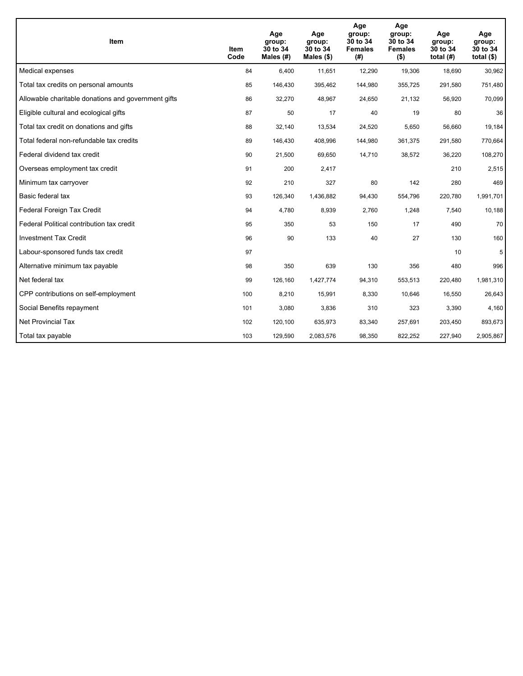| <b>Item</b>                                         | Item<br>Code | Age<br>group:<br>30 to 34<br>Males (#) | Age<br>group:<br>30 to 34<br>Males $(\$)$ | Age<br>group:<br>30 to 34<br><b>Females</b><br>(#) | Age<br>group:<br>30 to 34<br><b>Females</b><br>$($ \$) | Age<br>group:<br>30 to 34<br>total $(H)$ | Age<br>group:<br>30 to 34<br>total $($)$ |
|-----------------------------------------------------|--------------|----------------------------------------|-------------------------------------------|----------------------------------------------------|--------------------------------------------------------|------------------------------------------|------------------------------------------|
| Medical expenses                                    | 84           | 6,400                                  | 11,651                                    | 12,290                                             | 19,306                                                 | 18,690                                   | 30,962                                   |
| Total tax credits on personal amounts               | 85           | 146,430                                | 395,462                                   | 144,980                                            | 355,725                                                | 291,580                                  | 751,480                                  |
| Allowable charitable donations and government gifts | 86           | 32,270                                 | 48,967                                    | 24,650                                             | 21,132                                                 | 56,920                                   | 70,099                                   |
| Eligible cultural and ecological gifts              | 87           | 50                                     | 17                                        | 40                                                 | 19                                                     | 80                                       | 36                                       |
| Total tax credit on donations and gifts             | 88           | 32,140                                 | 13,534                                    | 24,520                                             | 5,650                                                  | 56,660                                   | 19,184                                   |
| Total federal non-refundable tax credits            | 89           | 146,430                                | 408,996                                   | 144,980                                            | 361,375                                                | 291,580                                  | 770,664                                  |
| Federal dividend tax credit                         | 90           | 21,500                                 | 69,650                                    | 14,710                                             | 38,572                                                 | 36,220                                   | 108,270                                  |
| Overseas employment tax credit                      | 91           | 200                                    | 2,417                                     |                                                    |                                                        | 210                                      | 2,515                                    |
| Minimum tax carryover                               | 92           | 210                                    | 327                                       | 80                                                 | 142                                                    | 280                                      | 469                                      |
| Basic federal tax                                   | 93           | 126,340                                | 1,436,882                                 | 94,430                                             | 554,796                                                | 220,780                                  | 1,991,701                                |
| Federal Foreign Tax Credit                          | 94           | 4,780                                  | 8,939                                     | 2,760                                              | 1,248                                                  | 7,540                                    | 10,188                                   |
| Federal Political contribution tax credit           | 95           | 350                                    | 53                                        | 150                                                | 17                                                     | 490                                      | 70                                       |
| <b>Investment Tax Credit</b>                        | 96           | 90                                     | 133                                       | 40                                                 | 27                                                     | 130                                      | 160                                      |
| Labour-sponsored funds tax credit                   | 97           |                                        |                                           |                                                    |                                                        | 10                                       | 5                                        |
| Alternative minimum tax payable                     | 98           | 350                                    | 639                                       | 130                                                | 356                                                    | 480                                      | 996                                      |
| Net federal tax                                     | 99           | 126,160                                | 1,427,774                                 | 94,310                                             | 553,513                                                | 220,480                                  | 1,981,310                                |
| CPP contributions on self-employment                | 100          | 8,210                                  | 15,991                                    | 8,330                                              | 10,646                                                 | 16,550                                   | 26,643                                   |
| Social Benefits repayment                           | 101          | 3,080                                  | 3,836                                     | 310                                                | 323                                                    | 3,390                                    | 4,160                                    |
| <b>Net Provincial Tax</b>                           | 102          | 120,100                                | 635,973                                   | 83,340                                             | 257.691                                                | 203,450                                  | 893,673                                  |
| Total tax payable                                   | 103          | 129,590                                | 2,083,576                                 | 98,350                                             | 822,252                                                | 227,940                                  | 2,905,867                                |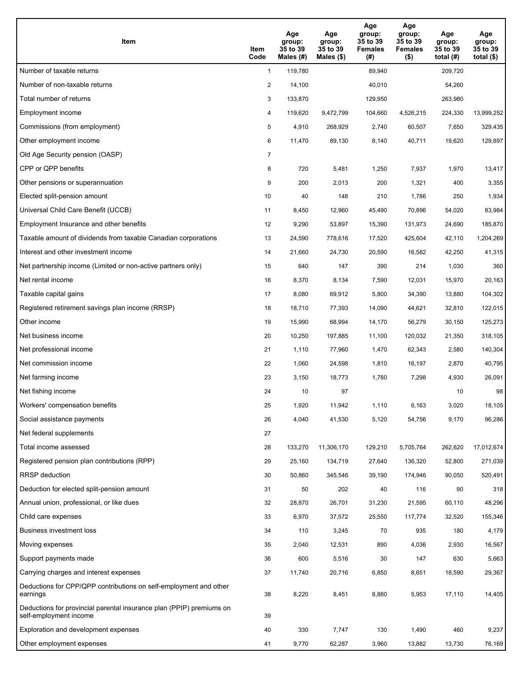| Item                                                                                           | Item<br>Code   | Age<br>group:<br>35 to 39<br>Males $(\#)$ | Age<br>group:<br>35 to 39<br>Males $(\$)$ | Age<br>group:<br>35 to 39<br><b>Females</b><br>(#) | Age<br>group:<br>35 to 39<br><b>Females</b><br>$($ \$) | Age<br>group:<br>35 to 39<br>total $(H)$ | Age<br>group:<br>35 to 39<br>total $($)$ |
|------------------------------------------------------------------------------------------------|----------------|-------------------------------------------|-------------------------------------------|----------------------------------------------------|--------------------------------------------------------|------------------------------------------|------------------------------------------|
| Number of taxable returns                                                                      | $\mathbf{1}$   | 119,780                                   |                                           | 89,940                                             |                                                        | 209.720                                  |                                          |
| Number of non-taxable returns                                                                  | $\overline{c}$ | 14,100                                    |                                           | 40,010                                             |                                                        | 54,260                                   |                                          |
| Total number of returns                                                                        | 3              | 133,870                                   |                                           | 129,950                                            |                                                        | 263,980                                  |                                          |
| Employment income                                                                              | 4              | 119,620                                   | 9,472,799                                 | 104,660                                            | 4,526,215                                              | 224,330                                  | 13,999,252                               |
| Commissions (from employment)                                                                  | 5              | 4,910                                     | 268,929                                   | 2,740                                              | 60,507                                                 | 7,650                                    | 329,435                                  |
| Other employment income                                                                        | 6              | 11,470                                    | 89,130                                    | 8,140                                              | 40,711                                                 | 19,620                                   | 129,897                                  |
| Old Age Security pension (OASP)                                                                | $\overline{7}$ |                                           |                                           |                                                    |                                                        |                                          |                                          |
| CPP or QPP benefits                                                                            | 8              | 720                                       | 5,481                                     | 1,250                                              | 7,937                                                  | 1,970                                    | 13,417                                   |
| Other pensions or superannuation                                                               | 9              | 200                                       | 2,013                                     | 200                                                | 1,321                                                  | 400                                      | 3,355                                    |
| Elected split-pension amount                                                                   | 10             | 40                                        | 148                                       | 210                                                | 1,786                                                  | 250                                      | 1,934                                    |
| Universal Child Care Benefit (UCCB)                                                            | 11             | 8,450                                     | 12,960                                    | 45,490                                             | 70,896                                                 | 54,020                                   | 83,984                                   |
| Employment Insurance and other benefits                                                        | 12             | 9,290                                     | 53,897                                    | 15,390                                             | 131,973                                                | 24,690                                   | 185,870                                  |
| Taxable amount of dividends from taxable Canadian corporations                                 | 13             | 24,590                                    | 778,616                                   | 17,520                                             | 425,604                                                | 42,110                                   | 1,204,269                                |
| Interest and other investment income                                                           | 14             | 21,660                                    | 24,730                                    | 20,590                                             | 16,582                                                 | 42,250                                   | 41,315                                   |
| Net partnership income (Limited or non-active partners only)                                   | 15             | 640                                       | 147                                       | 390                                                | 214                                                    | 1,030                                    | 360                                      |
| Net rental income                                                                              | 16             | 8,370                                     | 8,134                                     | 7,590                                              | 12,031                                                 | 15,970                                   | 20,163                                   |
| Taxable capital gains                                                                          | 17             | 8,080                                     | 69,912                                    | 5,800                                              | 34,390                                                 | 13,880                                   | 104,302                                  |
| Registered retirement savings plan income (RRSP)                                               | 18             | 18,710                                    | 77,393                                    | 14,090                                             | 44,621                                                 | 32,810                                   | 122,015                                  |
| Other income                                                                                   | 19             | 15,990                                    | 68,994                                    | 14,170                                             | 56,279                                                 | 30,150                                   | 125,273                                  |
| Net business income                                                                            | 20             | 10,250                                    | 197,885                                   | 11,100                                             | 120,032                                                | 21,350                                   | 318,105                                  |
| Net professional income                                                                        | 21             | 1,110                                     | 77,960                                    | 1,470                                              | 62,343                                                 | 2,580                                    | 140,304                                  |
| Net commission income                                                                          | 22             | 1,060                                     | 24,598                                    | 1,810                                              | 16,197                                                 | 2,870                                    | 40,795                                   |
| Net farming income                                                                             | 23             | 3,150                                     | 18,773                                    | 1,780                                              | 7,298                                                  | 4,930                                    | 26,091                                   |
| Net fishing income                                                                             | 24             | 10                                        | 97                                        |                                                    |                                                        | 10                                       | 98                                       |
| Workers' compensation benefits                                                                 | 25             | 1,920                                     | 11,942                                    | 1,110                                              | 6,163                                                  | 3,020                                    | 18,105                                   |
| Social assistance payments                                                                     | 26             | 4,040                                     | 41,530                                    | 5,120                                              | 54,756                                                 | 9,170                                    | 96,286                                   |
| Net federal supplements                                                                        | 27             |                                           |                                           |                                                    |                                                        |                                          |                                          |
| Total income assessed                                                                          | 28             | 133,270                                   | 11,306,170                                | 129,210                                            | 5,705,764                                              | 262,620                                  | 17,012,674                               |
| Registered pension plan contributions (RPP)                                                    | 29             | 25,160                                    | 134,719                                   | 27,640                                             | 136,320                                                | 52,800                                   | 271,039                                  |
| RRSP deduction                                                                                 | 30             | 50,860                                    | 345,546                                   | 39,190                                             | 174,946                                                | 90,050                                   | 520,491                                  |
| Deduction for elected split-pension amount                                                     | 31             | 50                                        | 202                                       | 40                                                 | 116                                                    | 90                                       | 318                                      |
| Annual union, professional, or like dues                                                       | 32             | 28,870                                    | 26,701                                    | 31,230                                             | 21,595                                                 | 60,110                                   | 48,296                                   |
| Child care expenses                                                                            | 33             | 6,970                                     | 37,572                                    | 25,550                                             | 117,774                                                | 32,520                                   | 155,346                                  |
| Business investment loss                                                                       | 34             | 110                                       | 3,245                                     | 70                                                 | 935                                                    | 180                                      | 4,179                                    |
| Moving expenses                                                                                | 35             | 2,040                                     | 12,531                                    | 890                                                | 4,036                                                  | 2,930                                    | 16,567                                   |
| Support payments made                                                                          | 36             | 600                                       | 5,516                                     | 30                                                 | 147                                                    | 630                                      | 5,663                                    |
| Carrying charges and interest expenses                                                         | 37             | 11,740                                    | 20,716                                    | 6,850                                              | 8,651                                                  | 18,590                                   | 29,367                                   |
| Deductions for CPP/QPP contributions on self-employment and other<br>earnings                  | 38             | 8,220                                     | 8,451                                     | 8,880                                              | 5,953                                                  | 17,110                                   | 14,405                                   |
| Deductions for provincial parental insurance plan (PPIP) premiums on<br>self-employment income | 39             |                                           |                                           |                                                    |                                                        |                                          |                                          |
| Exploration and development expenses                                                           | 40             | 330                                       | 7,747                                     | 130                                                | 1,490                                                  | 460                                      | 9,237                                    |
| Other employment expenses                                                                      | 41             | 9,770                                     | 62,287                                    | 3,960                                              | 13,882                                                 | 13,730                                   | 76,169                                   |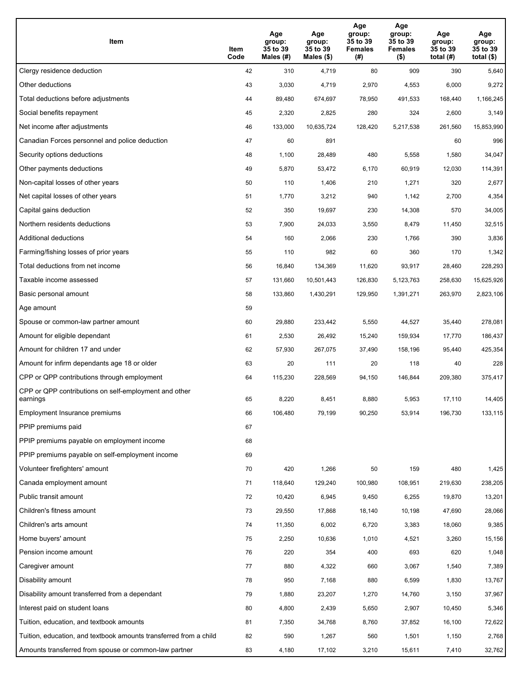| Item                                                              | Item<br>Code | Age<br>group:<br>35 to 39<br>Males (#) | Age<br>group:<br>35 to 39<br>Males (\$) | Age<br>group:<br>35 to 39<br><b>Females</b><br>(# ) | Age<br>group:<br>35 to 39<br><b>Females</b><br>$($ \$) | Age<br>group:<br>35 to 39<br>total $(H)$ | Age<br>group:<br>35 to 39<br>total $($)$ |
|-------------------------------------------------------------------|--------------|----------------------------------------|-----------------------------------------|-----------------------------------------------------|--------------------------------------------------------|------------------------------------------|------------------------------------------|
| Clergy residence deduction                                        | 42           | 310                                    | 4,719                                   | 80                                                  | 909                                                    | 390                                      | 5,640                                    |
| Other deductions                                                  | 43           | 3,030                                  | 4,719                                   | 2,970                                               | 4,553                                                  | 6,000                                    | 9,272                                    |
| Total deductions before adjustments                               | 44           | 89,480                                 | 674,697                                 | 78,950                                              | 491,533                                                | 168,440                                  | 1,166,245                                |
| Social benefits repayment                                         | 45           | 2,320                                  | 2,825                                   | 280                                                 | 324                                                    | 2,600                                    | 3,149                                    |
| Net income after adjustments                                      | 46           | 133,000                                | 10,635,724                              | 128,420                                             | 5,217,538                                              | 261,560                                  | 15,853,990                               |
| Canadian Forces personnel and police deduction                    | 47           | 60                                     | 891                                     |                                                     |                                                        | 60                                       | 996                                      |
| Security options deductions                                       | 48           | 1,100                                  | 28,489                                  | 480                                                 | 5,558                                                  | 1,580                                    | 34,047                                   |
| Other payments deductions                                         | 49           | 5,870                                  | 53,472                                  | 6,170                                               | 60,919                                                 | 12,030                                   | 114,391                                  |
| Non-capital losses of other years                                 | 50           | 110                                    | 1,406                                   | 210                                                 | 1,271                                                  | 320                                      | 2,677                                    |
| Net capital losses of other years                                 | 51           | 1,770                                  | 3,212                                   | 940                                                 | 1,142                                                  | 2,700                                    | 4,354                                    |
| Capital gains deduction                                           | 52           | 350                                    | 19,697                                  | 230                                                 | 14,308                                                 | 570                                      | 34,005                                   |
| Northern residents deductions                                     | 53           | 7,900                                  | 24,033                                  | 3,550                                               | 8,479                                                  | 11,450                                   | 32,515                                   |
| Additional deductions                                             | 54           | 160                                    | 2,066                                   | 230                                                 | 1,766                                                  | 390                                      | 3,836                                    |
| Farming/fishing losses of prior years                             | 55           | 110                                    | 982                                     | 60                                                  | 360                                                    | 170                                      | 1,342                                    |
| Total deductions from net income                                  | 56           | 16,840                                 | 134,369                                 | 11,620                                              | 93,917                                                 | 28,460                                   | 228,293                                  |
| Taxable income assessed                                           | 57           | 131,660                                | 10,501,443                              | 126,830                                             | 5,123,763                                              | 258,630                                  | 15,625,926                               |
| Basic personal amount                                             | 58           | 133,860                                | 1,430,291                               | 129,950                                             | 1,391,271                                              | 263,970                                  | 2,823,106                                |
| Age amount                                                        | 59           |                                        |                                         |                                                     |                                                        |                                          |                                          |
| Spouse or common-law partner amount                               | 60           | 29,880                                 | 233,442                                 | 5,550                                               | 44,527                                                 | 35,440                                   | 278,081                                  |
| Amount for eligible dependant                                     | 61           | 2,530                                  | 26,492                                  | 15,240                                              | 159,934                                                | 17,770                                   | 186,437                                  |
| Amount for children 17 and under                                  | 62           | 57,930                                 | 267,075                                 | 37,490                                              | 158,196                                                | 95,440                                   | 425,354                                  |
| Amount for infirm dependants age 18 or older                      | 63           | 20                                     | 111                                     | 20                                                  | 118                                                    | 40                                       | 228                                      |
| CPP or QPP contributions through employment                       | 64           | 115,230                                | 228,569                                 | 94,150                                              | 146,844                                                | 209,380                                  | 375,417                                  |
| CPP or QPP contributions on self-employment and other<br>earnings | 65           | 8,220                                  | 8,451                                   | 8,880                                               | 5,953                                                  | 17,110                                   | 14,405                                   |
| Employment Insurance premiums                                     | 66           | 106,480                                | 79,199                                  | 90,250                                              | 53,914                                                 | 196,730                                  | 133,115                                  |
| PPIP premiums paid                                                | 67           |                                        |                                         |                                                     |                                                        |                                          |                                          |
| PPIP premiums payable on employment income                        | 68           |                                        |                                         |                                                     |                                                        |                                          |                                          |
| PPIP premiums payable on self-employment income                   | 69           |                                        |                                         |                                                     |                                                        |                                          |                                          |
| Volunteer firefighters' amount                                    | 70           | 420                                    | 1,266                                   | 50                                                  | 159                                                    | 480                                      | 1,425                                    |
| Canada employment amount                                          | 71           | 118,640                                | 129,240                                 | 100,980                                             | 108,951                                                | 219,630                                  | 238,205                                  |
| Public transit amount                                             | 72           | 10,420                                 | 6,945                                   | 9,450                                               | 6,255                                                  | 19,870                                   | 13,201                                   |
| Children's fitness amount                                         | 73           | 29,550                                 | 17,868                                  | 18,140                                              | 10,198                                                 | 47,690                                   | 28,066                                   |
| Children's arts amount                                            | 74           | 11,350                                 | 6,002                                   | 6,720                                               | 3,383                                                  | 18,060                                   | 9,385                                    |
| Home buyers' amount                                               | 75           | 2,250                                  | 10,636                                  | 1,010                                               | 4,521                                                  | 3,260                                    | 15,156                                   |
| Pension income amount                                             | 76           | 220                                    | 354                                     | 400                                                 | 693                                                    | 620                                      | 1,048                                    |
| Caregiver amount                                                  | 77           | 880                                    | 4,322                                   | 660                                                 | 3,067                                                  | 1,540                                    | 7,389                                    |
| Disability amount                                                 | 78           | 950                                    | 7,168                                   | 880                                                 | 6,599                                                  | 1,830                                    | 13,767                                   |
| Disability amount transferred from a dependant                    | 79           | 1,880                                  | 23,207                                  | 1,270                                               | 14,760                                                 | 3,150                                    | 37,967                                   |
| Interest paid on student loans                                    | 80           | 4,800                                  | 2,439                                   | 5,650                                               | 2,907                                                  | 10,450                                   | 5,346                                    |
| Tuition, education, and textbook amounts                          | 81           | 7,350                                  | 34,768                                  | 8,760                                               | 37,852                                                 | 16,100                                   | 72,622                                   |
| Tuition, education, and textbook amounts transferred from a child | 82           | 590                                    | 1,267                                   | 560                                                 | 1,501                                                  | 1,150                                    | 2,768                                    |
| Amounts transferred from spouse or common-law partner             | 83           | 4,180                                  | 17,102                                  | 3,210                                               | 15,611                                                 | 7,410                                    | 32,762                                   |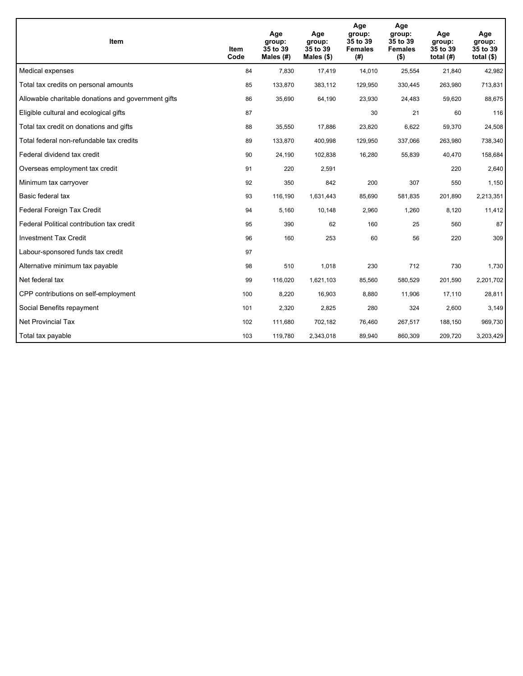| <b>Item</b>                                         | Item<br>Code | Age<br>group:<br>35 to 39<br>Males (#) | Age<br>group:<br>35 to 39<br>Males $(\$)$ | Age<br>group:<br>35 to 39<br><b>Females</b><br>(#) | Age<br>group:<br>35 to 39<br><b>Females</b><br>$($ \$) | Age<br>group:<br>35 to 39<br>total $(H)$ | Age<br>group:<br>35 to 39<br>total $($)$ |
|-----------------------------------------------------|--------------|----------------------------------------|-------------------------------------------|----------------------------------------------------|--------------------------------------------------------|------------------------------------------|------------------------------------------|
| Medical expenses                                    | 84           | 7,830                                  | 17,419                                    | 14,010                                             | 25,554                                                 | 21,840                                   | 42,982                                   |
| Total tax credits on personal amounts               | 85           | 133,870                                | 383,112                                   | 129,950                                            | 330,445                                                | 263,980                                  | 713,831                                  |
| Allowable charitable donations and government gifts | 86           | 35,690                                 | 64,190                                    | 23,930                                             | 24,483                                                 | 59,620                                   | 88,675                                   |
| Eligible cultural and ecological gifts              | 87           |                                        |                                           | 30                                                 | 21                                                     | 60                                       | 116                                      |
| Total tax credit on donations and gifts             | 88           | 35,550                                 | 17,886                                    | 23,820                                             | 6,622                                                  | 59,370                                   | 24,508                                   |
| Total federal non-refundable tax credits            | 89           | 133,870                                | 400,998                                   | 129,950                                            | 337,066                                                | 263,980                                  | 738,340                                  |
| Federal dividend tax credit                         | 90           | 24,190                                 | 102,838                                   | 16,280                                             | 55,839                                                 | 40,470                                   | 158,684                                  |
| Overseas employment tax credit                      | 91           | 220                                    | 2,591                                     |                                                    |                                                        | 220                                      | 2,640                                    |
| Minimum tax carryover                               | 92           | 350                                    | 842                                       | 200                                                | 307                                                    | 550                                      | 1,150                                    |
| Basic federal tax                                   | 93           | 116,190                                | 1,631,443                                 | 85,690                                             | 581.835                                                | 201,890                                  | 2,213,351                                |
| Federal Foreign Tax Credit                          | 94           | 5,160                                  | 10,148                                    | 2,960                                              | 1,260                                                  | 8,120                                    | 11,412                                   |
| Federal Political contribution tax credit           | 95           | 390                                    | 62                                        | 160                                                | 25                                                     | 560                                      | 87                                       |
| <b>Investment Tax Credit</b>                        | 96           | 160                                    | 253                                       | 60                                                 | 56                                                     | 220                                      | 309                                      |
| Labour-sponsored funds tax credit                   | 97           |                                        |                                           |                                                    |                                                        |                                          |                                          |
| Alternative minimum tax payable                     | 98           | 510                                    | 1,018                                     | 230                                                | 712                                                    | 730                                      | 1,730                                    |
| Net federal tax                                     | 99           | 116,020                                | 1,621,103                                 | 85,560                                             | 580,529                                                | 201,590                                  | 2,201,702                                |
| CPP contributions on self-employment                | 100          | 8,220                                  | 16,903                                    | 8,880                                              | 11,906                                                 | 17,110                                   | 28,811                                   |
| Social Benefits repayment                           | 101          | 2,320                                  | 2,825                                     | 280                                                | 324                                                    | 2,600                                    | 3,149                                    |
| <b>Net Provincial Tax</b>                           | 102          | 111,680                                | 702,182                                   | 76,460                                             | 267,517                                                | 188,150                                  | 969,730                                  |
| Total tax payable                                   | 103          | 119,780                                | 2,343,018                                 | 89,940                                             | 860,309                                                | 209,720                                  | 3,203,429                                |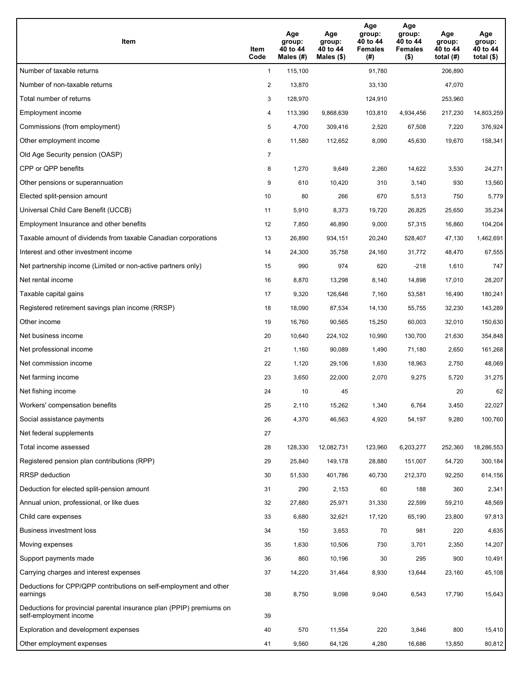| Item                                                                                           | Item<br>Code   | Age<br>group:<br>40 to 44<br>Males $(\#)$ | Age<br>group:<br>40 to 44<br>Males $(\$)$ | Age<br>group:<br>40 to 44<br><b>Females</b><br>(#) | Age<br>group:<br>40 to 44<br><b>Females</b><br>$($ \$) | Age<br>group:<br>40 to 44<br>total $(H)$ | Age<br>group:<br>40 to 44<br>total $($ |
|------------------------------------------------------------------------------------------------|----------------|-------------------------------------------|-------------------------------------------|----------------------------------------------------|--------------------------------------------------------|------------------------------------------|----------------------------------------|
| Number of taxable returns                                                                      | $\mathbf{1}$   | 115,100                                   |                                           | 91,780                                             |                                                        | 206,890                                  |                                        |
| Number of non-taxable returns                                                                  | $\overline{2}$ | 13,870                                    |                                           | 33,130                                             |                                                        | 47,070                                   |                                        |
| Total number of returns                                                                        | 3              | 128,970                                   |                                           | 124,910                                            |                                                        | 253,960                                  |                                        |
| Employment income                                                                              | 4              | 113,390                                   | 9,868,639                                 | 103,810                                            | 4,934,456                                              | 217,230                                  | 14,803,259                             |
| Commissions (from employment)                                                                  | 5              | 4,700                                     | 309,416                                   | 2,520                                              | 67,508                                                 | 7,220                                    | 376,924                                |
| Other employment income                                                                        | 6              | 11,580                                    | 112,652                                   | 8,090                                              | 45,630                                                 | 19,670                                   | 158,341                                |
| Old Age Security pension (OASP)                                                                | $\overline{7}$ |                                           |                                           |                                                    |                                                        |                                          |                                        |
| CPP or QPP benefits                                                                            | 8              | 1,270                                     | 9,649                                     | 2,260                                              | 14,622                                                 | 3,530                                    | 24,271                                 |
| Other pensions or superannuation                                                               | 9              | 610                                       | 10,420                                    | 310                                                | 3,140                                                  | 930                                      | 13,560                                 |
| Elected split-pension amount                                                                   | 10             | 80                                        | 266                                       | 670                                                | 5,513                                                  | 750                                      | 5,779                                  |
| Universal Child Care Benefit (UCCB)                                                            | 11             | 5,910                                     | 8,373                                     | 19,720                                             | 26,825                                                 | 25,650                                   | 35,234                                 |
| Employment Insurance and other benefits                                                        | 12             | 7,850                                     | 46,890                                    | 9,000                                              | 57,315                                                 | 16,860                                   | 104,204                                |
| Taxable amount of dividends from taxable Canadian corporations                                 | 13             | 26,890                                    | 934,151                                   | 20,240                                             | 528,407                                                | 47,130                                   | 1,462,691                              |
| Interest and other investment income                                                           | 14             | 24,300                                    | 35,758                                    | 24,160                                             | 31,772                                                 | 48,470                                   | 67,555                                 |
| Net partnership income (Limited or non-active partners only)                                   | 15             | 990                                       | 974                                       | 620                                                | $-218$                                                 | 1,610                                    | 747                                    |
| Net rental income                                                                              | 16             | 8,870                                     | 13,298                                    | 8,140                                              | 14,898                                                 | 17,010                                   | 28,207                                 |
| Taxable capital gains                                                                          | 17             | 9,320                                     | 126,646                                   | 7,160                                              | 53,581                                                 | 16,490                                   | 180,241                                |
| Registered retirement savings plan income (RRSP)                                               | 18             | 18,090                                    | 87,534                                    | 14,130                                             | 55,755                                                 | 32,230                                   | 143,289                                |
| Other income                                                                                   | 19             | 16,760                                    | 90,565                                    | 15,250                                             | 60,003                                                 | 32,010                                   | 150,630                                |
| Net business income                                                                            | 20             | 10,640                                    | 224,102                                   | 10,990                                             | 130,700                                                | 21,630                                   | 354,848                                |
| Net professional income                                                                        | 21             | 1,160                                     | 90,089                                    | 1,490                                              | 71,180                                                 | 2,650                                    | 161,268                                |
| Net commission income                                                                          | 22             | 1,120                                     | 29,106                                    | 1,630                                              | 18,963                                                 | 2,750                                    | 48,069                                 |
| Net farming income                                                                             | 23             | 3,650                                     | 22,000                                    | 2,070                                              | 9,275                                                  | 5,720                                    | 31,275                                 |
| Net fishing income                                                                             | 24             | 10                                        | 45                                        |                                                    |                                                        | 20                                       | 62                                     |
| Workers' compensation benefits                                                                 | 25             | 2,110                                     | 15,262                                    | 1,340                                              | 6,764                                                  | 3,450                                    | 22,027                                 |
| Social assistance payments                                                                     | 26             | 4,370                                     | 46,563                                    | 4,920                                              | 54,197                                                 | 9,280                                    | 100,760                                |
| Net federal supplements                                                                        | 27             |                                           |                                           |                                                    |                                                        |                                          |                                        |
| Total income assessed                                                                          | 28             | 128,330                                   | 12,082,731                                | 123,960                                            | 6,203,277                                              | 252,360                                  | 18,286,553                             |
| Registered pension plan contributions (RPP)                                                    | 29             | 25,840                                    | 149,178                                   | 28,880                                             | 151,007                                                | 54,720                                   | 300,184                                |
| RRSP deduction                                                                                 | 30             | 51,530                                    | 401,786                                   | 40,730                                             | 212,370                                                | 92,250                                   | 614,156                                |
| Deduction for elected split-pension amount                                                     | 31             | 290                                       | 2,153                                     | 60                                                 | 188                                                    | 360                                      | 2,341                                  |
| Annual union, professional, or like dues                                                       | 32             | 27,880                                    | 25,971                                    | 31,330                                             | 22,599                                                 | 59,210                                   | 48,569                                 |
| Child care expenses                                                                            | 33             | 6,680                                     | 32,621                                    | 17,120                                             | 65,190                                                 | 23,800                                   | 97,813                                 |
| Business investment loss                                                                       | 34             | 150                                       | 3,653                                     | 70                                                 | 981                                                    | 220                                      | 4,635                                  |
| Moving expenses                                                                                | 35             | 1,630                                     | 10,506                                    | 730                                                | 3,701                                                  | 2,350                                    | 14,207                                 |
| Support payments made                                                                          | 36             | 860                                       | 10,196                                    | 30                                                 | 295                                                    | 900                                      | 10,491                                 |
| Carrying charges and interest expenses                                                         | 37             | 14,220                                    | 31,464                                    | 8,930                                              | 13,644                                                 | 23,160                                   | 45,108                                 |
| Deductions for CPP/QPP contributions on self-employment and other<br>earnings                  | 38             | 8,750                                     | 9,098                                     | 9,040                                              | 6,543                                                  | 17,790                                   | 15,643                                 |
| Deductions for provincial parental insurance plan (PPIP) premiums on<br>self-employment income | 39             |                                           |                                           |                                                    |                                                        |                                          |                                        |
| Exploration and development expenses                                                           | 40             | 570                                       | 11,554                                    | 220                                                | 3,846                                                  | 800                                      | 15,410                                 |
| Other employment expenses                                                                      | 41             | 9,560                                     | 64,126                                    | 4,280                                              | 16,686                                                 | 13,850                                   | 80,812                                 |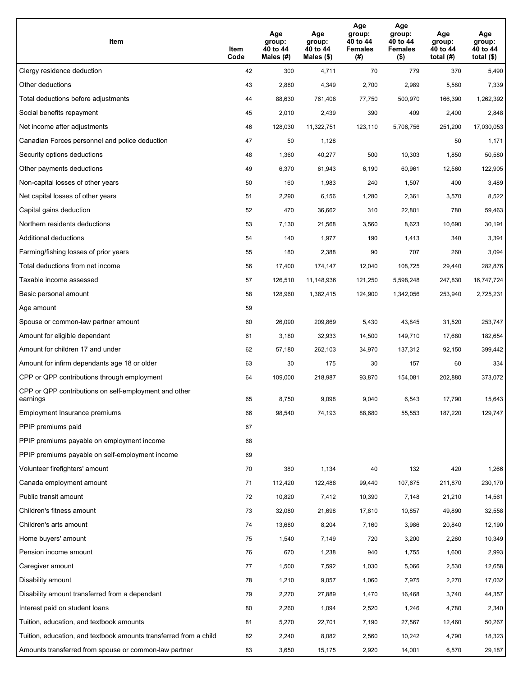| Item                                                              | Item<br>Code | Age<br>group:<br>40 to 44<br>Males (#) | Age<br>group:<br>40 to 44<br>Males (\$) | Age<br>group:<br>40 to 44<br><b>Females</b><br>(# ) | Age<br>group:<br>40 to 44<br><b>Females</b><br>$($ \$) | Age<br>group:<br>40 to 44<br>total $(H)$ | Age<br>group:<br>40 to 44<br>total $($)$ |
|-------------------------------------------------------------------|--------------|----------------------------------------|-----------------------------------------|-----------------------------------------------------|--------------------------------------------------------|------------------------------------------|------------------------------------------|
| Clergy residence deduction                                        | 42           | 300                                    | 4,711                                   | 70                                                  | 779                                                    | 370                                      | 5,490                                    |
| Other deductions                                                  | 43           | 2,880                                  | 4,349                                   | 2,700                                               | 2,989                                                  | 5,580                                    | 7,339                                    |
| Total deductions before adjustments                               | 44           | 88,630                                 | 761,408                                 | 77,750                                              | 500,970                                                | 166,390                                  | 1,262,392                                |
| Social benefits repayment                                         | 45           | 2,010                                  | 2,439                                   | 390                                                 | 409                                                    | 2,400                                    | 2,848                                    |
| Net income after adjustments                                      | 46           | 128,030                                | 11,322,751                              | 123,110                                             | 5,706,756                                              | 251,200                                  | 17,030,053                               |
| Canadian Forces personnel and police deduction                    | 47           | 50                                     | 1,128                                   |                                                     |                                                        | 50                                       | 1,171                                    |
| Security options deductions                                       | 48           | 1,360                                  | 40,277                                  | 500                                                 | 10,303                                                 | 1,850                                    | 50,580                                   |
| Other payments deductions                                         | 49           | 6,370                                  | 61,943                                  | 6,190                                               | 60,961                                                 | 12,560                                   | 122,905                                  |
| Non-capital losses of other years                                 | 50           | 160                                    | 1,983                                   | 240                                                 | 1,507                                                  | 400                                      | 3,489                                    |
| Net capital losses of other years                                 | 51           | 2,290                                  | 6,156                                   | 1,280                                               | 2,361                                                  | 3,570                                    | 8,522                                    |
| Capital gains deduction                                           | 52           | 470                                    | 36,662                                  | 310                                                 | 22,801                                                 | 780                                      | 59,463                                   |
| Northern residents deductions                                     | 53           | 7,130                                  | 21,568                                  | 3,560                                               | 8,623                                                  | 10,690                                   | 30,191                                   |
| Additional deductions                                             | 54           | 140                                    | 1,977                                   | 190                                                 | 1,413                                                  | 340                                      | 3,391                                    |
| Farming/fishing losses of prior years                             | 55           | 180                                    | 2,388                                   | 90                                                  | 707                                                    | 260                                      | 3,094                                    |
| Total deductions from net income                                  | 56           | 17,400                                 | 174,147                                 | 12,040                                              | 108,725                                                | 29,440                                   | 282,876                                  |
| Taxable income assessed                                           | 57           | 126,510                                | 11,148,936                              | 121,250                                             | 5,598,248                                              | 247,830                                  | 16,747,724                               |
| Basic personal amount                                             | 58           | 128,960                                | 1,382,415                               | 124,900                                             | 1,342,056                                              | 253,940                                  | 2,725,231                                |
| Age amount                                                        | 59           |                                        |                                         |                                                     |                                                        |                                          |                                          |
| Spouse or common-law partner amount                               | 60           | 26,090                                 | 209,869                                 | 5,430                                               | 43,845                                                 | 31,520                                   | 253,747                                  |
| Amount for eligible dependant                                     | 61           | 3,180                                  | 32,933                                  | 14,500                                              | 149,710                                                | 17,680                                   | 182,654                                  |
| Amount for children 17 and under                                  | 62           | 57,180                                 | 262,103                                 | 34,970                                              | 137,312                                                | 92,150                                   | 399,442                                  |
| Amount for infirm dependants age 18 or older                      | 63           | 30                                     | 175                                     | 30                                                  | 157                                                    | 60                                       | 334                                      |
| CPP or QPP contributions through employment                       | 64           | 109,000                                | 218,987                                 | 93,870                                              | 154,081                                                | 202,880                                  | 373,072                                  |
| CPP or QPP contributions on self-employment and other<br>earnings | 65           | 8,750                                  | 9,098                                   | 9,040                                               | 6,543                                                  | 17,790                                   | 15,643                                   |
| Employment Insurance premiums                                     | 66           | 98,540                                 | 74,193                                  | 88,680                                              | 55,553                                                 | 187,220                                  | 129,747                                  |
| PPIP premiums paid                                                | 67           |                                        |                                         |                                                     |                                                        |                                          |                                          |
| PPIP premiums payable on employment income                        | 68           |                                        |                                         |                                                     |                                                        |                                          |                                          |
| PPIP premiums payable on self-employment income                   | 69           |                                        |                                         |                                                     |                                                        |                                          |                                          |
| Volunteer firefighters' amount                                    | 70           | 380                                    | 1,134                                   | 40                                                  | 132                                                    | 420                                      | 1,266                                    |
| Canada employment amount                                          | 71           | 112,420                                | 122,488                                 | 99,440                                              | 107,675                                                | 211,870                                  | 230,170                                  |
| Public transit amount                                             | 72           | 10,820                                 | 7,412                                   | 10,390                                              | 7,148                                                  | 21,210                                   | 14,561                                   |
| Children's fitness amount                                         | 73           | 32,080                                 | 21,698                                  | 17,810                                              | 10,857                                                 | 49,890                                   | 32,558                                   |
| Children's arts amount                                            | 74           | 13,680                                 | 8,204                                   | 7,160                                               | 3,986                                                  | 20,840                                   | 12,190                                   |
| Home buyers' amount                                               | 75           | 1,540                                  | 7,149                                   | 720                                                 | 3,200                                                  | 2,260                                    | 10,349                                   |
| Pension income amount                                             | 76           | 670                                    | 1,238                                   | 940                                                 | 1,755                                                  | 1,600                                    | 2,993                                    |
| Caregiver amount                                                  | 77           | 1,500                                  | 7,592                                   | 1,030                                               | 5,066                                                  | 2,530                                    | 12,658                                   |
| Disability amount                                                 | 78           | 1,210                                  | 9,057                                   | 1,060                                               | 7,975                                                  | 2,270                                    | 17,032                                   |
| Disability amount transferred from a dependant                    | 79           | 2,270                                  | 27,889                                  | 1,470                                               | 16,468                                                 | 3,740                                    | 44,357                                   |
| Interest paid on student loans                                    | 80           | 2,260                                  | 1,094                                   | 2,520                                               | 1,246                                                  | 4,780                                    | 2,340                                    |
| Tuition, education, and textbook amounts                          | 81           | 5,270                                  | 22,701                                  | 7,190                                               | 27,567                                                 | 12,460                                   | 50,267                                   |
| Tuition, education, and textbook amounts transferred from a child | 82           | 2,240                                  | 8,082                                   | 2,560                                               | 10,242                                                 | 4,790                                    | 18,323                                   |
| Amounts transferred from spouse or common-law partner             | 83           | 3,650                                  | 15,175                                  | 2,920                                               | 14,001                                                 | 6,570                                    | 29,187                                   |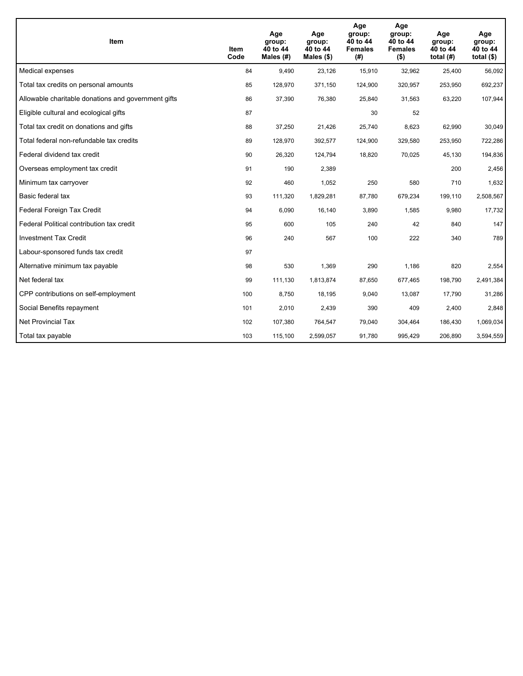| <b>Item</b>                                         | Item<br>Code | Age<br>group:<br>40 to 44<br>Males (#) | Age<br>group:<br>40 to 44<br>Males $(\$)$ | Age<br>group:<br>40 to 44<br><b>Females</b><br>(#) | Age<br>group:<br>40 to 44<br><b>Females</b><br>$($ \$) | Age<br>group:<br>40 to 44<br>total $(H)$ | Age<br>group:<br>40 to 44<br>total $($)$ |
|-----------------------------------------------------|--------------|----------------------------------------|-------------------------------------------|----------------------------------------------------|--------------------------------------------------------|------------------------------------------|------------------------------------------|
| Medical expenses                                    | 84           | 9.490                                  | 23,126                                    | 15,910                                             | 32,962                                                 | 25,400                                   | 56,092                                   |
| Total tax credits on personal amounts               | 85           | 128,970                                | 371,150                                   | 124,900                                            | 320,957                                                | 253,950                                  | 692,237                                  |
| Allowable charitable donations and government gifts | 86           | 37,390                                 | 76,380                                    | 25,840                                             | 31,563                                                 | 63,220                                   | 107,944                                  |
| Eligible cultural and ecological gifts              | 87           |                                        |                                           | 30                                                 | 52                                                     |                                          |                                          |
| Total tax credit on donations and gifts             | 88           | 37,250                                 | 21,426                                    | 25,740                                             | 8,623                                                  | 62,990                                   | 30,049                                   |
| Total federal non-refundable tax credits            | 89           | 128,970                                | 392,577                                   | 124,900                                            | 329,580                                                | 253,950                                  | 722,286                                  |
| Federal dividend tax credit                         | 90           | 26,320                                 | 124,794                                   | 18,820                                             | 70,025                                                 | 45,130                                   | 194,836                                  |
| Overseas employment tax credit                      | 91           | 190                                    | 2,389                                     |                                                    |                                                        | 200                                      | 2,456                                    |
| Minimum tax carryover                               | 92           | 460                                    | 1,052                                     | 250                                                | 580                                                    | 710                                      | 1,632                                    |
| Basic federal tax                                   | 93           | 111,320                                | 1,829,281                                 | 87,780                                             | 679,234                                                | 199,110                                  | 2,508,567                                |
| Federal Foreign Tax Credit                          | 94           | 6,090                                  | 16,140                                    | 3,890                                              | 1,585                                                  | 9,980                                    | 17,732                                   |
| Federal Political contribution tax credit           | 95           | 600                                    | 105                                       | 240                                                | 42                                                     | 840                                      | 147                                      |
| <b>Investment Tax Credit</b>                        | 96           | 240                                    | 567                                       | 100                                                | 222                                                    | 340                                      | 789                                      |
| Labour-sponsored funds tax credit                   | 97           |                                        |                                           |                                                    |                                                        |                                          |                                          |
| Alternative minimum tax payable                     | 98           | 530                                    | 1,369                                     | 290                                                | 1,186                                                  | 820                                      | 2,554                                    |
| Net federal tax                                     | 99           | 111,130                                | 1,813,874                                 | 87,650                                             | 677,465                                                | 198,790                                  | 2,491,384                                |
| CPP contributions on self-employment                | 100          | 8,750                                  | 18,195                                    | 9,040                                              | 13,087                                                 | 17,790                                   | 31,286                                   |
| Social Benefits repayment                           | 101          | 2,010                                  | 2,439                                     | 390                                                | 409                                                    | 2,400                                    | 2,848                                    |
| <b>Net Provincial Tax</b>                           | 102          | 107,380                                | 764,547                                   | 79,040                                             | 304,464                                                | 186,430                                  | 1,069,034                                |
| Total tax payable                                   | 103          | 115,100                                | 2,599,057                                 | 91,780                                             | 995,429                                                | 206,890                                  | 3,594,559                                |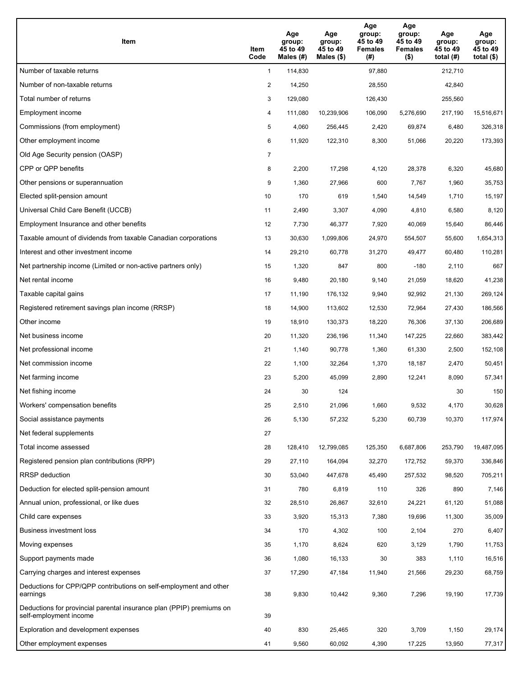| Item                                                                                           | Item<br>Code   | Age<br>group:<br>45 to 49<br>Males $(\#)$ | Age<br>group:<br>45 to 49<br>Males $(\$)$ | Age<br>group:<br>45 to 49<br><b>Females</b><br>(#) | Age<br>group:<br>45 to 49<br><b>Females</b><br>$($ \$) | Age<br>group:<br>45 to 49<br>total $(H)$ | Age<br>group:<br>45 to 49<br>total $($)$ |
|------------------------------------------------------------------------------------------------|----------------|-------------------------------------------|-------------------------------------------|----------------------------------------------------|--------------------------------------------------------|------------------------------------------|------------------------------------------|
| Number of taxable returns                                                                      | $\mathbf{1}$   | 114,830                                   |                                           | 97,880                                             |                                                        | 212.710                                  |                                          |
| Number of non-taxable returns                                                                  | $\overline{c}$ | 14,250                                    |                                           | 28,550                                             |                                                        | 42,840                                   |                                          |
| Total number of returns                                                                        | 3              | 129,080                                   |                                           | 126,430                                            |                                                        | 255,560                                  |                                          |
| Employment income                                                                              | 4              | 111,080                                   | 10,239,906                                | 106,090                                            | 5,276,690                                              | 217,190                                  | 15,516,671                               |
| Commissions (from employment)                                                                  | 5              | 4,060                                     | 256,445                                   | 2,420                                              | 69,874                                                 | 6,480                                    | 326,318                                  |
| Other employment income                                                                        | 6              | 11,920                                    | 122,310                                   | 8,300                                              | 51,066                                                 | 20,220                                   | 173,393                                  |
| Old Age Security pension (OASP)                                                                | $\overline{7}$ |                                           |                                           |                                                    |                                                        |                                          |                                          |
| CPP or QPP benefits                                                                            | 8              | 2,200                                     | 17,298                                    | 4,120                                              | 28,378                                                 | 6,320                                    | 45,680                                   |
| Other pensions or superannuation                                                               | 9              | 1,360                                     | 27,966                                    | 600                                                | 7,767                                                  | 1,960                                    | 35,753                                   |
| Elected split-pension amount                                                                   | 10             | 170                                       | 619                                       | 1,540                                              | 14,549                                                 | 1,710                                    | 15,197                                   |
| Universal Child Care Benefit (UCCB)                                                            | 11             | 2,490                                     | 3,307                                     | 4,090                                              | 4,810                                                  | 6,580                                    | 8,120                                    |
| Employment Insurance and other benefits                                                        | 12             | 7,730                                     | 46,377                                    | 7,920                                              | 40,069                                                 | 15,640                                   | 86,446                                   |
| Taxable amount of dividends from taxable Canadian corporations                                 | 13             | 30,630                                    | 1,099,806                                 | 24,970                                             | 554,507                                                | 55,600                                   | 1,654,313                                |
| Interest and other investment income                                                           | 14             | 29,210                                    | 60,778                                    | 31,270                                             | 49,477                                                 | 60,480                                   | 110,281                                  |
| Net partnership income (Limited or non-active partners only)                                   | 15             | 1,320                                     | 847                                       | 800                                                | $-180$                                                 | 2,110                                    | 667                                      |
| Net rental income                                                                              | 16             | 9,480                                     | 20,180                                    | 9,140                                              | 21,059                                                 | 18,620                                   | 41,238                                   |
| Taxable capital gains                                                                          | 17             | 11,190                                    | 176,132                                   | 9,940                                              | 92,992                                                 | 21,130                                   | 269,124                                  |
| Registered retirement savings plan income (RRSP)                                               | 18             | 14,900                                    | 113,602                                   | 12,530                                             | 72,964                                                 | 27,430                                   | 186,566                                  |
| Other income                                                                                   | 19             | 18,910                                    | 130,373                                   | 18,220                                             | 76,306                                                 | 37,130                                   | 206,689                                  |
| Net business income                                                                            | 20             | 11,320                                    | 236,196                                   | 11,340                                             | 147,225                                                | 22,660                                   | 383,442                                  |
| Net professional income                                                                        | 21             | 1,140                                     | 90,778                                    | 1,360                                              | 61,330                                                 | 2,500                                    | 152,108                                  |
| Net commission income                                                                          | 22             | 1,100                                     | 32,264                                    | 1,370                                              | 18,187                                                 | 2,470                                    | 50,451                                   |
| Net farming income                                                                             | 23             | 5,200                                     | 45,099                                    | 2,890                                              | 12,241                                                 | 8,090                                    | 57,341                                   |
| Net fishing income                                                                             | 24             | 30                                        | 124                                       |                                                    |                                                        | 30                                       | 150                                      |
| Workers' compensation benefits                                                                 | 25             | 2,510                                     | 21,096                                    | 1,660                                              | 9,532                                                  | 4,170                                    | 30,628                                   |
| Social assistance payments                                                                     | 26             | 5,130                                     | 57,232                                    | 5,230                                              | 60,739                                                 | 10,370                                   | 117,974                                  |
| Net federal supplements                                                                        | 27             |                                           |                                           |                                                    |                                                        |                                          |                                          |
| Total income assessed                                                                          | 28             | 128,410                                   | 12,799,085                                | 125,350                                            | 6,687,806                                              | 253,790                                  | 19,487,095                               |
| Registered pension plan contributions (RPP)                                                    | 29             | 27,110                                    | 164,094                                   | 32,270                                             | 172,752                                                | 59,370                                   | 336,846                                  |
| RRSP deduction                                                                                 | 30             | 53,040                                    | 447,678                                   | 45,490                                             | 257,532                                                | 98,520                                   | 705,211                                  |
| Deduction for elected split-pension amount                                                     | 31             | 780                                       | 6,819                                     | 110                                                | 326                                                    | 890                                      | 7,146                                    |
| Annual union, professional, or like dues                                                       | 32             | 28,510                                    | 26,867                                    | 32,610                                             | 24,221                                                 | 61,120                                   | 51,088                                   |
| Child care expenses                                                                            | 33             | 3,920                                     | 15,313                                    | 7,380                                              | 19,696                                                 | 11,300                                   | 35,009                                   |
| Business investment loss                                                                       | 34             | 170                                       | 4,302                                     | 100                                                | 2,104                                                  | 270                                      | 6,407                                    |
| Moving expenses                                                                                | 35             | 1,170                                     | 8,624                                     | 620                                                | 3,129                                                  | 1,790                                    | 11,753                                   |
| Support payments made                                                                          | 36             | 1,080                                     | 16,133                                    | 30                                                 | 383                                                    | 1,110                                    | 16,516                                   |
| Carrying charges and interest expenses                                                         | 37             | 17,290                                    | 47,184                                    | 11,940                                             | 21,566                                                 | 29,230                                   | 68,759                                   |
| Deductions for CPP/QPP contributions on self-employment and other<br>earnings                  | 38             | 9,830                                     | 10,442                                    | 9,360                                              | 7,296                                                  | 19,190                                   | 17,739                                   |
| Deductions for provincial parental insurance plan (PPIP) premiums on<br>self-employment income | 39             |                                           |                                           |                                                    |                                                        |                                          |                                          |
| Exploration and development expenses                                                           | 40             | 830                                       | 25,465                                    | 320                                                | 3,709                                                  | 1,150                                    | 29,174                                   |
| Other employment expenses                                                                      | 41             | 9,560                                     | 60,092                                    | 4,390                                              | 17,225                                                 | 13,950                                   | 77,317                                   |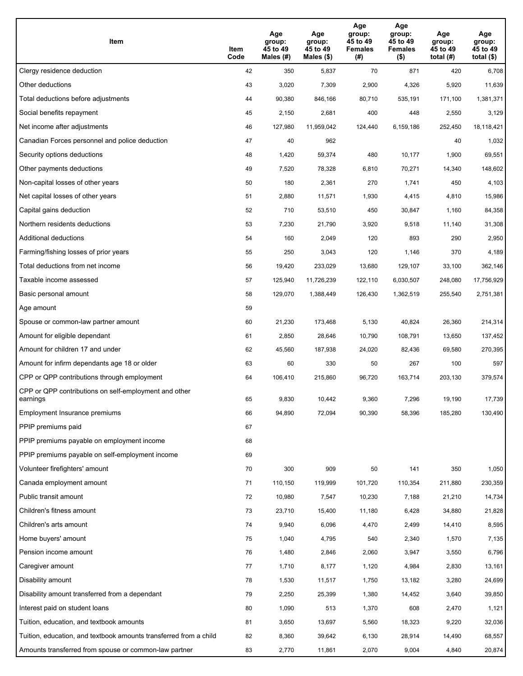| Item                                                              | Item<br>Code | Age<br>group:<br>45 to 49<br>Males (#) | Age<br>group:<br>45 to 49<br>Males (\$) | Age<br>group:<br>45 to 49<br><b>Females</b><br>(# ) | Age<br>group:<br>45 to 49<br><b>Females</b><br>$($ \$) | Age<br>group:<br>45 to 49<br>total $(H)$ | Age<br>group:<br>45 to 49<br>total $($)$ |
|-------------------------------------------------------------------|--------------|----------------------------------------|-----------------------------------------|-----------------------------------------------------|--------------------------------------------------------|------------------------------------------|------------------------------------------|
| Clergy residence deduction                                        | 42           | 350                                    | 5,837                                   | 70                                                  | 871                                                    | 420                                      | 6,708                                    |
| Other deductions                                                  | 43           | 3,020                                  | 7,309                                   | 2,900                                               | 4,326                                                  | 5,920                                    | 11,639                                   |
| Total deductions before adjustments                               | 44           | 90,380                                 | 846,166                                 | 80,710                                              | 535,191                                                | 171,100                                  | 1,381,371                                |
| Social benefits repayment                                         | 45           | 2,150                                  | 2,681                                   | 400                                                 | 448                                                    | 2,550                                    | 3,129                                    |
| Net income after adjustments                                      | 46           | 127,980                                | 11,959,042                              | 124,440                                             | 6,159,186                                              | 252,450                                  | 18,118,421                               |
| Canadian Forces personnel and police deduction                    | 47           | 40                                     | 962                                     |                                                     |                                                        | 40                                       | 1,032                                    |
| Security options deductions                                       | 48           | 1,420                                  | 59,374                                  | 480                                                 | 10,177                                                 | 1,900                                    | 69,551                                   |
| Other payments deductions                                         | 49           | 7,520                                  | 78,328                                  | 6,810                                               | 70,271                                                 | 14,340                                   | 148,602                                  |
| Non-capital losses of other years                                 | 50           | 180                                    | 2,361                                   | 270                                                 | 1,741                                                  | 450                                      | 4,103                                    |
| Net capital losses of other years                                 | 51           | 2,880                                  | 11,571                                  | 1,930                                               | 4,415                                                  | 4,810                                    | 15,986                                   |
| Capital gains deduction                                           | 52           | 710                                    | 53,510                                  | 450                                                 | 30,847                                                 | 1,160                                    | 84,358                                   |
| Northern residents deductions                                     | 53           | 7,230                                  | 21,790                                  | 3,920                                               | 9,518                                                  | 11,140                                   | 31,308                                   |
| Additional deductions                                             | 54           | 160                                    | 2,049                                   | 120                                                 | 893                                                    | 290                                      | 2,950                                    |
| Farming/fishing losses of prior years                             | 55           | 250                                    | 3,043                                   | 120                                                 | 1,146                                                  | 370                                      | 4,189                                    |
| Total deductions from net income                                  | 56           | 19,420                                 | 233,029                                 | 13,680                                              | 129,107                                                | 33,100                                   | 362,146                                  |
| Taxable income assessed                                           | 57           | 125,940                                | 11,726,239                              | 122,110                                             | 6,030,507                                              | 248,080                                  | 17,756,929                               |
| Basic personal amount                                             | 58           | 129,070                                | 1,388,449                               | 126,430                                             | 1,362,519                                              | 255,540                                  | 2,751,381                                |
| Age amount                                                        | 59           |                                        |                                         |                                                     |                                                        |                                          |                                          |
| Spouse or common-law partner amount                               | 60           | 21,230                                 | 173,468                                 | 5,130                                               | 40,824                                                 | 26,360                                   | 214,314                                  |
| Amount for eligible dependant                                     | 61           | 2,850                                  | 28,646                                  | 10,790                                              | 108,791                                                | 13,650                                   | 137,452                                  |
| Amount for children 17 and under                                  | 62           | 45,560                                 | 187,938                                 | 24,020                                              | 82,436                                                 | 69,580                                   | 270,395                                  |
| Amount for infirm dependants age 18 or older                      | 63           | 60                                     | 330                                     | 50                                                  | 267                                                    | 100                                      | 597                                      |
| CPP or QPP contributions through employment                       | 64           | 106,410                                | 215,860                                 | 96,720                                              | 163,714                                                | 203,130                                  | 379,574                                  |
| CPP or QPP contributions on self-employment and other<br>earnings | 65           | 9,830                                  | 10,442                                  | 9,360                                               | 7,296                                                  | 19,190                                   | 17,739                                   |
| Employment Insurance premiums                                     | 66           | 94,890                                 | 72,094                                  | 90,390                                              | 58,396                                                 | 185,280                                  | 130,490                                  |
| PPIP premiums paid                                                | 67           |                                        |                                         |                                                     |                                                        |                                          |                                          |
| PPIP premiums payable on employment income                        | 68           |                                        |                                         |                                                     |                                                        |                                          |                                          |
| PPIP premiums payable on self-employment income                   | 69           |                                        |                                         |                                                     |                                                        |                                          |                                          |
| Volunteer firefighters' amount                                    | 70           | 300                                    | 909                                     | 50                                                  | 141                                                    | 350                                      | 1,050                                    |
| Canada employment amount                                          | 71           | 110,150                                | 119,999                                 | 101,720                                             | 110,354                                                | 211,880                                  | 230,359                                  |
| Public transit amount                                             | 72           | 10,980                                 | 7,547                                   | 10,230                                              | 7,188                                                  | 21,210                                   | 14,734                                   |
| Children's fitness amount                                         | 73           | 23,710                                 | 15,400                                  | 11,180                                              | 6,428                                                  | 34,880                                   | 21,828                                   |
| Children's arts amount                                            | 74           | 9,940                                  | 6,096                                   | 4,470                                               | 2,499                                                  | 14,410                                   | 8,595                                    |
| Home buyers' amount                                               | 75           | 1,040                                  | 4,795                                   | 540                                                 | 2,340                                                  | 1,570                                    | 7,135                                    |
| Pension income amount                                             | 76           | 1,480                                  | 2,846                                   | 2,060                                               | 3,947                                                  | 3,550                                    | 6,796                                    |
| Caregiver amount                                                  | 77           | 1,710                                  | 8,177                                   | 1,120                                               | 4,984                                                  | 2,830                                    | 13,161                                   |
| Disability amount                                                 | 78           | 1,530                                  | 11,517                                  | 1,750                                               | 13,182                                                 | 3,280                                    | 24,699                                   |
| Disability amount transferred from a dependant                    | 79           | 2,250                                  | 25,399                                  | 1,380                                               | 14,452                                                 | 3,640                                    | 39,850                                   |
| Interest paid on student loans                                    | 80           | 1,090                                  | 513                                     | 1,370                                               | 608                                                    | 2,470                                    | 1,121                                    |
| Tuition, education, and textbook amounts                          | 81           | 3,650                                  | 13,697                                  | 5,560                                               | 18,323                                                 | 9,220                                    | 32,036                                   |
| Tuition, education, and textbook amounts transferred from a child | 82           | 8,360                                  | 39,642                                  | 6,130                                               | 28,914                                                 | 14,490                                   | 68,557                                   |
| Amounts transferred from spouse or common-law partner             | 83           | 2,770                                  | 11,861                                  | 2,070                                               | 9,004                                                  | 4,840                                    | 20,874                                   |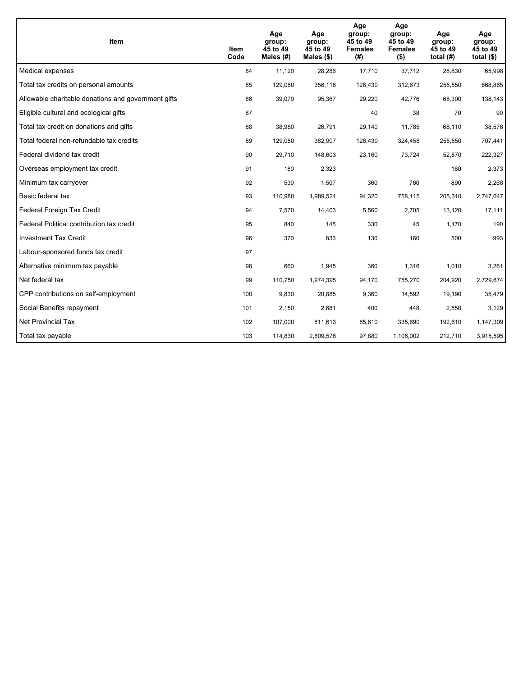| <b>Item</b>                                         | Item<br>Code | Age<br>group:<br>45 to 49<br>Males (#) | Age<br>group:<br>45 to 49<br>Males $(\$)$ | Age<br>group:<br>45 to 49<br><b>Females</b><br>(#) | Age<br>group:<br>45 to 49<br><b>Females</b><br>$($ \$) | Age<br>group:<br>45 to 49<br>total $(H)$ | Age<br>group:<br>45 to 49<br>total $($)$ |
|-----------------------------------------------------|--------------|----------------------------------------|-------------------------------------------|----------------------------------------------------|--------------------------------------------------------|------------------------------------------|------------------------------------------|
| Medical expenses                                    | 84           | 11,120                                 | 28,286                                    | 17,710                                             | 37,712                                                 | 28,830                                   | 65,998                                   |
| Total tax credits on personal amounts               | 85           | 129,080                                | 356,116                                   | 126,430                                            | 312,673                                                | 255,550                                  | 668,865                                  |
| Allowable charitable donations and government gifts | 86           | 39,070                                 | 95,367                                    | 29,220                                             | 42,776                                                 | 68,300                                   | 138,143                                  |
| Eligible cultural and ecological gifts              | 87           |                                        |                                           | 40                                                 | 38                                                     | 70                                       | 90                                       |
| Total tax credit on donations and gifts             | 88           | 38,980                                 | 26,791                                    | 29,140                                             | 11,785                                                 | 68,110                                   | 38,576                                   |
| Total federal non-refundable tax credits            | 89           | 129,080                                | 382,907                                   | 126,430                                            | 324,458                                                | 255,550                                  | 707,441                                  |
| Federal dividend tax credit                         | 90           | 29,710                                 | 148,603                                   | 23,160                                             | 73,724                                                 | 52,870                                   | 222,327                                  |
| Overseas employment tax credit                      | 91           | 180                                    | 2,323                                     |                                                    |                                                        | 180                                      | 2,373                                    |
| Minimum tax carryover                               | 92           | 530                                    | 1,507                                     | 360                                                | 760                                                    | 890                                      | 2,268                                    |
| Basic federal tax                                   | 93           | 110,980                                | 1,989,521                                 | 94,320                                             | 758,115                                                | 205,310                                  | 2,747,647                                |
| Federal Foreign Tax Credit                          | 94           | 7,570                                  | 14,403                                    | 5,560                                              | 2,705                                                  | 13,120                                   | 17,111                                   |
| Federal Political contribution tax credit           | 95           | 840                                    | 145                                       | 330                                                | 45                                                     | 1,170                                    | 190                                      |
| <b>Investment Tax Credit</b>                        | 96           | 370                                    | 833                                       | 130                                                | 160                                                    | 500                                      | 993                                      |
| Labour-sponsored funds tax credit                   | 97           |                                        |                                           |                                                    |                                                        |                                          |                                          |
| Alternative minimum tax payable                     | 98           | 660                                    | 1,945                                     | 360                                                | 1,316                                                  | 1,010                                    | 3,261                                    |
| Net federal tax                                     | 99           | 110,750                                | 1,974,395                                 | 94,170                                             | 755,270                                                | 204,920                                  | 2,729,674                                |
| CPP contributions on self-employment                | 100          | 9,830                                  | 20,885                                    | 9,360                                              | 14,592                                                 | 19,190                                   | 35,479                                   |
| Social Benefits repayment                           | 101          | 2,150                                  | 2,681                                     | 400                                                | 448                                                    | 2,550                                    | 3,129                                    |
| <b>Net Provincial Tax</b>                           | 102          | 107,000                                | 811,613                                   | 85,610                                             | 335,690                                                | 192,610                                  | 1,147,309                                |
| Total tax payable                                   | 103          | 114,830                                | 2,809,576                                 | 97,880                                             | 1,106,002                                              | 212,710                                  | 3,915,595                                |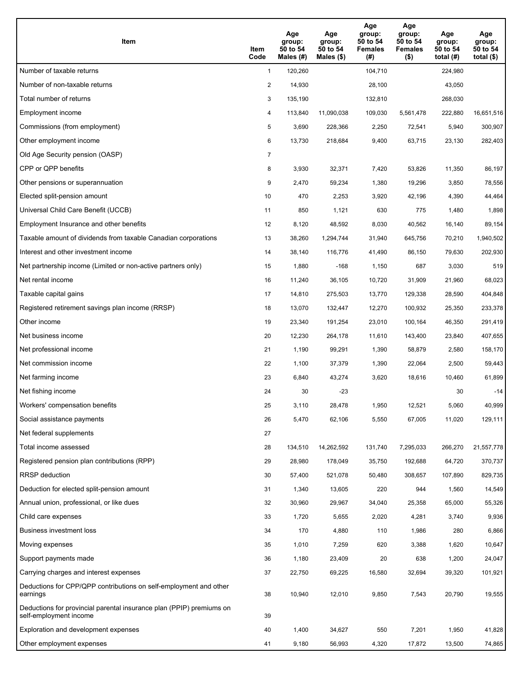| Item                                                                                           | Item<br>Code   | Age<br>group:<br>50 to 54<br>Males $(\#)$ | Age<br>group:<br>50 to 54<br>Males $(\$)$ | Age<br>group:<br>50 to 54<br><b>Females</b><br>(#) | Age<br>group:<br>50 to 54<br><b>Females</b><br>$($ \$) | Age<br>group:<br>50 to 54<br>total $(H)$ | Age<br>group:<br>50 to 54<br>total $($)$ |
|------------------------------------------------------------------------------------------------|----------------|-------------------------------------------|-------------------------------------------|----------------------------------------------------|--------------------------------------------------------|------------------------------------------|------------------------------------------|
| Number of taxable returns                                                                      | $\mathbf{1}$   | 120,260                                   |                                           | 104,710                                            |                                                        | 224,980                                  |                                          |
| Number of non-taxable returns                                                                  | $\overline{c}$ | 14,930                                    |                                           | 28,100                                             |                                                        | 43,050                                   |                                          |
| Total number of returns                                                                        | 3              | 135,190                                   |                                           | 132,810                                            |                                                        | 268,030                                  |                                          |
| Employment income                                                                              | 4              | 113,840                                   | 11,090,038                                | 109,030                                            | 5,561,478                                              | 222,880                                  | 16,651,516                               |
| Commissions (from employment)                                                                  | 5              | 3,690                                     | 228,366                                   | 2,250                                              | 72,541                                                 | 5,940                                    | 300,907                                  |
| Other employment income                                                                        | 6              | 13,730                                    | 218,684                                   | 9,400                                              | 63,715                                                 | 23,130                                   | 282,403                                  |
| Old Age Security pension (OASP)                                                                | $\overline{7}$ |                                           |                                           |                                                    |                                                        |                                          |                                          |
| CPP or QPP benefits                                                                            | 8              | 3,930                                     | 32,371                                    | 7,420                                              | 53,826                                                 | 11,350                                   | 86,197                                   |
| Other pensions or superannuation                                                               | 9              | 2,470                                     | 59,234                                    | 1,380                                              | 19,296                                                 | 3,850                                    | 78,556                                   |
| Elected split-pension amount                                                                   | 10             | 470                                       | 2,253                                     | 3,920                                              | 42,196                                                 | 4,390                                    | 44,464                                   |
| Universal Child Care Benefit (UCCB)                                                            | 11             | 850                                       | 1,121                                     | 630                                                | 775                                                    | 1,480                                    | 1,898                                    |
| Employment Insurance and other benefits                                                        | 12             | 8,120                                     | 48,592                                    | 8,030                                              | 40,562                                                 | 16,140                                   | 89,154                                   |
| Taxable amount of dividends from taxable Canadian corporations                                 | 13             | 38,260                                    | 1,294,744                                 | 31,940                                             | 645,756                                                | 70,210                                   | 1,940,502                                |
| Interest and other investment income                                                           | 14             | 38,140                                    | 116,776                                   | 41,490                                             | 86,150                                                 | 79,630                                   | 202,930                                  |
| Net partnership income (Limited or non-active partners only)                                   | 15             | 1,880                                     | $-168$                                    | 1,150                                              | 687                                                    | 3,030                                    | 519                                      |
| Net rental income                                                                              | 16             | 11,240                                    | 36,105                                    | 10,720                                             | 31,909                                                 | 21,960                                   | 68,023                                   |
| Taxable capital gains                                                                          | 17             | 14,810                                    | 275,503                                   | 13,770                                             | 129,338                                                | 28,590                                   | 404,848                                  |
| Registered retirement savings plan income (RRSP)                                               | 18             | 13,070                                    | 132,447                                   | 12,270                                             | 100,932                                                | 25,350                                   | 233,378                                  |
| Other income                                                                                   | 19             | 23,340                                    | 191,254                                   | 23,010                                             | 100,164                                                | 46,350                                   | 291,419                                  |
| Net business income                                                                            | 20             | 12,230                                    | 264,178                                   | 11,610                                             | 143,400                                                | 23,840                                   | 407,655                                  |
| Net professional income                                                                        | 21             | 1,190                                     | 99,291                                    | 1,390                                              | 58,879                                                 | 2,580                                    | 158,170                                  |
| Net commission income                                                                          | 22             | 1,100                                     | 37,379                                    | 1,390                                              | 22,064                                                 | 2,500                                    | 59,443                                   |
| Net farming income                                                                             | 23             | 6,840                                     | 43,274                                    | 3,620                                              | 18,616                                                 | 10,460                                   | 61,899                                   |
| Net fishing income                                                                             | 24             | 30                                        | -23                                       |                                                    |                                                        | 30                                       | $-14$                                    |
| Workers' compensation benefits                                                                 | 25             | 3,110                                     | 28,478                                    | 1,950                                              | 12,521                                                 | 5,060                                    | 40,999                                   |
| Social assistance payments                                                                     | 26             | 5,470                                     | 62,106                                    | 5,550                                              | 67,005                                                 | 11,020                                   | 129,111                                  |
| Net federal supplements                                                                        | 27             |                                           |                                           |                                                    |                                                        |                                          |                                          |
| Total income assessed                                                                          | 28             | 134,510                                   | 14,262,592                                | 131,740                                            | 7,295,033                                              | 266,270                                  | 21,557,778                               |
| Registered pension plan contributions (RPP)                                                    | 29             | 28,980                                    | 178,049                                   | 35,750                                             | 192,688                                                | 64,720                                   | 370,737                                  |
| RRSP deduction                                                                                 | 30             | 57,400                                    | 521,078                                   | 50,480                                             | 308,657                                                | 107,890                                  | 829,735                                  |
| Deduction for elected split-pension amount                                                     | 31             | 1,340                                     | 13,605                                    | 220                                                | 944                                                    | 1,560                                    | 14,549                                   |
| Annual union, professional, or like dues                                                       | 32             | 30,960                                    | 29,967                                    | 34,040                                             | 25,358                                                 | 65,000                                   | 55,326                                   |
| Child care expenses                                                                            | 33             | 1,720                                     | 5,655                                     | 2,020                                              | 4,281                                                  | 3,740                                    | 9,936                                    |
| Business investment loss                                                                       | 34             | 170                                       | 4,880                                     | 110                                                | 1,986                                                  | 280                                      | 6,866                                    |
| Moving expenses                                                                                | 35             | 1,010                                     | 7,259                                     | 620                                                | 3,388                                                  | 1,620                                    | 10,647                                   |
| Support payments made                                                                          | 36             | 1,180                                     | 23,409                                    | 20                                                 | 638                                                    | 1,200                                    | 24,047                                   |
| Carrying charges and interest expenses                                                         | 37             | 22,750                                    | 69,225                                    | 16,580                                             | 32,694                                                 | 39,320                                   | 101,921                                  |
| Deductions for CPP/QPP contributions on self-employment and other<br>earnings                  | 38             | 10,940                                    | 12,010                                    | 9,850                                              | 7,543                                                  | 20,790                                   | 19,555                                   |
| Deductions for provincial parental insurance plan (PPIP) premiums on<br>self-employment income | 39             |                                           |                                           |                                                    |                                                        |                                          |                                          |
| Exploration and development expenses                                                           | 40             | 1,400                                     | 34,627                                    | 550                                                | 7,201                                                  | 1,950                                    | 41,828                                   |
| Other employment expenses                                                                      | 41             | 9,180                                     | 56,993                                    | 4,320                                              | 17,872                                                 | 13,500                                   | 74,865                                   |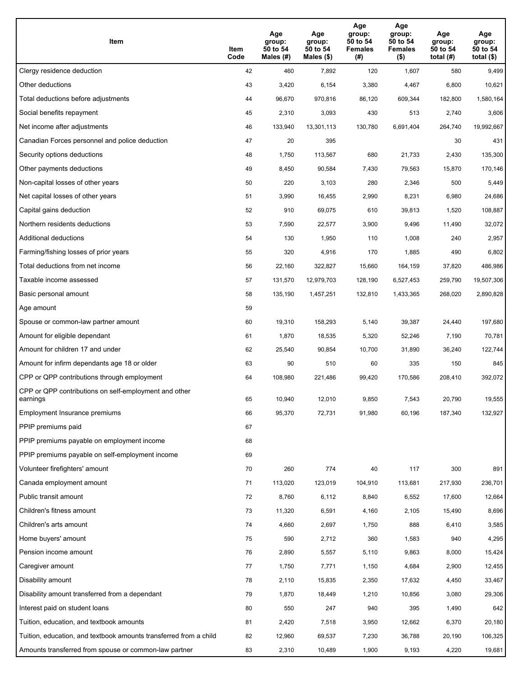| Item                                                              | Item<br>Code | Age<br>group:<br>50 to 54<br>Males (#) | Age<br>group:<br>50 to 54<br>Males (\$) | Age<br>group:<br>50 to 54<br><b>Females</b><br>(# ) | Age<br>group:<br>50 to 54<br>Females<br>$($ \$) | Age<br>group:<br>50 to 54<br>total $(H)$ | Age<br>group:<br>50 to 54<br>total $($)$ |
|-------------------------------------------------------------------|--------------|----------------------------------------|-----------------------------------------|-----------------------------------------------------|-------------------------------------------------|------------------------------------------|------------------------------------------|
| Clergy residence deduction                                        | 42           | 460                                    | 7,892                                   | 120                                                 | 1,607                                           | 580                                      | 9,499                                    |
| Other deductions                                                  | 43           | 3,420                                  | 6,154                                   | 3,380                                               | 4,467                                           | 6,800                                    | 10,621                                   |
| Total deductions before adjustments                               | 44           | 96,670                                 | 970,816                                 | 86,120                                              | 609,344                                         | 182,800                                  | 1,580,164                                |
| Social benefits repayment                                         | 45           | 2,310                                  | 3,093                                   | 430                                                 | 513                                             | 2,740                                    | 3,606                                    |
| Net income after adjustments                                      | 46           | 133,940                                | 13,301,113                              | 130,780                                             | 6,691,404                                       | 264,740                                  | 19,992,667                               |
| Canadian Forces personnel and police deduction                    | 47           | 20                                     | 395                                     |                                                     |                                                 | 30                                       | 431                                      |
| Security options deductions                                       | 48           | 1,750                                  | 113,567                                 | 680                                                 | 21,733                                          | 2,430                                    | 135,300                                  |
| Other payments deductions                                         | 49           | 8,450                                  | 90,584                                  | 7,430                                               | 79,563                                          | 15,870                                   | 170,146                                  |
| Non-capital losses of other years                                 | 50           | 220                                    | 3,103                                   | 280                                                 | 2,346                                           | 500                                      | 5,449                                    |
| Net capital losses of other years                                 | 51           | 3,990                                  | 16,455                                  | 2,990                                               | 8,231                                           | 6,980                                    | 24,686                                   |
| Capital gains deduction                                           | 52           | 910                                    | 69,075                                  | 610                                                 | 39,813                                          | 1,520                                    | 108,887                                  |
| Northern residents deductions                                     | 53           | 7,590                                  | 22,577                                  | 3,900                                               | 9,496                                           | 11,490                                   | 32,072                                   |
| Additional deductions                                             | 54           | 130                                    | 1,950                                   | 110                                                 | 1,008                                           | 240                                      | 2,957                                    |
| Farming/fishing losses of prior years                             | 55           | 320                                    | 4,916                                   | 170                                                 | 1,885                                           | 490                                      | 6,802                                    |
| Total deductions from net income                                  | 56           | 22,160                                 | 322,827                                 | 15,660                                              | 164,159                                         | 37,820                                   | 486,986                                  |
| Taxable income assessed                                           | 57           | 131,570                                | 12,979,703                              | 128,190                                             | 6,527,453                                       | 259,790                                  | 19,507,306                               |
| Basic personal amount                                             | 58           | 135,190                                | 1,457,251                               | 132,810                                             | 1,433,365                                       | 268,020                                  | 2,890,828                                |
| Age amount                                                        | 59           |                                        |                                         |                                                     |                                                 |                                          |                                          |
| Spouse or common-law partner amount                               | 60           | 19,310                                 | 158,293                                 | 5,140                                               | 39,387                                          | 24,440                                   | 197,680                                  |
| Amount for eligible dependant                                     | 61           | 1,870                                  | 18,535                                  | 5,320                                               | 52,246                                          | 7,190                                    | 70,781                                   |
| Amount for children 17 and under                                  | 62           | 25,540                                 | 90,854                                  | 10,700                                              | 31,890                                          | 36,240                                   | 122,744                                  |
| Amount for infirm dependants age 18 or older                      | 63           | 90                                     | 510                                     | 60                                                  | 335                                             | 150                                      | 845                                      |
| CPP or QPP contributions through employment                       | 64           | 108,980                                | 221,486                                 | 99,420                                              | 170,586                                         | 208,410                                  | 392,072                                  |
| CPP or QPP contributions on self-employment and other<br>earnings | 65           | 10,940                                 | 12,010                                  | 9,850                                               | 7,543                                           | 20,790                                   | 19,555                                   |
| Employment Insurance premiums                                     | 66           | 95,370                                 | 72,731                                  | 91,980                                              | 60,196                                          | 187,340                                  | 132,927                                  |
| PPIP premiums paid                                                | 67           |                                        |                                         |                                                     |                                                 |                                          |                                          |
| PPIP premiums payable on employment income                        | 68           |                                        |                                         |                                                     |                                                 |                                          |                                          |
| PPIP premiums payable on self-employment income                   | 69           |                                        |                                         |                                                     |                                                 |                                          |                                          |
| Volunteer firefighters' amount                                    | 70           | 260                                    | 774                                     | 40                                                  | 117                                             | 300                                      | 891                                      |
| Canada employment amount                                          | 71           | 113,020                                | 123,019                                 | 104,910                                             | 113,681                                         | 217,930                                  | 236,701                                  |
| Public transit amount                                             | 72           | 8,760                                  | 6,112                                   | 8,840                                               | 6,552                                           | 17,600                                   | 12,664                                   |
| Children's fitness amount                                         | 73           | 11,320                                 | 6,591                                   | 4,160                                               | 2,105                                           | 15,490                                   | 8,696                                    |
| Children's arts amount                                            | 74           | 4,660                                  | 2,697                                   | 1,750                                               | 888                                             | 6,410                                    | 3,585                                    |
| Home buyers' amount                                               | 75           | 590                                    | 2,712                                   | 360                                                 | 1,583                                           | 940                                      | 4,295                                    |
| Pension income amount                                             | 76           | 2,890                                  | 5,557                                   | 5,110                                               | 9,863                                           | 8,000                                    | 15,424                                   |
| Caregiver amount                                                  | 77           | 1,750                                  | 7,771                                   | 1,150                                               | 4,684                                           | 2,900                                    | 12,455                                   |
| Disability amount                                                 | 78           | 2,110                                  | 15,835                                  | 2,350                                               | 17,632                                          | 4,450                                    | 33,467                                   |
| Disability amount transferred from a dependant                    | 79           | 1,870                                  | 18,449                                  | 1,210                                               | 10,856                                          | 3,080                                    | 29,306                                   |
| Interest paid on student loans                                    | 80           | 550                                    | 247                                     | 940                                                 | 395                                             | 1,490                                    | 642                                      |
| Tuition, education, and textbook amounts                          | 81           | 2,420                                  | 7,518                                   | 3,950                                               | 12,662                                          | 6,370                                    | 20,180                                   |
| Tuition, education, and textbook amounts transferred from a child | 82           | 12,960                                 | 69,537                                  | 7,230                                               | 36,788                                          | 20,190                                   | 106,325                                  |
| Amounts transferred from spouse or common-law partner             | 83           | 2,310                                  | 10,489                                  | 1,900                                               | 9,193                                           | 4,220                                    | 19,681                                   |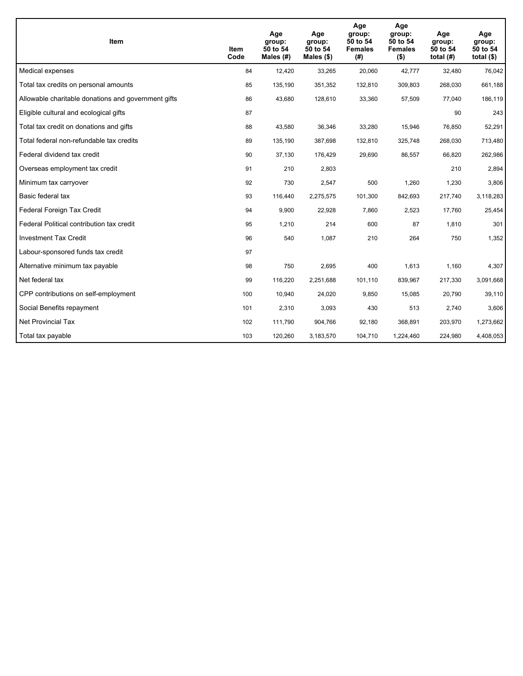| <b>Item</b>                                         | Item<br>Code | Age<br>group:<br>50 to 54<br>Males (#) | Age<br>group:<br>50 to 54<br>Males $(\$)$ | Age<br>group:<br>50 to 54<br><b>Females</b><br>(#) | Age<br>group:<br>50 to 54<br><b>Females</b><br>$($ \$) | Age<br>group:<br>50 to 54<br>total $(H)$ | Age<br>group:<br>50 to 54<br>total $($)$ |
|-----------------------------------------------------|--------------|----------------------------------------|-------------------------------------------|----------------------------------------------------|--------------------------------------------------------|------------------------------------------|------------------------------------------|
| Medical expenses                                    | 84           | 12,420                                 | 33,265                                    | 20,060                                             | 42,777                                                 | 32,480                                   | 76,042                                   |
| Total tax credits on personal amounts               | 85           | 135,190                                | 351,352                                   | 132,810                                            | 309,803                                                | 268,030                                  | 661,188                                  |
| Allowable charitable donations and government gifts | 86           | 43,680                                 | 128,610                                   | 33,360                                             | 57,509                                                 | 77,040                                   | 186,119                                  |
| Eligible cultural and ecological gifts              | 87           |                                        |                                           |                                                    |                                                        | 90                                       | 243                                      |
| Total tax credit on donations and gifts             | 88           | 43,580                                 | 36,346                                    | 33,280                                             | 15,946                                                 | 76,850                                   | 52,291                                   |
| Total federal non-refundable tax credits            | 89           | 135,190                                | 387,698                                   | 132,810                                            | 325,748                                                | 268,030                                  | 713,480                                  |
| Federal dividend tax credit                         | 90           | 37,130                                 | 176,429                                   | 29,690                                             | 86,557                                                 | 66,820                                   | 262,986                                  |
| Overseas employment tax credit                      | 91           | 210                                    | 2,803                                     |                                                    |                                                        | 210                                      | 2,894                                    |
| Minimum tax carryover                               | 92           | 730                                    | 2,547                                     | 500                                                | 1,260                                                  | 1,230                                    | 3,806                                    |
| Basic federal tax                                   | 93           | 116,440                                | 2,275,575                                 | 101,300                                            | 842,693                                                | 217,740                                  | 3,118,283                                |
| Federal Foreign Tax Credit                          | 94           | 9,900                                  | 22,928                                    | 7,860                                              | 2,523                                                  | 17,760                                   | 25,454                                   |
| Federal Political contribution tax credit           | 95           | 1,210                                  | 214                                       | 600                                                | 87                                                     | 1,810                                    | 301                                      |
| <b>Investment Tax Credit</b>                        | 96           | 540                                    | 1,087                                     | 210                                                | 264                                                    | 750                                      | 1,352                                    |
| Labour-sponsored funds tax credit                   | 97           |                                        |                                           |                                                    |                                                        |                                          |                                          |
| Alternative minimum tax payable                     | 98           | 750                                    | 2.695                                     | 400                                                | 1,613                                                  | 1,160                                    | 4,307                                    |
| Net federal tax                                     | 99           | 116,220                                | 2,251,688                                 | 101,110                                            | 839,967                                                | 217,330                                  | 3,091,668                                |
| CPP contributions on self-employment                | 100          | 10,940                                 | 24,020                                    | 9,850                                              | 15,085                                                 | 20,790                                   | 39,110                                   |
| Social Benefits repayment                           | 101          | 2,310                                  | 3,093                                     | 430                                                | 513                                                    | 2,740                                    | 3,606                                    |
| Net Provincial Tax                                  | 102          | 111,790                                | 904,766                                   | 92,180                                             | 368,891                                                | 203,970                                  | 1,273,662                                |
| Total tax payable                                   | 103          | 120,260                                | 3,183,570                                 | 104,710                                            | 1,224,460                                              | 224,980                                  | 4,408,053                                |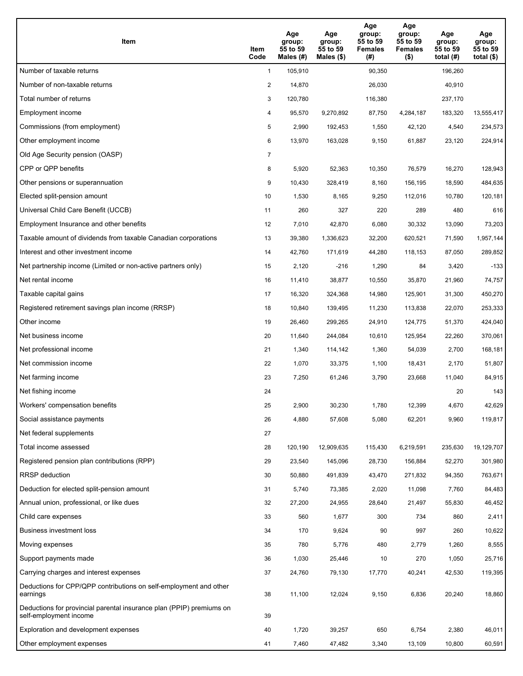| Item                                                                                           | Item<br>Code   | Age<br>group:<br>55 to 59<br>Males $(\#)$ | Age<br>group:<br>55 to 59<br>Males $(\$)$ | Age<br>group:<br>55 to 59<br><b>Females</b><br>(#) | Age<br>group:<br>55 to 59<br><b>Females</b><br>$($ \$) | Age<br>group:<br>55 to 59<br>total $(H)$ | Age<br>group:<br>55 to 59<br>total $(\$)$ |
|------------------------------------------------------------------------------------------------|----------------|-------------------------------------------|-------------------------------------------|----------------------------------------------------|--------------------------------------------------------|------------------------------------------|-------------------------------------------|
| Number of taxable returns                                                                      | $\mathbf{1}$   | 105,910                                   |                                           | 90,350                                             |                                                        | 196,260                                  |                                           |
| Number of non-taxable returns                                                                  | $\overline{c}$ | 14,870                                    |                                           | 26,030                                             |                                                        | 40,910                                   |                                           |
| Total number of returns                                                                        | 3              | 120,780                                   |                                           | 116,380                                            |                                                        | 237,170                                  |                                           |
| Employment income                                                                              | 4              | 95,570                                    | 9,270,892                                 | 87,750                                             | 4,284,187                                              | 183,320                                  | 13,555,417                                |
| Commissions (from employment)                                                                  | 5              | 2,990                                     | 192,453                                   | 1,550                                              | 42,120                                                 | 4,540                                    | 234,573                                   |
| Other employment income                                                                        | 6              | 13,970                                    | 163,028                                   | 9,150                                              | 61,887                                                 | 23,120                                   | 224,914                                   |
| Old Age Security pension (OASP)                                                                | $\overline{7}$ |                                           |                                           |                                                    |                                                        |                                          |                                           |
| CPP or QPP benefits                                                                            | 8              | 5,920                                     | 52,363                                    | 10,350                                             | 76,579                                                 | 16,270                                   | 128,943                                   |
| Other pensions or superannuation                                                               | 9              | 10,430                                    | 328,419                                   | 8,160                                              | 156,195                                                | 18,590                                   | 484,635                                   |
| Elected split-pension amount                                                                   | 10             | 1,530                                     | 8,165                                     | 9,250                                              | 112,016                                                | 10,780                                   | 120,181                                   |
| Universal Child Care Benefit (UCCB)                                                            | 11             | 260                                       | 327                                       | 220                                                | 289                                                    | 480                                      | 616                                       |
| Employment Insurance and other benefits                                                        | 12             | 7,010                                     | 42,870                                    | 6,080                                              | 30,332                                                 | 13,090                                   | 73,203                                    |
| Taxable amount of dividends from taxable Canadian corporations                                 | 13             | 39,380                                    | 1,336,623                                 | 32,200                                             | 620,521                                                | 71,590                                   | 1,957,144                                 |
| Interest and other investment income                                                           | 14             | 42,760                                    | 171,619                                   | 44,280                                             | 118,153                                                | 87,050                                   | 289,852                                   |
| Net partnership income (Limited or non-active partners only)                                   | 15             | 2,120                                     | $-216$                                    | 1,290                                              | 84                                                     | 3,420                                    | $-133$                                    |
| Net rental income                                                                              | 16             | 11,410                                    | 38,877                                    | 10,550                                             | 35,870                                                 | 21,960                                   | 74,757                                    |
| Taxable capital gains                                                                          | 17             | 16,320                                    | 324,368                                   | 14,980                                             | 125,901                                                | 31,300                                   | 450,270                                   |
| Registered retirement savings plan income (RRSP)                                               | 18             | 10,840                                    | 139,495                                   | 11,230                                             | 113,838                                                | 22,070                                   | 253,333                                   |
| Other income                                                                                   | 19             | 26,460                                    | 299,265                                   | 24,910                                             | 124,775                                                | 51,370                                   | 424,040                                   |
| Net business income                                                                            | 20             | 11,640                                    | 244,084                                   | 10,610                                             | 125,954                                                | 22,260                                   | 370,061                                   |
| Net professional income                                                                        | 21             | 1,340                                     | 114,142                                   | 1,360                                              | 54,039                                                 | 2,700                                    | 168,181                                   |
| Net commission income                                                                          | 22             | 1,070                                     | 33,375                                    | 1,100                                              | 18,431                                                 | 2,170                                    | 51,807                                    |
| Net farming income                                                                             | 23             | 7,250                                     | 61,246                                    | 3,790                                              | 23,668                                                 | 11,040                                   | 84,915                                    |
| Net fishing income                                                                             | 24             |                                           |                                           |                                                    |                                                        | 20                                       | 143                                       |
| Workers' compensation benefits                                                                 | 25             | 2,900                                     | 30,230                                    | 1,780                                              | 12,399                                                 | 4,670                                    | 42,629                                    |
| Social assistance payments                                                                     | 26             | 4,880                                     | 57,608                                    | 5,080                                              | 62,201                                                 | 9,960                                    | 119,817                                   |
| Net federal supplements                                                                        | 27             |                                           |                                           |                                                    |                                                        |                                          |                                           |
| Total income assessed                                                                          | 28             | 120,190                                   | 12,909,635                                | 115,430                                            | 6,219,591                                              | 235,630                                  | 19,129,707                                |
| Registered pension plan contributions (RPP)                                                    | 29             | 23,540                                    | 145,096                                   | 28,730                                             | 156,884                                                | 52,270                                   | 301,980                                   |
| RRSP deduction                                                                                 | 30             | 50,880                                    | 491,839                                   | 43,470                                             | 271,832                                                | 94,350                                   | 763,671                                   |
| Deduction for elected split-pension amount                                                     | 31             | 5,740                                     | 73,385                                    | 2,020                                              | 11,098                                                 | 7,760                                    | 84,483                                    |
| Annual union, professional, or like dues                                                       | 32             | 27,200                                    | 24,955                                    | 28,640                                             | 21,497                                                 | 55,830                                   | 46,452                                    |
| Child care expenses                                                                            | 33             | 560                                       | 1,677                                     | 300                                                | 734                                                    | 860                                      | 2,411                                     |
| Business investment loss                                                                       | 34             | 170                                       | 9,624                                     | 90                                                 | 997                                                    | 260                                      | 10,622                                    |
| Moving expenses                                                                                | 35             | 780                                       | 5,776                                     | 480                                                | 2,779                                                  | 1,260                                    | 8,555                                     |
| Support payments made                                                                          | 36             | 1,030                                     | 25,446                                    | 10                                                 | 270                                                    | 1,050                                    | 25,716                                    |
| Carrying charges and interest expenses                                                         | 37             | 24,760                                    | 79,130                                    | 17,770                                             | 40,241                                                 | 42,530                                   | 119,395                                   |
| Deductions for CPP/QPP contributions on self-employment and other<br>earnings                  | 38             | 11,100                                    | 12,024                                    | 9,150                                              | 6,836                                                  | 20,240                                   | 18,860                                    |
| Deductions for provincial parental insurance plan (PPIP) premiums on<br>self-employment income | 39             |                                           |                                           |                                                    |                                                        |                                          |                                           |
| Exploration and development expenses                                                           | 40             | 1,720                                     | 39,257                                    | 650                                                | 6,754                                                  | 2,380                                    | 46,011                                    |
| Other employment expenses                                                                      | 41             | 7,460                                     | 47,482                                    | 3,340                                              | 13,109                                                 | 10,800                                   | 60,591                                    |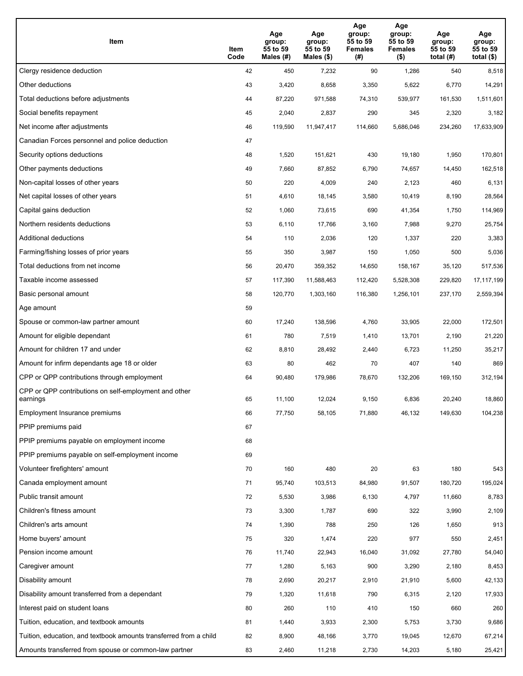| Item                                                              | Item<br>Code | Age<br>group:<br>55 to 59<br>Males (#) | Age<br>group:<br>55 to 59<br>Males (\$) | Age<br>group:<br>55 to 59<br><b>Females</b><br>(# ) | Age<br>group:<br>55 to 59<br><b>Females</b><br>$($ \$) | Age<br>group:<br>55 to 59<br>total $(H)$ | Age<br>group:<br>55 to 59<br>total $($)$ |
|-------------------------------------------------------------------|--------------|----------------------------------------|-----------------------------------------|-----------------------------------------------------|--------------------------------------------------------|------------------------------------------|------------------------------------------|
| Clergy residence deduction                                        | 42           | 450                                    | 7,232                                   | 90                                                  | 1,286                                                  | 540                                      | 8,518                                    |
| Other deductions                                                  | 43           | 3,420                                  | 8,658                                   | 3,350                                               | 5,622                                                  | 6,770                                    | 14,291                                   |
| Total deductions before adjustments                               | 44           | 87,220                                 | 971,588                                 | 74,310                                              | 539,977                                                | 161,530                                  | 1,511,601                                |
| Social benefits repayment                                         | 45           | 2,040                                  | 2,837                                   | 290                                                 | 345                                                    | 2,320                                    | 3,182                                    |
| Net income after adjustments                                      | 46           | 119,590                                | 11,947,417                              | 114,660                                             | 5,686,046                                              | 234,260                                  | 17,633,909                               |
| Canadian Forces personnel and police deduction                    | 47           |                                        |                                         |                                                     |                                                        |                                          |                                          |
| Security options deductions                                       | 48           | 1,520                                  | 151,621                                 | 430                                                 | 19,180                                                 | 1,950                                    | 170,801                                  |
| Other payments deductions                                         | 49           | 7,660                                  | 87,852                                  | 6,790                                               | 74,657                                                 | 14,450                                   | 162,518                                  |
| Non-capital losses of other years                                 | 50           | 220                                    | 4,009                                   | 240                                                 | 2,123                                                  | 460                                      | 6,131                                    |
| Net capital losses of other years                                 | 51           | 4,610                                  | 18,145                                  | 3,580                                               | 10,419                                                 | 8,190                                    | 28,564                                   |
| Capital gains deduction                                           | 52           | 1,060                                  | 73,615                                  | 690                                                 | 41,354                                                 | 1,750                                    | 114,969                                  |
| Northern residents deductions                                     | 53           | 6,110                                  | 17,766                                  | 3,160                                               | 7,988                                                  | 9,270                                    | 25,754                                   |
| Additional deductions                                             | 54           | 110                                    | 2,036                                   | 120                                                 | 1,337                                                  | 220                                      | 3,383                                    |
| Farming/fishing losses of prior years                             | 55           | 350                                    | 3,987                                   | 150                                                 | 1,050                                                  | 500                                      | 5,036                                    |
| Total deductions from net income                                  | 56           | 20,470                                 | 359,352                                 | 14,650                                              | 158,167                                                | 35,120                                   | 517,536                                  |
| Taxable income assessed                                           | 57           | 117,390                                | 11,588,463                              | 112,420                                             | 5,528,308                                              | 229,820                                  | 17,117,199                               |
| Basic personal amount                                             | 58           | 120,770                                | 1,303,160                               | 116,380                                             | 1,256,101                                              | 237,170                                  | 2,559,394                                |
| Age amount                                                        | 59           |                                        |                                         |                                                     |                                                        |                                          |                                          |
| Spouse or common-law partner amount                               | 60           | 17,240                                 | 138,596                                 | 4,760                                               | 33,905                                                 | 22,000                                   | 172,501                                  |
| Amount for eligible dependant                                     | 61           | 780                                    | 7,519                                   | 1,410                                               | 13,701                                                 | 2,190                                    | 21,220                                   |
| Amount for children 17 and under                                  | 62           | 8,810                                  | 28,492                                  | 2,440                                               | 6,723                                                  | 11,250                                   | 35,217                                   |
| Amount for infirm dependants age 18 or older                      | 63           | 80                                     | 462                                     | 70                                                  | 407                                                    | 140                                      | 869                                      |
| CPP or QPP contributions through employment                       | 64           | 90,480                                 | 179,986                                 | 78,670                                              | 132,206                                                | 169,150                                  | 312,194                                  |
| CPP or QPP contributions on self-employment and other<br>earnings | 65           | 11,100                                 | 12,024                                  | 9,150                                               | 6,836                                                  | 20,240                                   | 18,860                                   |
| Employment Insurance premiums                                     | 66           | 77,750                                 | 58,105                                  | 71,880                                              | 46,132                                                 | 149,630                                  | 104,238                                  |
| PPIP premiums paid                                                | 67           |                                        |                                         |                                                     |                                                        |                                          |                                          |
| PPIP premiums payable on employment income                        | 68           |                                        |                                         |                                                     |                                                        |                                          |                                          |
| PPIP premiums payable on self-employment income                   | 69           |                                        |                                         |                                                     |                                                        |                                          |                                          |
| Volunteer firefighters' amount                                    | 70           | 160                                    | 480                                     | 20                                                  | 63                                                     | 180                                      | 543                                      |
| Canada employment amount                                          | 71           | 95,740                                 | 103,513                                 | 84,980                                              | 91,507                                                 | 180,720                                  | 195,024                                  |
| Public transit amount                                             | 72           | 5,530                                  | 3,986                                   | 6,130                                               | 4,797                                                  | 11,660                                   | 8,783                                    |
| Children's fitness amount                                         | 73           | 3,300                                  | 1,787                                   | 690                                                 | 322                                                    | 3,990                                    | 2,109                                    |
| Children's arts amount                                            | 74           | 1,390                                  | 788                                     | 250                                                 | 126                                                    | 1,650                                    | 913                                      |
| Home buyers' amount                                               | 75           | 320                                    | 1,474                                   | 220                                                 | 977                                                    | 550                                      | 2,451                                    |
| Pension income amount                                             | 76           | 11,740                                 | 22,943                                  | 16,040                                              | 31,092                                                 | 27,780                                   | 54,040                                   |
| Caregiver amount                                                  | 77           | 1,280                                  | 5,163                                   | 900                                                 | 3,290                                                  | 2,180                                    | 8,453                                    |
| Disability amount                                                 | 78           | 2,690                                  | 20,217                                  | 2,910                                               | 21,910                                                 | 5,600                                    | 42,133                                   |
| Disability amount transferred from a dependant                    | 79           | 1,320                                  | 11,618                                  | 790                                                 | 6,315                                                  | 2,120                                    | 17,933                                   |
| Interest paid on student loans                                    | 80           | 260                                    | 110                                     | 410                                                 | 150                                                    | 660                                      | 260                                      |
| Tuition, education, and textbook amounts                          | 81           | 1,440                                  | 3,933                                   | 2,300                                               | 5,753                                                  | 3,730                                    | 9,686                                    |
| Tuition, education, and textbook amounts transferred from a child | 82           | 8,900                                  | 48,166                                  | 3,770                                               | 19,045                                                 | 12,670                                   | 67,214                                   |
| Amounts transferred from spouse or common-law partner             | 83           | 2,460                                  | 11,218                                  | 2,730                                               | 14,203                                                 | 5,180                                    | 25,421                                   |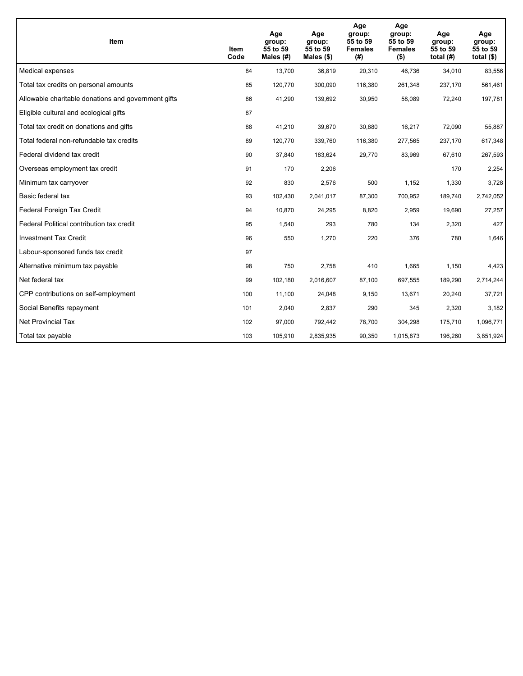| <b>Item</b>                                         | Item<br>Code | Age<br>group:<br>55 to 59<br>Males (#) | Age<br>group:<br>55 to 59<br>Males $(\$)$ | Age<br>group:<br>55 to 59<br><b>Females</b><br>(#) | Age<br>group:<br>55 to 59<br><b>Females</b><br>$($ \$) | Age<br>group:<br>55 to 59<br>total $(H)$ | Age<br>group:<br>55 to 59<br>total $($)$ |
|-----------------------------------------------------|--------------|----------------------------------------|-------------------------------------------|----------------------------------------------------|--------------------------------------------------------|------------------------------------------|------------------------------------------|
| Medical expenses                                    | 84           | 13,700                                 | 36,819                                    | 20,310                                             | 46,736                                                 | 34,010                                   | 83,556                                   |
| Total tax credits on personal amounts               | 85           | 120,770                                | 300,090                                   | 116,380                                            | 261,348                                                | 237,170                                  | 561,461                                  |
| Allowable charitable donations and government gifts | 86           | 41,290                                 | 139,692                                   | 30,950                                             | 58,089                                                 | 72,240                                   | 197,781                                  |
| Eligible cultural and ecological gifts              | 87           |                                        |                                           |                                                    |                                                        |                                          |                                          |
| Total tax credit on donations and gifts             | 88           | 41,210                                 | 39,670                                    | 30,880                                             | 16,217                                                 | 72,090                                   | 55,887                                   |
| Total federal non-refundable tax credits            | 89           | 120,770                                | 339,760                                   | 116,380                                            | 277,565                                                | 237,170                                  | 617,348                                  |
| Federal dividend tax credit                         | 90           | 37,840                                 | 183,624                                   | 29,770                                             | 83,969                                                 | 67,610                                   | 267,593                                  |
| Overseas employment tax credit                      | 91           | 170                                    | 2,206                                     |                                                    |                                                        | 170                                      | 2,254                                    |
| Minimum tax carryover                               | 92           | 830                                    | 2,576                                     | 500                                                | 1,152                                                  | 1,330                                    | 3,728                                    |
| Basic federal tax                                   | 93           | 102,430                                | 2,041,017                                 | 87,300                                             | 700,952                                                | 189,740                                  | 2,742,052                                |
| Federal Foreign Tax Credit                          | 94           | 10,870                                 | 24,295                                    | 8,820                                              | 2,959                                                  | 19,690                                   | 27,257                                   |
| Federal Political contribution tax credit           | 95           | 1,540                                  | 293                                       | 780                                                | 134                                                    | 2,320                                    | 427                                      |
| <b>Investment Tax Credit</b>                        | 96           | 550                                    | 1,270                                     | 220                                                | 376                                                    | 780                                      | 1,646                                    |
| Labour-sponsored funds tax credit                   | 97           |                                        |                                           |                                                    |                                                        |                                          |                                          |
| Alternative minimum tax payable                     | 98           | 750                                    | 2,758                                     | 410                                                | 1,665                                                  | 1,150                                    | 4,423                                    |
| Net federal tax                                     | 99           | 102,180                                | 2,016,607                                 | 87,100                                             | 697,555                                                | 189,290                                  | 2,714,244                                |
| CPP contributions on self-employment                | 100          | 11,100                                 | 24,048                                    | 9,150                                              | 13,671                                                 | 20,240                                   | 37,721                                   |
| Social Benefits repayment                           | 101          | 2,040                                  | 2,837                                     | 290                                                | 345                                                    | 2,320                                    | 3,182                                    |
| <b>Net Provincial Tax</b>                           | 102          | 97,000                                 | 792,442                                   | 78,700                                             | 304,298                                                | 175,710                                  | 1,096,771                                |
| Total tax payable                                   | 103          | 105,910                                | 2,835,935                                 | 90,350                                             | 1,015,873                                              | 196,260                                  | 3,851,924                                |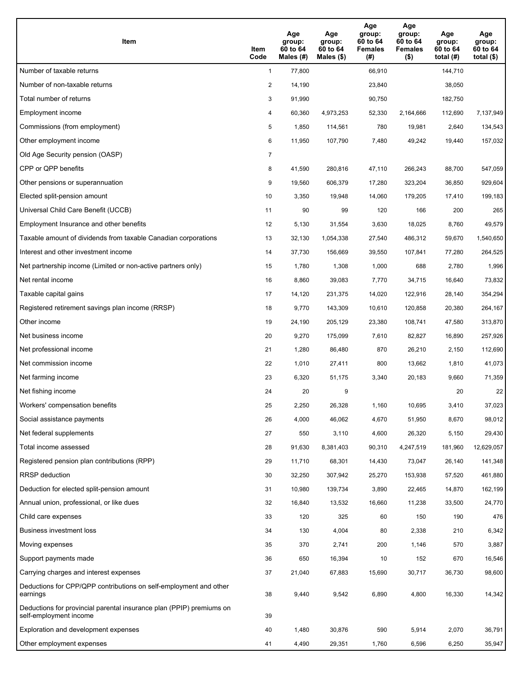| <b>Item</b>                                                                                    | Item<br>Code   | Age<br>group:<br>60 to 64<br>Males $(H)$ | Age<br>group:<br>60 to 64<br>Males (\$) | Age<br>group:<br>60 to 64<br><b>Females</b><br>(#) | Age<br>group:<br>60 to 64<br><b>Females</b><br>$($ \$) | Age<br>group:<br>60 to 64<br>total $(H)$ | Age<br>group:<br>60 to 64<br>total $($)$ |
|------------------------------------------------------------------------------------------------|----------------|------------------------------------------|-----------------------------------------|----------------------------------------------------|--------------------------------------------------------|------------------------------------------|------------------------------------------|
| Number of taxable returns                                                                      | $\mathbf{1}$   | 77,800                                   |                                         | 66,910                                             |                                                        | 144,710                                  |                                          |
| Number of non-taxable returns                                                                  | $\overline{2}$ | 14,190                                   |                                         | 23,840                                             |                                                        | 38,050                                   |                                          |
| Total number of returns                                                                        | 3              | 91,990                                   |                                         | 90,750                                             |                                                        | 182,750                                  |                                          |
| Employment income                                                                              | 4              | 60,360                                   | 4,973,253                               | 52,330                                             | 2,164,666                                              | 112,690                                  | 7,137,949                                |
| Commissions (from employment)                                                                  | 5              | 1,850                                    | 114,561                                 | 780                                                | 19,981                                                 | 2,640                                    | 134,543                                  |
| Other employment income                                                                        | 6              | 11,950                                   | 107,790                                 | 7,480                                              | 49,242                                                 | 19,440                                   | 157,032                                  |
| Old Age Security pension (OASP)                                                                | $\overline{7}$ |                                          |                                         |                                                    |                                                        |                                          |                                          |
| CPP or QPP benefits                                                                            | 8              | 41,590                                   | 280,816                                 | 47,110                                             | 266,243                                                | 88,700                                   | 547,059                                  |
| Other pensions or superannuation                                                               | 9              | 19,560                                   | 606,379                                 | 17,280                                             | 323,204                                                | 36,850                                   | 929,604                                  |
| Elected split-pension amount                                                                   | 10             | 3,350                                    | 19,948                                  | 14,060                                             | 179,205                                                | 17,410                                   | 199,183                                  |
| Universal Child Care Benefit (UCCB)                                                            | 11             | 90                                       | 99                                      | 120                                                | 166                                                    | 200                                      | 265                                      |
| Employment Insurance and other benefits                                                        | 12             | 5,130                                    | 31,554                                  | 3,630                                              | 18,025                                                 | 8,760                                    | 49,579                                   |
| Taxable amount of dividends from taxable Canadian corporations                                 | 13             | 32,130                                   | 1,054,338                               | 27,540                                             | 486,312                                                | 59,670                                   | 1,540,650                                |
| Interest and other investment income                                                           | 14             | 37,730                                   | 156,669                                 | 39,550                                             | 107,841                                                | 77,280                                   | 264,525                                  |
| Net partnership income (Limited or non-active partners only)                                   | 15             | 1,780                                    | 1,308                                   | 1,000                                              | 688                                                    | 2,780                                    | 1,996                                    |
| Net rental income                                                                              | 16             | 8,860                                    | 39,083                                  | 7,770                                              | 34,715                                                 | 16,640                                   | 73,832                                   |
| Taxable capital gains                                                                          | 17             | 14,120                                   | 231,375                                 | 14,020                                             | 122,916                                                | 28,140                                   | 354,294                                  |
| Registered retirement savings plan income (RRSP)                                               | 18             | 9,770                                    | 143,309                                 | 10,610                                             | 120,858                                                | 20,380                                   | 264,167                                  |
| Other income                                                                                   | 19             | 24,190                                   | 205,129                                 | 23,380                                             | 108,741                                                | 47,580                                   | 313,870                                  |
| Net business income                                                                            | 20             | 9,270                                    | 175,099                                 | 7,610                                              | 82,827                                                 | 16,890                                   | 257,926                                  |
| Net professional income                                                                        | 21             | 1,280                                    | 86,480                                  | 870                                                | 26,210                                                 | 2,150                                    | 112,690                                  |
| Net commission income                                                                          | 22             | 1,010                                    | 27,411                                  | 800                                                | 13,662                                                 | 1,810                                    | 41,073                                   |
| Net farming income                                                                             | 23             | 6,320                                    | 51,175                                  | 3,340                                              | 20,183                                                 | 9,660                                    | 71,359                                   |
| Net fishing income                                                                             | 24             | 20                                       | 9                                       |                                                    |                                                        | 20                                       | 22                                       |
| Workers' compensation benefits                                                                 | 25             | 2,250                                    | 26,328                                  | 1,160                                              | 10,695                                                 | 3,410                                    | 37,023                                   |
| Social assistance payments                                                                     | 26             | 4,000                                    | 46,062                                  | 4,670                                              | 51,950                                                 | 8,670                                    | 98,012                                   |
| Net federal supplements                                                                        | 27             | 550                                      | 3,110                                   | 4,600                                              | 26,320                                                 | 5,150                                    | 29,430                                   |
| Total income assessed                                                                          | 28             | 91,630                                   | 8,381,403                               | 90,310                                             | 4,247,519                                              | 181,960                                  | 12,629,057                               |
| Registered pension plan contributions (RPP)                                                    | 29             | 11,710                                   | 68,301                                  | 14,430                                             | 73,047                                                 | 26,140                                   | 141,348                                  |
| RRSP deduction                                                                                 | 30             | 32,250                                   | 307,942                                 | 25,270                                             | 153,938                                                | 57,520                                   | 461,880                                  |
| Deduction for elected split-pension amount                                                     | 31             | 10,980                                   | 139,734                                 | 3,890                                              | 22,465                                                 | 14,870                                   | 162,199                                  |
| Annual union, professional, or like dues                                                       | 32             | 16,840                                   | 13,532                                  | 16,660                                             | 11,238                                                 | 33,500                                   | 24,770                                   |
| Child care expenses                                                                            | 33             | 120                                      | 325                                     | 60                                                 | 150                                                    | 190                                      | 476                                      |
| Business investment loss                                                                       | 34             | 130                                      | 4,004                                   | 80                                                 | 2,338                                                  | 210                                      | 6,342                                    |
| Moving expenses                                                                                | 35             | 370                                      | 2,741                                   | 200                                                | 1,146                                                  | 570                                      | 3,887                                    |
| Support payments made                                                                          | 36             | 650                                      | 16,394                                  | 10                                                 | 152                                                    | 670                                      | 16,546                                   |
| Carrying charges and interest expenses                                                         | 37             | 21,040                                   | 67,883                                  | 15,690                                             | 30,717                                                 | 36,730                                   | 98,600                                   |
| Deductions for CPP/QPP contributions on self-employment and other<br>earnings                  | 38             | 9,440                                    | 9,542                                   | 6,890                                              | 4,800                                                  | 16,330                                   | 14,342                                   |
| Deductions for provincial parental insurance plan (PPIP) premiums on<br>self-employment income | 39             |                                          |                                         |                                                    |                                                        |                                          |                                          |
| Exploration and development expenses                                                           | 40             | 1,480                                    | 30,876                                  | 590                                                | 5,914                                                  | 2,070                                    | 36,791                                   |
| Other employment expenses                                                                      | 41             | 4,490                                    | 29,351                                  | 1,760                                              | 6,596                                                  | 6,250                                    | 35,947                                   |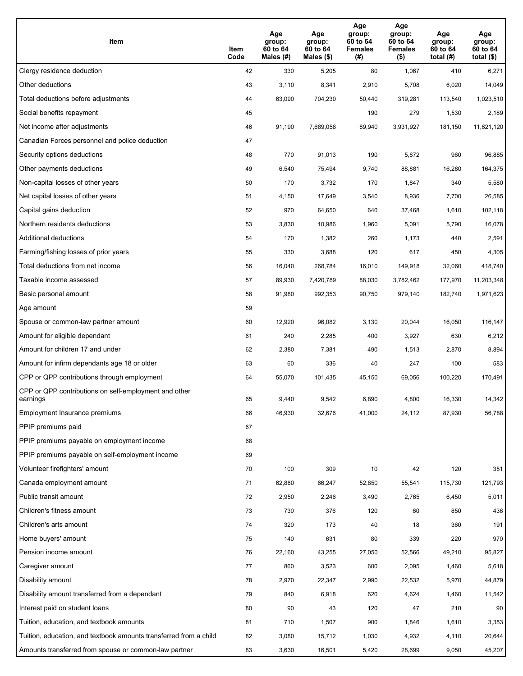| Item                                                              | Item<br>Code | Age<br>group:<br>60 to 64<br>Males (#) | Age<br>group:<br>60 to 64<br>Males (\$) | Age<br>group:<br>60 to 64<br><b>Females</b><br>(# ) | Age<br>group:<br>60 to 64<br><b>Females</b><br>$($ \$) | Age<br>group:<br>60 to 64<br>total $(#)$ | Age<br>group:<br>60 to 64<br>total $($)$ |
|-------------------------------------------------------------------|--------------|----------------------------------------|-----------------------------------------|-----------------------------------------------------|--------------------------------------------------------|------------------------------------------|------------------------------------------|
| Clergy residence deduction                                        | 42           | 330                                    | 5,205                                   | 80                                                  | 1,067                                                  | 410                                      | 6,271                                    |
| Other deductions                                                  | 43           | 3,110                                  | 8,341                                   | 2,910                                               | 5,708                                                  | 6,020                                    | 14,049                                   |
| Total deductions before adjustments                               | 44           | 63,090                                 | 704,230                                 | 50,440                                              | 319,281                                                | 113,540                                  | 1,023,510                                |
| Social benefits repayment                                         | 45           |                                        |                                         | 190                                                 | 279                                                    | 1,530                                    | 2,189                                    |
| Net income after adjustments                                      | 46           | 91,190                                 | 7,689,058                               | 89,940                                              | 3,931,927                                              | 181,150                                  | 11,621,120                               |
| Canadian Forces personnel and police deduction                    | 47           |                                        |                                         |                                                     |                                                        |                                          |                                          |
| Security options deductions                                       | 48           | 770                                    | 91,013                                  | 190                                                 | 5,872                                                  | 960                                      | 96,885                                   |
| Other payments deductions                                         | 49           | 6,540                                  | 75,494                                  | 9,740                                               | 88,881                                                 | 16,280                                   | 164,375                                  |
| Non-capital losses of other years                                 | 50           | 170                                    | 3,732                                   | 170                                                 | 1,847                                                  | 340                                      | 5,580                                    |
| Net capital losses of other years                                 | 51           | 4,150                                  | 17,649                                  | 3,540                                               | 8,936                                                  | 7,700                                    | 26,585                                   |
| Capital gains deduction                                           | 52           | 970                                    | 64,650                                  | 640                                                 | 37,468                                                 | 1,610                                    | 102,118                                  |
| Northern residents deductions                                     | 53           | 3,830                                  | 10,986                                  | 1,960                                               | 5,091                                                  | 5,790                                    | 16,078                                   |
| Additional deductions                                             | 54           | 170                                    | 1,382                                   | 260                                                 | 1,173                                                  | 440                                      | 2,591                                    |
| Farming/fishing losses of prior years                             | 55           | 330                                    | 3,688                                   | 120                                                 | 617                                                    | 450                                      | 4,305                                    |
| Total deductions from net income                                  | 56           | 16,040                                 | 268,784                                 | 16,010                                              | 149,918                                                | 32,060                                   | 418,740                                  |
| Taxable income assessed                                           | 57           | 89,930                                 | 7,420,789                               | 88,030                                              | 3,782,462                                              | 177,970                                  | 11,203,348                               |
| Basic personal amount                                             | 58           | 91,980                                 | 992,353                                 | 90,750                                              | 979,140                                                | 182,740                                  | 1,971,623                                |
| Age amount                                                        | 59           |                                        |                                         |                                                     |                                                        |                                          |                                          |
| Spouse or common-law partner amount                               | 60           | 12,920                                 | 96,082                                  | 3,130                                               | 20,044                                                 | 16,050                                   | 116,147                                  |
| Amount for eligible dependant                                     | 61           | 240                                    | 2,285                                   | 400                                                 | 3,927                                                  | 630                                      | 6,212                                    |
| Amount for children 17 and under                                  | 62           | 2,380                                  | 7,381                                   | 490                                                 | 1,513                                                  | 2,870                                    | 8,894                                    |
| Amount for infirm dependants age 18 or older                      | 63           | 60                                     | 336                                     | 40                                                  | 247                                                    | 100                                      | 583                                      |
| CPP or QPP contributions through employment                       | 64           | 55,070                                 | 101,435                                 | 45,150                                              | 69,056                                                 | 100,220                                  | 170,491                                  |
| CPP or QPP contributions on self-employment and other<br>earnings | 65           | 9,440                                  | 9,542                                   | 6,890                                               | 4.800                                                  | 16,330                                   | 14,342                                   |
| Employment Insurance premiums                                     | 66           | 46,930                                 | 32,676                                  | 41,000                                              | 24,112                                                 | 87,930                                   | 56,788                                   |
| PPIP premiums paid                                                | 67           |                                        |                                         |                                                     |                                                        |                                          |                                          |
| PPIP premiums payable on employment income                        | 68           |                                        |                                         |                                                     |                                                        |                                          |                                          |
| PPIP premiums payable on self-employment income                   | 69           |                                        |                                         |                                                     |                                                        |                                          |                                          |
| Volunteer firefighters' amount                                    | 70           | 100                                    | 309                                     | 10                                                  | 42                                                     | 120                                      | 351                                      |
| Canada employment amount                                          | 71           | 62,880                                 | 66,247                                  | 52,850                                              | 55,541                                                 | 115,730                                  | 121,793                                  |
| Public transit amount                                             | 72           | 2,950                                  | 2,246                                   | 3,490                                               | 2,765                                                  | 6,450                                    | 5,011                                    |
| Children's fitness amount                                         | 73           | 730                                    | 376                                     | 120                                                 | 60                                                     | 850                                      | 436                                      |
| Children's arts amount                                            | 74           | 320                                    | 173                                     | 40                                                  | 18                                                     | 360                                      | 191                                      |
| Home buyers' amount                                               | 75           | 140                                    | 631                                     | 80                                                  | 339                                                    | 220                                      | 970                                      |
| Pension income amount                                             | 76           | 22,160                                 | 43,255                                  | 27,050                                              | 52,566                                                 | 49,210                                   | 95,827                                   |
| Caregiver amount                                                  | $77\,$       | 860                                    | 3,523                                   | 600                                                 | 2,095                                                  | 1,460                                    | 5,618                                    |
| Disability amount                                                 | 78           | 2,970                                  | 22,347                                  | 2,990                                               | 22,532                                                 | 5,970                                    | 44,879                                   |
| Disability amount transferred from a dependant                    | 79           | 840                                    | 6,918                                   | 620                                                 | 4,624                                                  | 1,460                                    | 11,542                                   |
| Interest paid on student loans                                    | 80           | 90                                     | 43                                      | 120                                                 | 47                                                     | 210                                      | 90                                       |
| Tuition, education, and textbook amounts                          | 81           | 710                                    | 1,507                                   | 900                                                 | 1,846                                                  | 1,610                                    | 3,353                                    |
| Tuition, education, and textbook amounts transferred from a child | 82           | 3,080                                  | 15,712                                  | 1,030                                               | 4,932                                                  | 4,110                                    | 20,644                                   |
| Amounts transferred from spouse or common-law partner             | 83           | 3,630                                  | 16,501                                  | 5,420                                               | 28,699                                                 | 9,050                                    | 45,207                                   |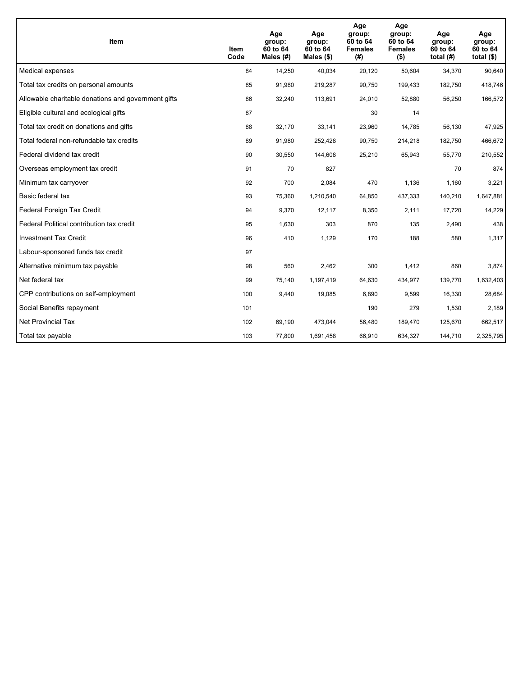| <b>Item</b>                                         | Item<br>Code | Age<br>group:<br>60 to 64<br>Males $(H)$ | Age<br>group:<br>60 to 64<br>Males $(\$)$ | Age<br>group:<br>60 to 64<br><b>Females</b><br>(#) | Age<br>group:<br>60 to 64<br><b>Females</b><br>$($ \$) | Age<br>group:<br>60 to 64<br>total $(H)$ | Age<br>group:<br>60 to 64<br>total $($)$ |
|-----------------------------------------------------|--------------|------------------------------------------|-------------------------------------------|----------------------------------------------------|--------------------------------------------------------|------------------------------------------|------------------------------------------|
| Medical expenses                                    | 84           | 14,250                                   | 40,034                                    | 20,120                                             | 50,604                                                 | 34,370                                   | 90,640                                   |
| Total tax credits on personal amounts               | 85           | 91,980                                   | 219,287                                   | 90,750                                             | 199,433                                                | 182,750                                  | 418,746                                  |
| Allowable charitable donations and government gifts | 86           | 32,240                                   | 113,691                                   | 24,010                                             | 52,880                                                 | 56,250                                   | 166,572                                  |
| Eligible cultural and ecological gifts              | 87           |                                          |                                           | 30                                                 | 14                                                     |                                          |                                          |
| Total tax credit on donations and gifts             | 88           | 32,170                                   | 33,141                                    | 23,960                                             | 14,785                                                 | 56,130                                   | 47,925                                   |
| Total federal non-refundable tax credits            | 89           | 91,980                                   | 252,428                                   | 90,750                                             | 214,218                                                | 182,750                                  | 466,672                                  |
| Federal dividend tax credit                         | 90           | 30,550                                   | 144,608                                   | 25,210                                             | 65,943                                                 | 55,770                                   | 210,552                                  |
| Overseas employment tax credit                      | 91           | 70                                       | 827                                       |                                                    |                                                        | 70                                       | 874                                      |
| Minimum tax carryover                               | 92           | 700                                      | 2,084                                     | 470                                                | 1,136                                                  | 1,160                                    | 3,221                                    |
| Basic federal tax                                   | 93           | 75,360                                   | 1,210,540                                 | 64,850                                             | 437,333                                                | 140,210                                  | 1,647,881                                |
| Federal Foreign Tax Credit                          | 94           | 9,370                                    | 12,117                                    | 8,350                                              | 2,111                                                  | 17,720                                   | 14,229                                   |
| Federal Political contribution tax credit           | 95           | 1,630                                    | 303                                       | 870                                                | 135                                                    | 2,490                                    | 438                                      |
| <b>Investment Tax Credit</b>                        | 96           | 410                                      | 1,129                                     | 170                                                | 188                                                    | 580                                      | 1,317                                    |
| Labour-sponsored funds tax credit                   | 97           |                                          |                                           |                                                    |                                                        |                                          |                                          |
| Alternative minimum tax payable                     | 98           | 560                                      | 2,462                                     | 300                                                | 1,412                                                  | 860                                      | 3,874                                    |
| Net federal tax                                     | 99           | 75,140                                   | 1,197,419                                 | 64,630                                             | 434,977                                                | 139,770                                  | 1,632,403                                |
| CPP contributions on self-employment                | 100          | 9,440                                    | 19,085                                    | 6,890                                              | 9,599                                                  | 16,330                                   | 28,684                                   |
| Social Benefits repayment                           | 101          |                                          |                                           | 190                                                | 279                                                    | 1,530                                    | 2,189                                    |
| <b>Net Provincial Tax</b>                           | 102          | 69,190                                   | 473,044                                   | 56,480                                             | 189,470                                                | 125,670                                  | 662,517                                  |
| Total tax payable                                   | 103          | 77,800                                   | 1,691,458                                 | 66,910                                             | 634,327                                                | 144,710                                  | 2,325,795                                |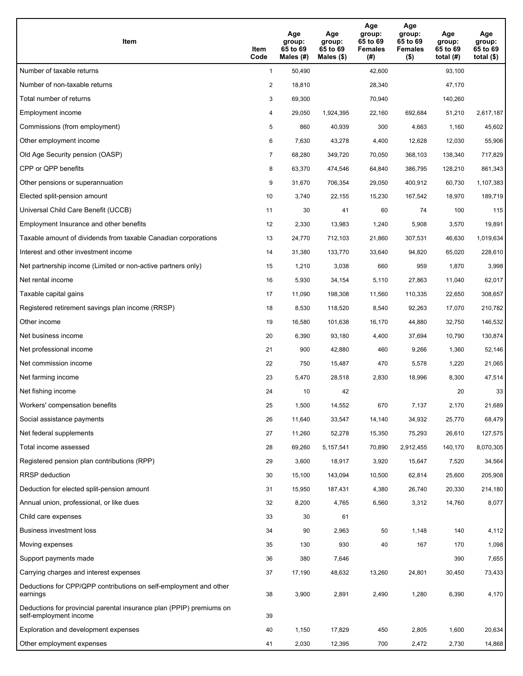| Item                                                                                           | Item<br>Code   | Age<br>group:<br>65 to 69<br>Males (#) | Age<br>group:<br>65 to 69<br>Males $(\$)$ | Age<br>group:<br>65 to 69<br><b>Females</b><br>(#) | Age<br>group:<br>65 to 69<br><b>Females</b><br>$($ \$) | Age<br>group:<br>65 to 69<br>total $(H)$ | Age<br>group:<br>65 to 69<br>total $($ |
|------------------------------------------------------------------------------------------------|----------------|----------------------------------------|-------------------------------------------|----------------------------------------------------|--------------------------------------------------------|------------------------------------------|----------------------------------------|
| Number of taxable returns                                                                      | $\mathbf{1}$   | 50,490                                 |                                           | 42,600                                             |                                                        | 93,100                                   |                                        |
| Number of non-taxable returns                                                                  | $\overline{2}$ | 18,810                                 |                                           | 28,340                                             |                                                        | 47,170                                   |                                        |
| Total number of returns                                                                        | 3              | 69,300                                 |                                           | 70,940                                             |                                                        | 140,260                                  |                                        |
| Employment income                                                                              | 4              | 29,050                                 | 1,924,395                                 | 22,160                                             | 692,684                                                | 51,210                                   | 2,617,187                              |
| Commissions (from employment)                                                                  | 5              | 860                                    | 40,939                                    | 300                                                | 4,663                                                  | 1,160                                    | 45,602                                 |
| Other employment income                                                                        | 6              | 7,630                                  | 43,278                                    | 4,400                                              | 12,628                                                 | 12,030                                   | 55,906                                 |
| Old Age Security pension (OASP)                                                                | 7              | 68,280                                 | 349,720                                   | 70,050                                             | 368,103                                                | 138,340                                  | 717,829                                |
| CPP or QPP benefits                                                                            | 8              | 63,370                                 | 474,546                                   | 64,840                                             | 386,795                                                | 128,210                                  | 861,343                                |
| Other pensions or superannuation                                                               | 9              | 31,670                                 | 706,354                                   | 29,050                                             | 400,912                                                | 60,730                                   | 1,107,383                              |
| Elected split-pension amount                                                                   | 10             | 3,740                                  | 22,155                                    | 15,230                                             | 167,542                                                | 18,970                                   | 189,719                                |
| Universal Child Care Benefit (UCCB)                                                            | 11             | 30                                     | 41                                        | 60                                                 | 74                                                     | 100                                      | 115                                    |
| Employment Insurance and other benefits                                                        | 12             | 2,330                                  | 13,983                                    | 1,240                                              | 5,908                                                  | 3,570                                    | 19,891                                 |
| Taxable amount of dividends from taxable Canadian corporations                                 | 13             | 24,770                                 | 712,103                                   | 21,860                                             | 307,531                                                | 46,630                                   | 1,019,634                              |
| Interest and other investment income                                                           | 14             | 31,380                                 | 133,770                                   | 33,640                                             | 94,820                                                 | 65,020                                   | 228,610                                |
| Net partnership income (Limited or non-active partners only)                                   | 15             | 1,210                                  | 3,038                                     | 660                                                | 959                                                    | 1,870                                    | 3,998                                  |
| Net rental income                                                                              | 16             | 5,930                                  | 34,154                                    | 5,110                                              | 27,863                                                 | 11,040                                   | 62,017                                 |
| Taxable capital gains                                                                          | 17             | 11,090                                 | 198,308                                   | 11,560                                             | 110,335                                                | 22,650                                   | 308,657                                |
| Registered retirement savings plan income (RRSP)                                               | 18             | 8,530                                  | 118,520                                   | 8,540                                              | 92,263                                                 | 17,070                                   | 210,782                                |
| Other income                                                                                   | 19             | 16,580                                 | 101,638                                   | 16,170                                             | 44,880                                                 | 32,750                                   | 146,532                                |
| Net business income                                                                            | 20             | 6,390                                  | 93,180                                    | 4,400                                              | 37,694                                                 | 10,790                                   | 130,874                                |
| Net professional income                                                                        | 21             | 900                                    | 42,880                                    | 460                                                | 9,266                                                  | 1,360                                    | 52,146                                 |
| Net commission income                                                                          | 22             | 750                                    | 15,487                                    | 470                                                | 5,578                                                  | 1,220                                    | 21,065                                 |
| Net farming income                                                                             | 23             | 5,470                                  | 28,518                                    | 2,830                                              | 18,996                                                 | 8,300                                    | 47,514                                 |
| Net fishing income                                                                             | 24             | 10                                     | 42                                        |                                                    |                                                        | 20                                       | 33                                     |
| Workers' compensation benefits                                                                 | 25             | 1,500                                  | 14,552                                    | 670                                                | 7,137                                                  | 2,170                                    | 21,689                                 |
| Social assistance payments                                                                     | 26             | 11,640                                 | 33,547                                    | 14,140                                             | 34,932                                                 | 25,770                                   | 68,479                                 |
| Net federal supplements                                                                        | 27             | 11,260                                 | 52,278                                    | 15,350                                             | 75,293                                                 | 26,610                                   | 127,575                                |
| Total income assessed                                                                          | 28             | 69,260                                 | 5,157,541                                 | 70,890                                             | 2,912,455                                              | 140,170                                  | 8,070,305                              |
| Registered pension plan contributions (RPP)                                                    | 29             | 3,600                                  | 18,917                                    | 3,920                                              | 15,647                                                 | 7,520                                    | 34,564                                 |
| RRSP deduction                                                                                 | 30             | 15,100                                 | 143,094                                   | 10,500                                             | 62,814                                                 | 25,600                                   | 205,908                                |
| Deduction for elected split-pension amount                                                     | 31             | 15,950                                 | 187,431                                   | 4,380                                              | 26,740                                                 | 20,330                                   | 214,180                                |
| Annual union, professional, or like dues                                                       | 32             | 8,200                                  | 4,765                                     | 6,560                                              | 3,312                                                  | 14,760                                   | 8,077                                  |
| Child care expenses                                                                            | 33             | 30                                     | 61                                        |                                                    |                                                        |                                          |                                        |
| Business investment loss                                                                       | 34             | 90                                     | 2,963                                     | 50                                                 | 1,148                                                  | 140                                      | 4,112                                  |
| Moving expenses                                                                                | 35             | 130                                    | 930                                       | 40                                                 | 167                                                    | 170                                      | 1,098                                  |
| Support payments made                                                                          | 36             | 380                                    | 7,646                                     |                                                    |                                                        | 390                                      | 7,655                                  |
| Carrying charges and interest expenses                                                         | 37             | 17,190                                 | 48,632                                    | 13,260                                             | 24,801                                                 | 30,450                                   | 73,433                                 |
| Deductions for CPP/QPP contributions on self-employment and other<br>earnings                  | 38             | 3,900                                  | 2,891                                     | 2,490                                              | 1,280                                                  | 6,390                                    | 4,170                                  |
| Deductions for provincial parental insurance plan (PPIP) premiums on<br>self-employment income | 39             |                                        |                                           |                                                    |                                                        |                                          |                                        |
| Exploration and development expenses                                                           | 40             | 1,150                                  | 17,829                                    | 450                                                | 2,805                                                  | 1,600                                    | 20,634                                 |
| Other employment expenses                                                                      | 41             | 2,030                                  | 12,395                                    | 700                                                | 2,472                                                  | 2,730                                    | 14,868                                 |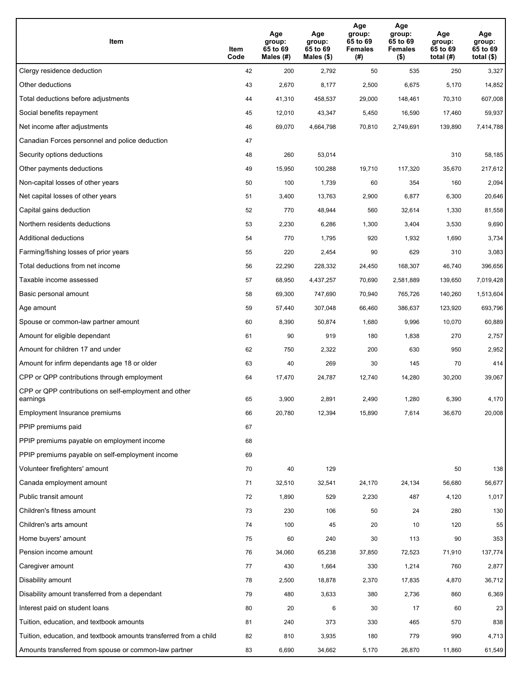| Item                                                              | Item<br>Code | Age<br>group:<br>65 to 69<br>Males (#) | Age<br>group:<br>65 to 69<br>Males (\$) | Age<br>group:<br>65 to 69<br><b>Females</b><br>(# ) | Age<br>group:<br>65 to 69<br><b>Females</b><br>$($ \$) | Age<br>group:<br>65 to 69<br>total $(H)$ | Age<br>group:<br>65 to 69<br>total $($)$ |
|-------------------------------------------------------------------|--------------|----------------------------------------|-----------------------------------------|-----------------------------------------------------|--------------------------------------------------------|------------------------------------------|------------------------------------------|
| Clergy residence deduction                                        | 42           | 200                                    | 2,792                                   | 50                                                  | 535                                                    | 250                                      | 3,327                                    |
| Other deductions                                                  | 43           | 2,670                                  | 8,177                                   | 2,500                                               | 6,675                                                  | 5,170                                    | 14,852                                   |
| Total deductions before adjustments                               | 44           | 41,310                                 | 458,537                                 | 29,000                                              | 148,461                                                | 70,310                                   | 607,008                                  |
| Social benefits repayment                                         | 45           | 12,010                                 | 43,347                                  | 5,450                                               | 16,590                                                 | 17,460                                   | 59,937                                   |
| Net income after adjustments                                      | 46           | 69,070                                 | 4,664,798                               | 70,810                                              | 2,749,691                                              | 139,890                                  | 7,414,788                                |
| Canadian Forces personnel and police deduction                    | 47           |                                        |                                         |                                                     |                                                        |                                          |                                          |
| Security options deductions                                       | 48           | 260                                    | 53,014                                  |                                                     |                                                        | 310                                      | 58,185                                   |
| Other payments deductions                                         | 49           | 15,950                                 | 100,288                                 | 19,710                                              | 117,320                                                | 35,670                                   | 217,612                                  |
| Non-capital losses of other years                                 | 50           | 100                                    | 1,739                                   | 60                                                  | 354                                                    | 160                                      | 2,094                                    |
| Net capital losses of other years                                 | 51           | 3,400                                  | 13,763                                  | 2,900                                               | 6,877                                                  | 6,300                                    | 20,646                                   |
| Capital gains deduction                                           | 52           | 770                                    | 48,944                                  | 560                                                 | 32,614                                                 | 1,330                                    | 81,558                                   |
| Northern residents deductions                                     | 53           | 2,230                                  | 6,286                                   | 1,300                                               | 3,404                                                  | 3,530                                    | 9,690                                    |
| Additional deductions                                             | 54           | 770                                    | 1,795                                   | 920                                                 | 1,932                                                  | 1,690                                    | 3,734                                    |
| Farming/fishing losses of prior years                             | 55           | 220                                    | 2,454                                   | 90                                                  | 629                                                    | 310                                      | 3,083                                    |
| Total deductions from net income                                  | 56           | 22,290                                 | 228,332                                 | 24,450                                              | 168,307                                                | 46,740                                   | 396,656                                  |
| Taxable income assessed                                           | 57           | 68,950                                 | 4,437,257                               | 70,690                                              | 2,581,889                                              | 139,650                                  | 7,019,428                                |
| Basic personal amount                                             | 58           | 69,300                                 | 747,690                                 | 70,940                                              | 765,726                                                | 140,260                                  | 1,513,604                                |
| Age amount                                                        | 59           | 57,440                                 | 307,048                                 | 66,460                                              | 386,637                                                | 123,920                                  | 693,796                                  |
| Spouse or common-law partner amount                               | 60           | 8,390                                  | 50,874                                  | 1,680                                               | 9,996                                                  | 10,070                                   | 60,889                                   |
| Amount for eligible dependant                                     | 61           | 90                                     | 919                                     | 180                                                 | 1,838                                                  | 270                                      | 2,757                                    |
| Amount for children 17 and under                                  | 62           | 750                                    | 2,322                                   | 200                                                 | 630                                                    | 950                                      | 2,952                                    |
| Amount for infirm dependants age 18 or older                      | 63           | 40                                     | 269                                     | 30                                                  | 145                                                    | 70                                       | 414                                      |
| CPP or QPP contributions through employment                       | 64           | 17,470                                 | 24,787                                  | 12,740                                              | 14,280                                                 | 30,200                                   | 39,067                                   |
| CPP or QPP contributions on self-employment and other<br>earnings | 65           | 3,900                                  | 2,891                                   | 2,490                                               | 1,280                                                  | 6,390                                    | 4,170                                    |
| Employment Insurance premiums                                     | 66           | 20,780                                 | 12,394                                  | 15,890                                              | 7,614                                                  | 36,670                                   | 20,008                                   |
| PPIP premiums paid                                                | 67           |                                        |                                         |                                                     |                                                        |                                          |                                          |
| PPIP premiums payable on employment income                        | 68           |                                        |                                         |                                                     |                                                        |                                          |                                          |
| PPIP premiums payable on self-employment income                   | 69           |                                        |                                         |                                                     |                                                        |                                          |                                          |
| Volunteer firefighters' amount                                    | 70           | 40                                     | 129                                     |                                                     |                                                        | 50                                       | 138                                      |
| Canada employment amount                                          | 71           | 32,510                                 | 32,541                                  | 24,170                                              | 24,134                                                 | 56,680                                   | 56,677                                   |
| Public transit amount                                             | 72           | 1,890                                  | 529                                     | 2,230                                               | 487                                                    | 4,120                                    | 1,017                                    |
| Children's fitness amount                                         | 73           | 230                                    | 106                                     | 50                                                  | 24                                                     | 280                                      | 130                                      |
| Children's arts amount                                            | 74           | 100                                    | 45                                      | 20                                                  | 10                                                     | 120                                      | 55                                       |
| Home buyers' amount                                               | 75           | 60                                     | 240                                     | 30                                                  | 113                                                    | 90                                       | 353                                      |
| Pension income amount                                             | 76           | 34,060                                 | 65,238                                  | 37,850                                              | 72,523                                                 | 71,910                                   | 137,774                                  |
| Caregiver amount                                                  | 77           | 430                                    | 1,664                                   | 330                                                 | 1,214                                                  | 760                                      | 2,877                                    |
| Disability amount                                                 | 78           | 2,500                                  | 18,878                                  | 2,370                                               | 17,835                                                 | 4,870                                    | 36,712                                   |
| Disability amount transferred from a dependant                    | 79           | 480                                    | 3,633                                   | 380                                                 | 2,736                                                  | 860                                      | 6,369                                    |
| Interest paid on student loans                                    | 80           | 20                                     | 6                                       | 30                                                  | 17                                                     | 60                                       | 23                                       |
| Tuition, education, and textbook amounts                          | 81           | 240                                    | 373                                     | 330                                                 | 465                                                    | 570                                      | 838                                      |
| Tuition, education, and textbook amounts transferred from a child | 82           | 810                                    | 3,935                                   | 180                                                 | 779                                                    | 990                                      | 4,713                                    |
| Amounts transferred from spouse or common-law partner             | 83           | 6,690                                  | 34,662                                  | 5,170                                               | 26,870                                                 | 11,860                                   | 61,549                                   |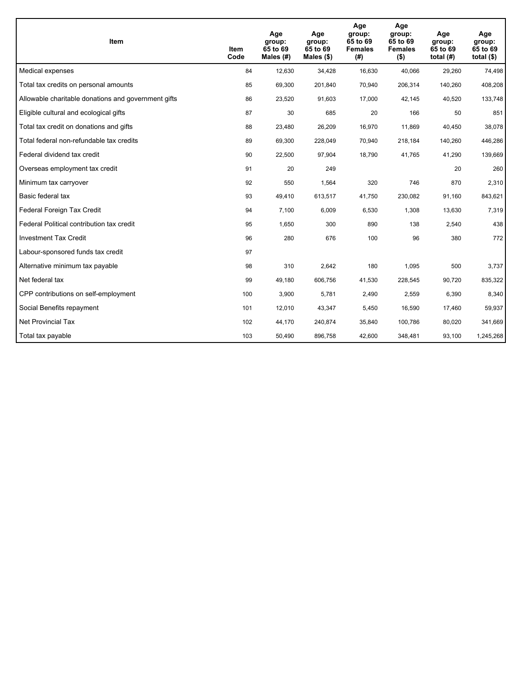| <b>Item</b>                                         | Item<br>Code | Age<br>group:<br>65 to 69<br>Males (#) | Age<br>group:<br>65 to 69<br>Males $(\$)$ | Age<br>group:<br>65 to 69<br><b>Females</b><br>(#) | Age<br>group:<br>65 to 69<br><b>Females</b><br>$($ \$) | Age<br>group:<br>65 to 69<br>total $(H)$ | Age<br>group:<br>65 to 69<br>total $($)$ |
|-----------------------------------------------------|--------------|----------------------------------------|-------------------------------------------|----------------------------------------------------|--------------------------------------------------------|------------------------------------------|------------------------------------------|
| Medical expenses                                    | 84           | 12,630                                 | 34,428                                    | 16,630                                             | 40,066                                                 | 29,260                                   | 74,498                                   |
| Total tax credits on personal amounts               | 85           | 69,300                                 | 201,840                                   | 70,940                                             | 206,314                                                | 140,260                                  | 408,208                                  |
| Allowable charitable donations and government gifts | 86           | 23,520                                 | 91,603                                    | 17,000                                             | 42,145                                                 | 40,520                                   | 133,748                                  |
| Eligible cultural and ecological gifts              | 87           | 30                                     | 685                                       | 20                                                 | 166                                                    | 50                                       | 851                                      |
| Total tax credit on donations and gifts             | 88           | 23,480                                 | 26,209                                    | 16,970                                             | 11,869                                                 | 40,450                                   | 38,078                                   |
| Total federal non-refundable tax credits            | 89           | 69,300                                 | 228,049                                   | 70,940                                             | 218,184                                                | 140,260                                  | 446,286                                  |
| Federal dividend tax credit                         | 90           | 22,500                                 | 97,904                                    | 18,790                                             | 41,765                                                 | 41,290                                   | 139,669                                  |
| Overseas employment tax credit                      | 91           | 20                                     | 249                                       |                                                    |                                                        | 20                                       | 260                                      |
| Minimum tax carryover                               | 92           | 550                                    | 1,564                                     | 320                                                | 746                                                    | 870                                      | 2,310                                    |
| Basic federal tax                                   | 93           | 49,410                                 | 613,517                                   | 41,750                                             | 230,082                                                | 91,160                                   | 843,621                                  |
| Federal Foreign Tax Credit                          | 94           | 7,100                                  | 6,009                                     | 6,530                                              | 1,308                                                  | 13,630                                   | 7,319                                    |
| Federal Political contribution tax credit           | 95           | 1,650                                  | 300                                       | 890                                                | 138                                                    | 2,540                                    | 438                                      |
| <b>Investment Tax Credit</b>                        | 96           | 280                                    | 676                                       | 100                                                | 96                                                     | 380                                      | 772                                      |
| Labour-sponsored funds tax credit                   | 97           |                                        |                                           |                                                    |                                                        |                                          |                                          |
| Alternative minimum tax payable                     | 98           | 310                                    | 2,642                                     | 180                                                | 1,095                                                  | 500                                      | 3,737                                    |
| Net federal tax                                     | 99           | 49,180                                 | 606,756                                   | 41,530                                             | 228,545                                                | 90,720                                   | 835,322                                  |
| CPP contributions on self-employment                | 100          | 3,900                                  | 5,781                                     | 2,490                                              | 2,559                                                  | 6,390                                    | 8,340                                    |
| Social Benefits repayment                           | 101          | 12,010                                 | 43,347                                    | 5,450                                              | 16,590                                                 | 17,460                                   | 59,937                                   |
| <b>Net Provincial Tax</b>                           | 102          | 44,170                                 | 240,874                                   | 35,840                                             | 100,786                                                | 80,020                                   | 341,669                                  |
| Total tax payable                                   | 103          | 50,490                                 | 896,758                                   | 42,600                                             | 348,481                                                | 93,100                                   | 1,245,268                                |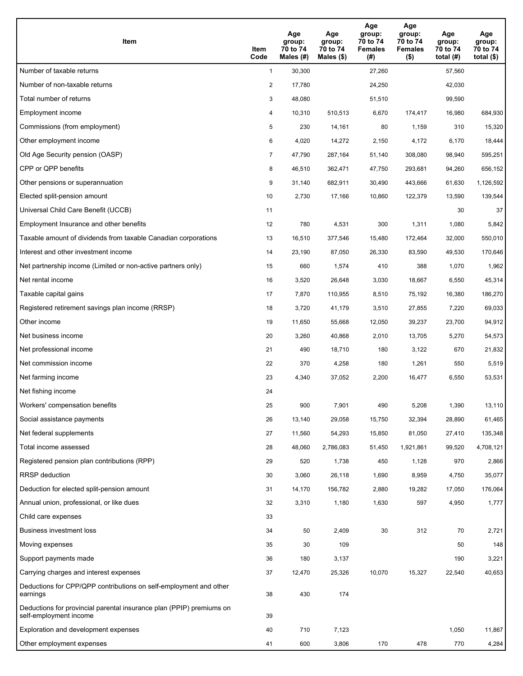| Item                                                                                           | Item<br>Code   | Age<br>group:<br>70 to 74<br>Males (#) | Age<br>group:<br>70 to 74<br>Males $(\$)$ | Age<br>group:<br>70 to 74<br><b>Females</b><br>(#) | Age<br>group:<br>70 to 74<br><b>Females</b><br>$($ \$) | Age<br>group:<br>70 to 74<br>total $(H)$ | Age<br>group:<br>70 to 74<br>total $($ |
|------------------------------------------------------------------------------------------------|----------------|----------------------------------------|-------------------------------------------|----------------------------------------------------|--------------------------------------------------------|------------------------------------------|----------------------------------------|
| Number of taxable returns                                                                      | $\mathbf{1}$   | 30,300                                 |                                           | 27,260                                             |                                                        | 57,560                                   |                                        |
| Number of non-taxable returns                                                                  | $\overline{a}$ | 17,780                                 |                                           | 24,250                                             |                                                        | 42,030                                   |                                        |
| Total number of returns                                                                        | 3              | 48,080                                 |                                           | 51,510                                             |                                                        | 99,590                                   |                                        |
| Employment income                                                                              | 4              | 10,310                                 | 510,513                                   | 6,670                                              | 174,417                                                | 16,980                                   | 684,930                                |
| Commissions (from employment)                                                                  | 5              | 230                                    | 14,161                                    | 80                                                 | 1,159                                                  | 310                                      | 15,320                                 |
| Other employment income                                                                        | 6              | 4,020                                  | 14,272                                    | 2,150                                              | 4,172                                                  | 6,170                                    | 18,444                                 |
| Old Age Security pension (OASP)                                                                | 7              | 47,790                                 | 287,164                                   | 51,140                                             | 308,080                                                | 98,940                                   | 595,251                                |
| CPP or QPP benefits                                                                            | 8              | 46,510                                 | 362,471                                   | 47,750                                             | 293,681                                                | 94,260                                   | 656,152                                |
| Other pensions or superannuation                                                               | 9              | 31,140                                 | 682,911                                   | 30,490                                             | 443,666                                                | 61,630                                   | 1,126,592                              |
| Elected split-pension amount                                                                   | 10             | 2,730                                  | 17,166                                    | 10,860                                             | 122,379                                                | 13,590                                   | 139,544                                |
| Universal Child Care Benefit (UCCB)                                                            | 11             |                                        |                                           |                                                    |                                                        | 30                                       | 37                                     |
| Employment Insurance and other benefits                                                        | 12             | 780                                    | 4,531                                     | 300                                                | 1,311                                                  | 1,080                                    | 5,842                                  |
| Taxable amount of dividends from taxable Canadian corporations                                 | 13             | 16,510                                 | 377,546                                   | 15,480                                             | 172,464                                                | 32,000                                   | 550,010                                |
| Interest and other investment income                                                           | 14             | 23,190                                 | 87,050                                    | 26,330                                             | 83,590                                                 | 49,530                                   | 170,646                                |
| Net partnership income (Limited or non-active partners only)                                   | 15             | 660                                    | 1,574                                     | 410                                                | 388                                                    | 1,070                                    | 1,962                                  |
| Net rental income                                                                              | 16             | 3,520                                  | 26,648                                    | 3,030                                              | 18,667                                                 | 6,550                                    | 45,314                                 |
| Taxable capital gains                                                                          | 17             | 7,870                                  | 110,955                                   | 8,510                                              | 75,192                                                 | 16,380                                   | 186,270                                |
| Registered retirement savings plan income (RRSP)                                               | 18             | 3,720                                  | 41,179                                    | 3,510                                              | 27,855                                                 | 7,220                                    | 69,033                                 |
| Other income                                                                                   | 19             | 11,650                                 | 55,668                                    | 12,050                                             | 39,237                                                 | 23,700                                   | 94,912                                 |
| Net business income                                                                            | 20             | 3,260                                  | 40,868                                    | 2,010                                              | 13,705                                                 | 5,270                                    | 54,573                                 |
| Net professional income                                                                        | 21             | 490                                    | 18,710                                    | 180                                                | 3,122                                                  | 670                                      | 21,832                                 |
| Net commission income                                                                          | 22             | 370                                    | 4,258                                     | 180                                                | 1,261                                                  | 550                                      | 5,519                                  |
| Net farming income                                                                             | 23             | 4,340                                  | 37,052                                    | 2,200                                              | 16,477                                                 | 6,550                                    | 53,531                                 |
| Net fishing income                                                                             | 24             |                                        |                                           |                                                    |                                                        |                                          |                                        |
| Workers' compensation benefits                                                                 | 25             | 900                                    | 7,901                                     | 490                                                | 5,208                                                  | 1,390                                    | 13,110                                 |
| Social assistance payments                                                                     | 26             | 13,140                                 | 29,058                                    | 15,750                                             | 32,394                                                 | 28,890                                   | 61,465                                 |
| Net federal supplements                                                                        | 27             | 11,560                                 | 54,293                                    | 15,850                                             | 81,050                                                 | 27,410                                   | 135,348                                |
| Total income assessed                                                                          | 28             | 48,060                                 | 2,786,083                                 | 51,450                                             | 1,921,861                                              | 99,520                                   | 4,708,121                              |
| Registered pension plan contributions (RPP)                                                    | 29             | 520                                    | 1,738                                     | 450                                                | 1,128                                                  | 970                                      | 2,866                                  |
| <b>RRSP</b> deduction                                                                          | 30             | 3,060                                  | 26,118                                    | 1,690                                              | 8,959                                                  | 4,750                                    | 35,077                                 |
| Deduction for elected split-pension amount                                                     | 31             | 14,170                                 | 156,782                                   | 2,880                                              | 19,282                                                 | 17,050                                   | 176,064                                |
| Annual union, professional, or like dues                                                       | 32             | 3,310                                  | 1,180                                     | 1,630                                              | 597                                                    | 4,950                                    | 1,777                                  |
| Child care expenses                                                                            | 33             |                                        |                                           |                                                    |                                                        |                                          |                                        |
| Business investment loss                                                                       | 34             | 50                                     | 2,409                                     | 30                                                 | 312                                                    | 70                                       | 2,721                                  |
| Moving expenses                                                                                | 35             | 30                                     | 109                                       |                                                    |                                                        | 50                                       | 148                                    |
| Support payments made                                                                          | 36             | 180                                    | 3,137                                     |                                                    |                                                        | 190                                      | 3,221                                  |
| Carrying charges and interest expenses                                                         | 37             | 12,470                                 | 25,326                                    | 10,070                                             | 15,327                                                 | 22,540                                   | 40,653                                 |
| Deductions for CPP/QPP contributions on self-employment and other<br>earnings                  | 38             | 430                                    | 174                                       |                                                    |                                                        |                                          |                                        |
| Deductions for provincial parental insurance plan (PPIP) premiums on<br>self-employment income | 39             |                                        |                                           |                                                    |                                                        |                                          |                                        |
| Exploration and development expenses                                                           | 40             | 710                                    | 7,123                                     |                                                    |                                                        | 1,050                                    | 11,867                                 |
| Other employment expenses                                                                      | 41             | 600                                    | 3,806                                     | 170                                                | 478                                                    | 770                                      | 4,284                                  |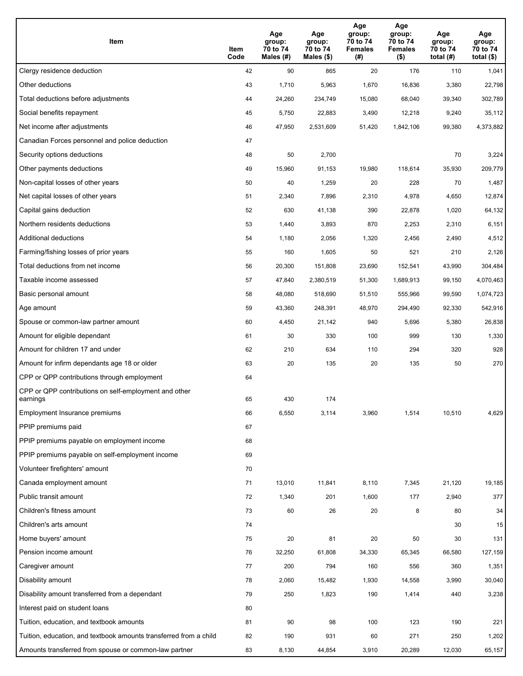| Item                                                              | Item<br>Code | Age<br>group:<br>70 to 74<br>Males (#) | Age<br>group:<br>70 to 74<br>Males (\$) | Age<br>group:<br>70 to 74<br><b>Females</b><br>(#) | Age<br>group:<br>70 to 74<br><b>Females</b><br>$($ \$) | Age<br>group:<br>70 to 74<br>total $(H)$ | Age<br>group:<br>70 to 74<br>total $($)$ |
|-------------------------------------------------------------------|--------------|----------------------------------------|-----------------------------------------|----------------------------------------------------|--------------------------------------------------------|------------------------------------------|------------------------------------------|
| Clergy residence deduction                                        | 42           | 90                                     | 865                                     | 20                                                 | 176                                                    | 110                                      | 1,041                                    |
| Other deductions                                                  | 43           | 1,710                                  | 5,963                                   | 1,670                                              | 16,836                                                 | 3,380                                    | 22,798                                   |
| Total deductions before adjustments                               | 44           | 24,260                                 | 234,749                                 | 15,080                                             | 68,040                                                 | 39,340                                   | 302,789                                  |
| Social benefits repayment                                         | 45           | 5,750                                  | 22,883                                  | 3,490                                              | 12,218                                                 | 9,240                                    | 35,112                                   |
| Net income after adjustments                                      | 46           | 47,950                                 | 2,531,609                               | 51,420                                             | 1,842,106                                              | 99,380                                   | 4,373,882                                |
| Canadian Forces personnel and police deduction                    | 47           |                                        |                                         |                                                    |                                                        |                                          |                                          |
| Security options deductions                                       | 48           | 50                                     | 2,700                                   |                                                    |                                                        | 70                                       | 3,224                                    |
| Other payments deductions                                         | 49           | 15,960                                 | 91,153                                  | 19,980                                             | 118,614                                                | 35,930                                   | 209,779                                  |
| Non-capital losses of other years                                 | 50           | 40                                     | 1,259                                   | 20                                                 | 228                                                    | 70                                       | 1,487                                    |
| Net capital losses of other years                                 | 51           | 2,340                                  | 7,896                                   | 2,310                                              | 4,978                                                  | 4,650                                    | 12,874                                   |
| Capital gains deduction                                           | 52           | 630                                    | 41,138                                  | 390                                                | 22,878                                                 | 1,020                                    | 64,132                                   |
| Northern residents deductions                                     | 53           | 1,440                                  | 3,893                                   | 870                                                | 2,253                                                  | 2,310                                    | 6,151                                    |
| Additional deductions                                             | 54           | 1,180                                  | 2,056                                   | 1,320                                              | 2,456                                                  | 2,490                                    | 4,512                                    |
| Farming/fishing losses of prior years                             | 55           | 160                                    | 1,605                                   | 50                                                 | 521                                                    | 210                                      | 2,126                                    |
| Total deductions from net income                                  | 56           | 20,300                                 | 151,808                                 | 23,690                                             | 152,541                                                | 43,990                                   | 304,484                                  |
| Taxable income assessed                                           | 57           | 47,840                                 | 2,380,519                               | 51,300                                             | 1,689,913                                              | 99,150                                   | 4,070,463                                |
| Basic personal amount                                             | 58           | 48,080                                 | 518,690                                 | 51,510                                             | 555,966                                                | 99,590                                   | 1,074,723                                |
| Age amount                                                        | 59           | 43,360                                 | 248,391                                 | 48,970                                             | 294,490                                                | 92,330                                   | 542,916                                  |
| Spouse or common-law partner amount                               | 60           | 4,450                                  | 21,142                                  | 940                                                | 5,696                                                  | 5,380                                    | 26,838                                   |
| Amount for eligible dependant                                     | 61           | 30                                     | 330                                     | 100                                                | 999                                                    | 130                                      | 1,330                                    |
| Amount for children 17 and under                                  | 62           | 210                                    | 634                                     | 110                                                | 294                                                    | 320                                      | 928                                      |
| Amount for infirm dependants age 18 or older                      | 63           | 20                                     | 135                                     | 20                                                 | 135                                                    | 50                                       | 270                                      |
| CPP or QPP contributions through employment                       | 64           |                                        |                                         |                                                    |                                                        |                                          |                                          |
| CPP or QPP contributions on self-employment and other<br>earnings | 65           | 430                                    | 174                                     |                                                    |                                                        |                                          |                                          |
| Employment Insurance premiums                                     | 66           | 6,550                                  | 3,114                                   | 3,960                                              | 1,514                                                  | 10,510                                   | 4,629                                    |
| PPIP premiums paid                                                | 67           |                                        |                                         |                                                    |                                                        |                                          |                                          |
| PPIP premiums payable on employment income                        | 68           |                                        |                                         |                                                    |                                                        |                                          |                                          |
| PPIP premiums payable on self-employment income                   | 69           |                                        |                                         |                                                    |                                                        |                                          |                                          |
| Volunteer firefighters' amount                                    | 70           |                                        |                                         |                                                    |                                                        |                                          |                                          |
| Canada employment amount                                          | 71           | 13,010                                 | 11,841                                  | 8,110                                              | 7,345                                                  | 21,120                                   | 19,185                                   |
| Public transit amount                                             | 72           | 1,340                                  | 201                                     | 1,600                                              | 177                                                    | 2,940                                    | 377                                      |
| Children's fitness amount                                         | 73           | 60                                     | 26                                      | 20                                                 | 8                                                      | 80                                       | 34                                       |
| Children's arts amount                                            | 74           |                                        |                                         |                                                    |                                                        | 30                                       | 15                                       |
| Home buyers' amount                                               | 75           | 20                                     | 81                                      | 20                                                 | 50                                                     | 30                                       | 131                                      |
| Pension income amount                                             | 76           | 32,250                                 | 61,808                                  | 34,330                                             | 65,345                                                 | 66,580                                   | 127,159                                  |
| Caregiver amount                                                  | 77           | 200                                    | 794                                     | 160                                                | 556                                                    | 360                                      | 1,351                                    |
| Disability amount                                                 | 78           | 2,060                                  | 15,482                                  | 1,930                                              | 14,558                                                 | 3,990                                    | 30,040                                   |
| Disability amount transferred from a dependant                    | 79           | 250                                    | 1,823                                   | 190                                                | 1,414                                                  | 440                                      | 3,238                                    |
| Interest paid on student loans                                    | 80           |                                        |                                         |                                                    |                                                        |                                          |                                          |
| Tuition, education, and textbook amounts                          | 81           | 90                                     | 98                                      | 100                                                | 123                                                    | 190                                      | 221                                      |
| Tuition, education, and textbook amounts transferred from a child | 82           | 190                                    | 931                                     | 60                                                 | 271                                                    | 250                                      | 1,202                                    |
| Amounts transferred from spouse or common-law partner             | 83           | 8,130                                  | 44,854                                  | 3,910                                              | 20,289                                                 | 12,030                                   | 65,157                                   |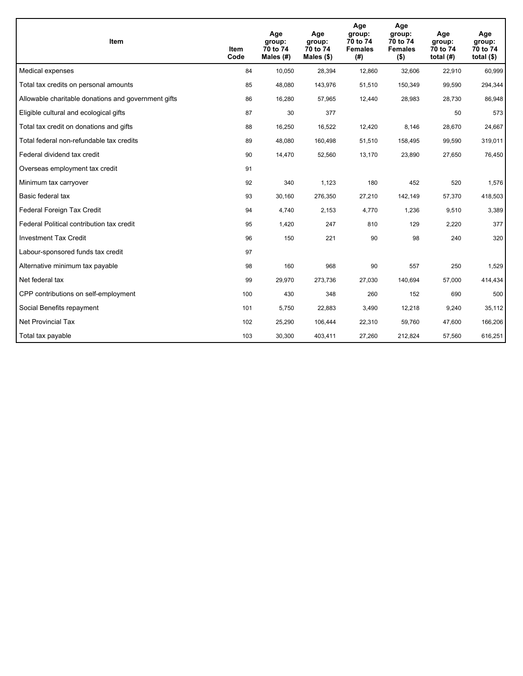| <b>Item</b>                                         | Item<br>Code | Age<br>group:<br>70 to 74<br>Males (#) | Age<br>group:<br>70 to 74<br>Males $(\$)$ | Age<br>group:<br>70 to 74<br><b>Females</b><br>(#) | Age<br>group:<br>70 to 74<br><b>Females</b><br>$($ \$) | Age<br>group:<br>70 to 74<br>total $(H)$ | Age<br>group:<br>70 to 74<br>total $($)$ |
|-----------------------------------------------------|--------------|----------------------------------------|-------------------------------------------|----------------------------------------------------|--------------------------------------------------------|------------------------------------------|------------------------------------------|
| Medical expenses                                    | 84           | 10,050                                 | 28,394                                    | 12,860                                             | 32,606                                                 | 22,910                                   | 60,999                                   |
| Total tax credits on personal amounts               | 85           | 48,080                                 | 143,976                                   | 51,510                                             | 150,349                                                | 99,590                                   | 294,344                                  |
| Allowable charitable donations and government gifts | 86           | 16,280                                 | 57,965                                    | 12,440                                             | 28,983                                                 | 28,730                                   | 86,948                                   |
| Eligible cultural and ecological gifts              | 87           | 30                                     | 377                                       |                                                    |                                                        | 50                                       | 573                                      |
| Total tax credit on donations and gifts             | 88           | 16,250                                 | 16,522                                    | 12,420                                             | 8,146                                                  | 28,670                                   | 24,667                                   |
| Total federal non-refundable tax credits            | 89           | 48,080                                 | 160,498                                   | 51,510                                             | 158,495                                                | 99,590                                   | 319,011                                  |
| Federal dividend tax credit                         | 90           | 14,470                                 | 52,560                                    | 13,170                                             | 23,890                                                 | 27,650                                   | 76,450                                   |
| Overseas employment tax credit                      | 91           |                                        |                                           |                                                    |                                                        |                                          |                                          |
| Minimum tax carryover                               | 92           | 340                                    | 1,123                                     | 180                                                | 452                                                    | 520                                      | 1,576                                    |
| Basic federal tax                                   | 93           | 30,160                                 | 276,350                                   | 27,210                                             | 142,149                                                | 57,370                                   | 418,503                                  |
| Federal Foreign Tax Credit                          | 94           | 4,740                                  | 2,153                                     | 4,770                                              | 1,236                                                  | 9,510                                    | 3,389                                    |
| Federal Political contribution tax credit           | 95           | 1,420                                  | 247                                       | 810                                                | 129                                                    | 2,220                                    | 377                                      |
| <b>Investment Tax Credit</b>                        | 96           | 150                                    | 221                                       | 90                                                 | 98                                                     | 240                                      | 320                                      |
| Labour-sponsored funds tax credit                   | 97           |                                        |                                           |                                                    |                                                        |                                          |                                          |
| Alternative minimum tax payable                     | 98           | 160                                    | 968                                       | 90                                                 | 557                                                    | 250                                      | 1,529                                    |
| Net federal tax                                     | 99           | 29,970                                 | 273,736                                   | 27,030                                             | 140,694                                                | 57,000                                   | 414,434                                  |
| CPP contributions on self-employment                | 100          | 430                                    | 348                                       | 260                                                | 152                                                    | 690                                      | 500                                      |
| Social Benefits repayment                           | 101          | 5,750                                  | 22,883                                    | 3,490                                              | 12,218                                                 | 9,240                                    | 35,112                                   |
| <b>Net Provincial Tax</b>                           | 102          | 25,290                                 | 106,444                                   | 22,310                                             | 59,760                                                 | 47,600                                   | 166,206                                  |
| Total tax payable                                   | 103          | 30,300                                 | 403,411                                   | 27,260                                             | 212,824                                                | 57,560                                   | 616,251                                  |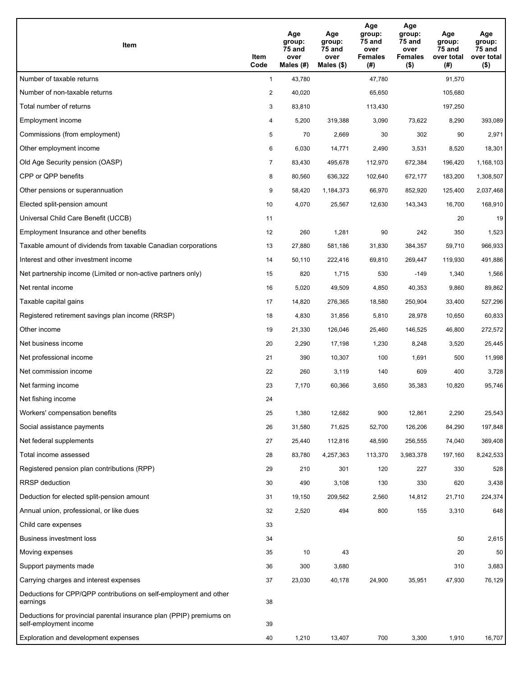| Item                                                                                           | Item<br>Code   | Age<br>group:<br><b>75 and</b><br>over<br>Males (#) | Age<br>group:<br>75 and<br>over<br>Males $(\$)$ | Age<br>group:<br>75 and<br>over<br><b>Females</b><br>(#) | Age<br>group:<br>75 and<br>over<br><b>Females</b><br>$($ \$) | Age<br>group:<br>75 and<br>over total<br>(#) | Age<br>group:<br>75 and<br>over total<br>$($ \$) |
|------------------------------------------------------------------------------------------------|----------------|-----------------------------------------------------|-------------------------------------------------|----------------------------------------------------------|--------------------------------------------------------------|----------------------------------------------|--------------------------------------------------|
| Number of taxable returns                                                                      | $\mathbf{1}$   | 43,780                                              |                                                 | 47,780                                                   |                                                              | 91,570                                       |                                                  |
| Number of non-taxable returns                                                                  | $\overline{2}$ | 40,020                                              |                                                 | 65,650                                                   |                                                              | 105,680                                      |                                                  |
| Total number of returns                                                                        | 3              | 83,810                                              |                                                 | 113,430                                                  |                                                              | 197,250                                      |                                                  |
| Employment income                                                                              | 4              | 5,200                                               | 319,388                                         | 3,090                                                    | 73,622                                                       | 8,290                                        | 393,089                                          |
| Commissions (from employment)                                                                  | 5              | 70                                                  | 2,669                                           | 30                                                       | 302                                                          | 90                                           | 2,971                                            |
| Other employment income                                                                        | 6              | 6,030                                               | 14,771                                          | 2,490                                                    | 3,531                                                        | 8,520                                        | 18,301                                           |
| Old Age Security pension (OASP)                                                                | $\overline{7}$ | 83,430                                              | 495,678                                         | 112,970                                                  | 672,384                                                      | 196,420                                      | 1,168,103                                        |
| CPP or QPP benefits                                                                            | 8              | 80,560                                              | 636,322                                         | 102,640                                                  | 672,177                                                      | 183,200                                      | 1,308,507                                        |
| Other pensions or superannuation                                                               | 9              | 58,420                                              | 1,184,373                                       | 66,970                                                   | 852,920                                                      | 125,400                                      | 2,037,468                                        |
| Elected split-pension amount                                                                   | 10             | 4,070                                               | 25,567                                          | 12,630                                                   | 143,343                                                      | 16,700                                       | 168,910                                          |
| Universal Child Care Benefit (UCCB)                                                            | 11             |                                                     |                                                 |                                                          |                                                              | 20                                           | 19                                               |
| Employment Insurance and other benefits                                                        | 12             | 260                                                 | 1,281                                           | 90                                                       | 242                                                          | 350                                          | 1,523                                            |
| Taxable amount of dividends from taxable Canadian corporations                                 | 13             | 27,880                                              | 581,186                                         | 31,830                                                   | 384,357                                                      | 59,710                                       | 966,933                                          |
| Interest and other investment income                                                           | 14             | 50,110                                              | 222,416                                         | 69,810                                                   | 269,447                                                      | 119,930                                      | 491,886                                          |
| Net partnership income (Limited or non-active partners only)                                   | 15             | 820                                                 | 1,715                                           | 530                                                      | $-149$                                                       | 1,340                                        | 1,566                                            |
| Net rental income                                                                              | 16             | 5,020                                               | 49,509                                          | 4,850                                                    | 40,353                                                       | 9,860                                        | 89,862                                           |
| Taxable capital gains                                                                          | 17             | 14,820                                              | 276,365                                         | 18,580                                                   | 250,904                                                      | 33,400                                       | 527,296                                          |
| Registered retirement savings plan income (RRSP)                                               | 18             | 4,830                                               | 31,856                                          | 5,810                                                    | 28,978                                                       | 10,650                                       | 60,833                                           |
| Other income                                                                                   | 19             | 21,330                                              | 126,046                                         | 25,460                                                   | 146,525                                                      | 46,800                                       | 272,572                                          |
| Net business income                                                                            | 20             | 2,290                                               | 17,198                                          | 1,230                                                    | 8,248                                                        | 3,520                                        | 25,445                                           |
| Net professional income                                                                        | 21             | 390                                                 | 10,307                                          | 100                                                      | 1,691                                                        | 500                                          | 11,998                                           |
| Net commission income                                                                          | 22             | 260                                                 | 3,119                                           | 140                                                      | 609                                                          | 400                                          | 3,728                                            |
| Net farming income                                                                             | 23             | 7,170                                               | 60,366                                          | 3,650                                                    | 35,383                                                       | 10,820                                       | 95,746                                           |
| Net fishing income                                                                             | 24             |                                                     |                                                 |                                                          |                                                              |                                              |                                                  |
| Workers' compensation benefits                                                                 | 25             | 1,380                                               | 12,682                                          | 900                                                      | 12,861                                                       | 2,290                                        | 25,543                                           |
| Social assistance payments                                                                     | 26             | 31,580                                              | 71,625                                          | 52,700                                                   | 126,206                                                      | 84,290                                       | 197,848                                          |
| Net federal supplements                                                                        | 27             | 25,440                                              | 112,816                                         | 48,590                                                   | 256,555                                                      | 74,040                                       | 369,408                                          |
| Total income assessed                                                                          | 28             | 83,780                                              | 4,257,363                                       | 113,370                                                  | 3,983,378                                                    | 197,160                                      | 8,242,533                                        |
| Registered pension plan contributions (RPP)                                                    | 29             | 210                                                 | 301                                             | 120                                                      | 227                                                          | 330                                          | 528                                              |
| <b>RRSP</b> deduction                                                                          | 30             | 490                                                 | 3,108                                           | 130                                                      | 330                                                          | 620                                          | 3,438                                            |
| Deduction for elected split-pension amount                                                     | 31             | 19,150                                              | 209,562                                         | 2,560                                                    | 14,812                                                       | 21,710                                       | 224,374                                          |
| Annual union, professional, or like dues                                                       | 32             | 2,520                                               | 494                                             | 800                                                      | 155                                                          | 3,310                                        | 648                                              |
| Child care expenses                                                                            | 33             |                                                     |                                                 |                                                          |                                                              |                                              |                                                  |
| <b>Business investment loss</b>                                                                | 34             |                                                     |                                                 |                                                          |                                                              | 50                                           | 2,615                                            |
| Moving expenses                                                                                | 35             | 10                                                  | 43                                              |                                                          |                                                              | 20                                           | 50                                               |
| Support payments made                                                                          | 36             | 300                                                 | 3,680                                           |                                                          |                                                              | 310                                          | 3,683                                            |
| Carrying charges and interest expenses                                                         | 37             | 23,030                                              | 40,178                                          | 24,900                                                   | 35,951                                                       | 47,930                                       | 76,129                                           |
| Deductions for CPP/QPP contributions on self-employment and other<br>earnings                  | 38             |                                                     |                                                 |                                                          |                                                              |                                              |                                                  |
| Deductions for provincial parental insurance plan (PPIP) premiums on<br>self-employment income | 39             |                                                     |                                                 |                                                          |                                                              |                                              |                                                  |
| Exploration and development expenses                                                           | 40             | 1,210                                               | 13,407                                          | 700                                                      | 3,300                                                        | 1,910                                        | 16,707                                           |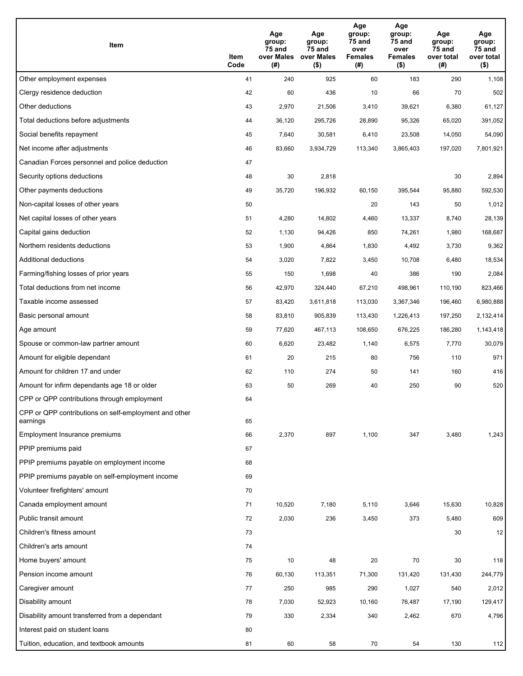| Item                                                              | Item<br>Code | Age<br>group:<br>75 and<br>over Males<br>(#) | Age<br>group:<br>75 and<br>over Males<br>$($ \$) | Age<br>group:<br>75 and<br>over<br><b>Females</b><br>(#) | Age<br>group:<br>75 and<br>over<br><b>Females</b><br>$($ \$) | Age<br>group:<br>75 and<br>over total<br>(#) | Age<br>group:<br>75 and<br>over total<br>$($ \$) |
|-------------------------------------------------------------------|--------------|----------------------------------------------|--------------------------------------------------|----------------------------------------------------------|--------------------------------------------------------------|----------------------------------------------|--------------------------------------------------|
| Other employment expenses                                         | 41           | 240                                          | 925                                              | 60                                                       | 183                                                          | 290                                          | 1,108                                            |
| Clergy residence deduction                                        | 42           | 60                                           | 436                                              | 10                                                       | 66                                                           | 70                                           | 502                                              |
| Other deductions                                                  | 43           | 2,970                                        | 21,506                                           | 3,410                                                    | 39,621                                                       | 6,380                                        | 61,127                                           |
| Total deductions before adjustments                               | 44           | 36,120                                       | 295,726                                          | 28,890                                                   | 95,326                                                       | 65,020                                       | 391,052                                          |
| Social benefits repayment                                         | 45           | 7,640                                        | 30,581                                           | 6,410                                                    | 23,508                                                       | 14,050                                       | 54,090                                           |
| Net income after adjustments                                      | 46           | 83,660                                       | 3,934,729                                        | 113,340                                                  | 3,865,403                                                    | 197,020                                      | 7,801,921                                        |
| Canadian Forces personnel and police deduction                    | 47           |                                              |                                                  |                                                          |                                                              |                                              |                                                  |
| Security options deductions                                       | 48           | 30                                           | 2,818                                            |                                                          |                                                              | 30                                           | 2,894                                            |
| Other payments deductions                                         | 49           | 35,720                                       | 196,932                                          | 60,150                                                   | 395,544                                                      | 95,880                                       | 592,530                                          |
| Non-capital losses of other years                                 | 50           |                                              |                                                  | 20                                                       | 143                                                          | 50                                           | 1,012                                            |
| Net capital losses of other years                                 | 51           | 4,280                                        | 14,802                                           | 4,460                                                    | 13,337                                                       | 8,740                                        | 28,139                                           |
| Capital gains deduction                                           | 52           | 1,130                                        | 94,426                                           | 850                                                      | 74,261                                                       | 1,980                                        | 168,687                                          |
| Northern residents deductions                                     | 53           | 1,900                                        | 4,864                                            | 1,830                                                    | 4,492                                                        | 3,730                                        | 9,362                                            |
| Additional deductions                                             | 54           | 3,020                                        | 7,822                                            | 3,450                                                    | 10,708                                                       | 6,480                                        | 18,534                                           |
| Farming/fishing losses of prior years                             | 55           | 150                                          | 1,698                                            | 40                                                       | 386                                                          | 190                                          | 2,084                                            |
| Total deductions from net income                                  | 56           | 42,970                                       | 324,440                                          | 67,210                                                   | 498,961                                                      | 110,190                                      | 823,466                                          |
| Taxable income assessed                                           | 57           | 83,420                                       | 3,611,818                                        | 113,030                                                  | 3,367,346                                                    | 196,460                                      | 6,980,888                                        |
| Basic personal amount                                             | 58           | 83,810                                       | 905,839                                          | 113,430                                                  | 1,226,413                                                    | 197,250                                      | 2,132,414                                        |
| Age amount                                                        | 59           | 77,620                                       | 467,113                                          | 108,650                                                  | 676,225                                                      | 186,280                                      | 1,143,418                                        |
| Spouse or common-law partner amount                               | 60           | 6,620                                        | 23,482                                           | 1,140                                                    | 6,575                                                        | 7,770                                        | 30,079                                           |
| Amount for eligible dependant                                     | 61           | 20                                           | 215                                              | 80                                                       | 756                                                          | 110                                          | 971                                              |
| Amount for children 17 and under                                  | 62           | 110                                          | 274                                              | 50                                                       | 141                                                          | 160                                          | 416                                              |
| Amount for infirm dependants age 18 or older                      | 63           | 50                                           | 269                                              | 40                                                       | 250                                                          | 90                                           | 520                                              |
| CPP or QPP contributions through employment                       | 64           |                                              |                                                  |                                                          |                                                              |                                              |                                                  |
| CPP or QPP contributions on self-employment and other<br>earnings | 65           |                                              |                                                  |                                                          |                                                              |                                              |                                                  |
| Employment Insurance premiums                                     | 66           | 2,370                                        | 897                                              | 1,100                                                    | 347                                                          | 3,480                                        | 1,243                                            |
| PPIP premiums paid                                                | 67           |                                              |                                                  |                                                          |                                                              |                                              |                                                  |
| PPIP premiums payable on employment income                        | 68           |                                              |                                                  |                                                          |                                                              |                                              |                                                  |
| PPIP premiums payable on self-employment income                   | 69           |                                              |                                                  |                                                          |                                                              |                                              |                                                  |
| Volunteer firefighters' amount                                    | 70           |                                              |                                                  |                                                          |                                                              |                                              |                                                  |
| Canada employment amount                                          | 71           | 10,520                                       | 7,180                                            | 5,110                                                    | 3,646                                                        | 15,630                                       | 10,828                                           |
| Public transit amount                                             | 72           | 2,030                                        | 236                                              | 3,450                                                    | 373                                                          | 5,480                                        | 609                                              |
| Children's fitness amount                                         | 73           |                                              |                                                  |                                                          |                                                              | 30                                           | 12                                               |
| Children's arts amount                                            | 74           |                                              |                                                  |                                                          |                                                              |                                              |                                                  |
| Home buyers' amount                                               | 75           | 10                                           | 48                                               | 20                                                       | 70                                                           | 30                                           | 118                                              |
| Pension income amount                                             | 76           | 60,130                                       | 113,351                                          | 71,300                                                   | 131,420                                                      | 131,430                                      | 244,779                                          |
| Caregiver amount                                                  | 77           | 250                                          | 985                                              | 290                                                      | 1,027                                                        | 540                                          | 2,012                                            |
| Disability amount                                                 | 78           | 7,030                                        | 52,923                                           | 10,160                                                   | 76,487                                                       | 17,190                                       | 129,417                                          |
| Disability amount transferred from a dependant                    | 79           | 330                                          | 2,334                                            | 340                                                      | 2,462                                                        | 670                                          | 4,796                                            |
| Interest paid on student loans                                    | 80           |                                              |                                                  |                                                          |                                                              |                                              |                                                  |
| Tuition, education, and textbook amounts                          | 81           | 60                                           | 58                                               | 70                                                       | 54                                                           | 130                                          | 112                                              |